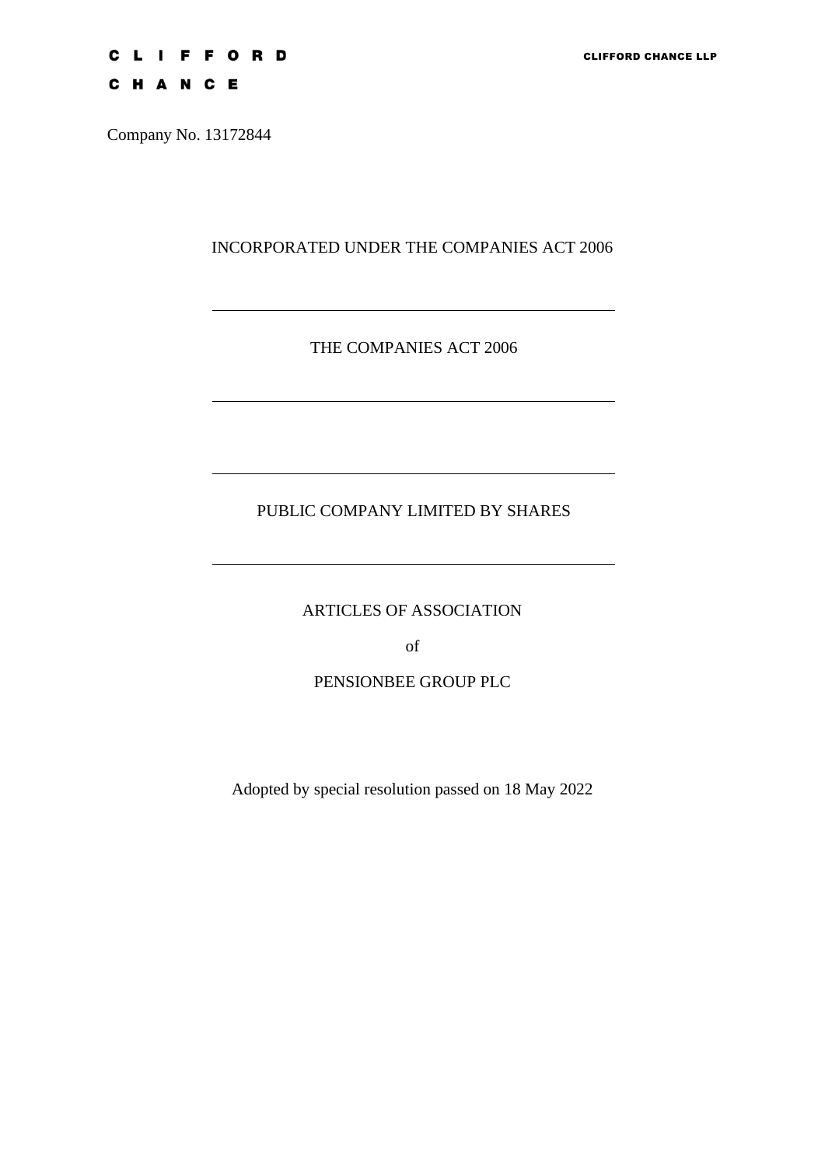# **CLIFFORD**

CHANCE

Company No. 13172844

INCORPORATED UNDER THE COMPANIES ACT 2006

## THE COMPANIES ACT 2006

# PUBLIC COMPANY LIMITED BY SHARES

ARTICLES OF ASSOCIATION

of

## PENSIONBEE GROUP PLC

Adopted by special resolution passed on 18 May 2022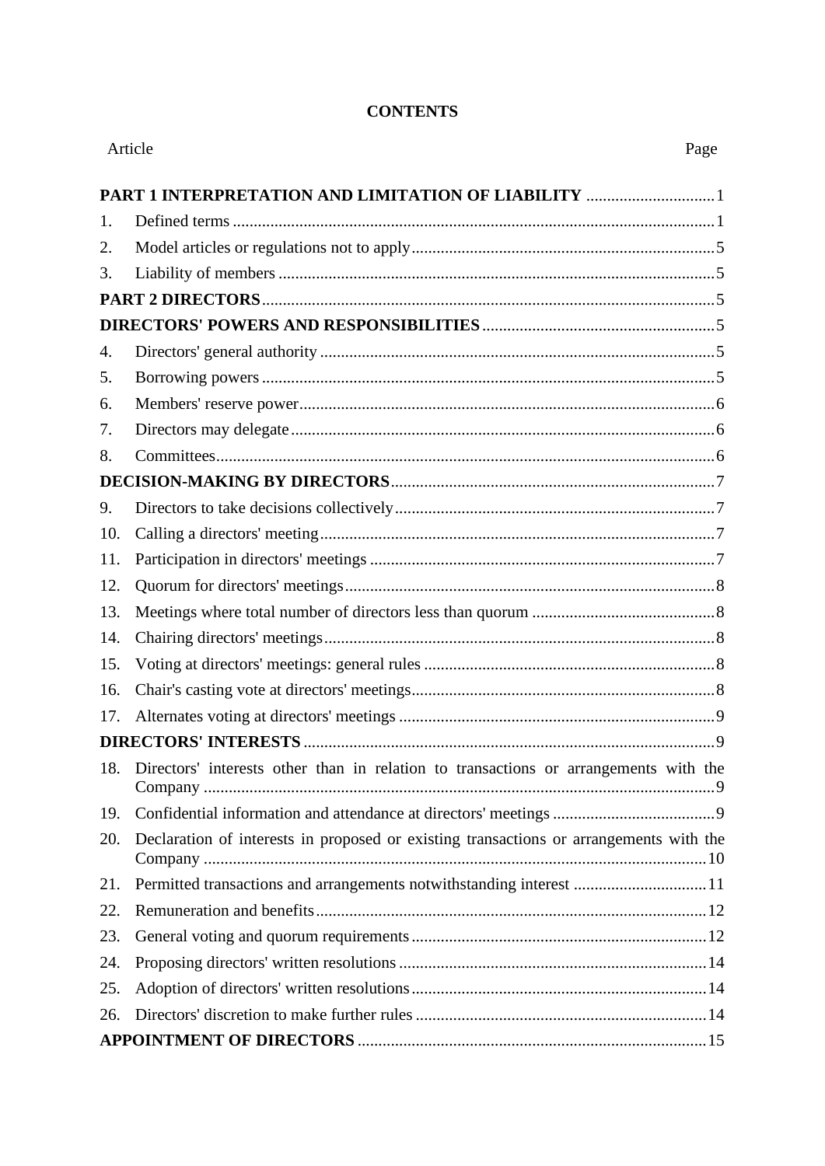### **CONTENTS**

| Article | Page                                                                                   |  |  |  |
|---------|----------------------------------------------------------------------------------------|--|--|--|
|         |                                                                                        |  |  |  |
| 1.      |                                                                                        |  |  |  |
| 2.      |                                                                                        |  |  |  |
| 3.      |                                                                                        |  |  |  |
|         |                                                                                        |  |  |  |
|         |                                                                                        |  |  |  |
| 4.      |                                                                                        |  |  |  |
| 5.      |                                                                                        |  |  |  |
| 6.      |                                                                                        |  |  |  |
| 7.      |                                                                                        |  |  |  |
| 8.      |                                                                                        |  |  |  |
|         |                                                                                        |  |  |  |
| 9.      |                                                                                        |  |  |  |
| 10.     |                                                                                        |  |  |  |
| 11.     |                                                                                        |  |  |  |
| 12.     |                                                                                        |  |  |  |
| 13.     |                                                                                        |  |  |  |
| 14.     |                                                                                        |  |  |  |
| 15.     |                                                                                        |  |  |  |
| 16.     |                                                                                        |  |  |  |
| 17.     |                                                                                        |  |  |  |
|         |                                                                                        |  |  |  |
| 18.     | Directors' interests other than in relation to transactions or arrangements with the   |  |  |  |
| 19.     |                                                                                        |  |  |  |
| 20.     | Declaration of interests in proposed or existing transactions or arrangements with the |  |  |  |
| 21.     | Permitted transactions and arrangements notwithstanding interest 11                    |  |  |  |
| 22.     |                                                                                        |  |  |  |
| 23.     |                                                                                        |  |  |  |
| 24.     |                                                                                        |  |  |  |
| 25.     |                                                                                        |  |  |  |
| 26.     |                                                                                        |  |  |  |
|         |                                                                                        |  |  |  |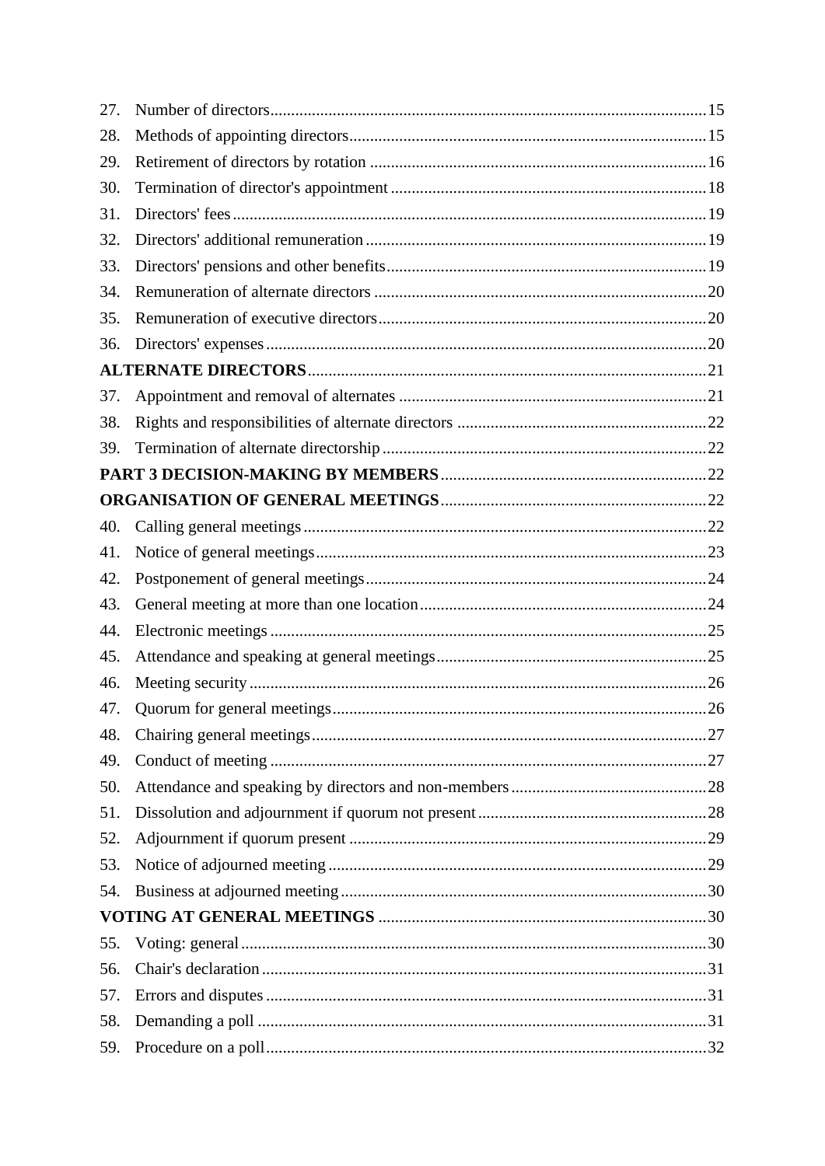| 27. |  |
|-----|--|
| 28. |  |
| 29. |  |
| 30. |  |
| 31. |  |
| 32. |  |
| 33. |  |
| 34. |  |
| 35. |  |
| 36. |  |
|     |  |
| 37. |  |
| 38. |  |
| 39. |  |
|     |  |
|     |  |
| 40. |  |
| 41. |  |
| 42. |  |
| 43. |  |
| 44. |  |
| 45. |  |
| 46. |  |
| 47. |  |
| 48. |  |
| 49. |  |
| 50. |  |
| 51. |  |
| 52. |  |
| 53. |  |
| 54. |  |
|     |  |
| 55. |  |
| 56. |  |
| 57. |  |
| 58. |  |
| 59. |  |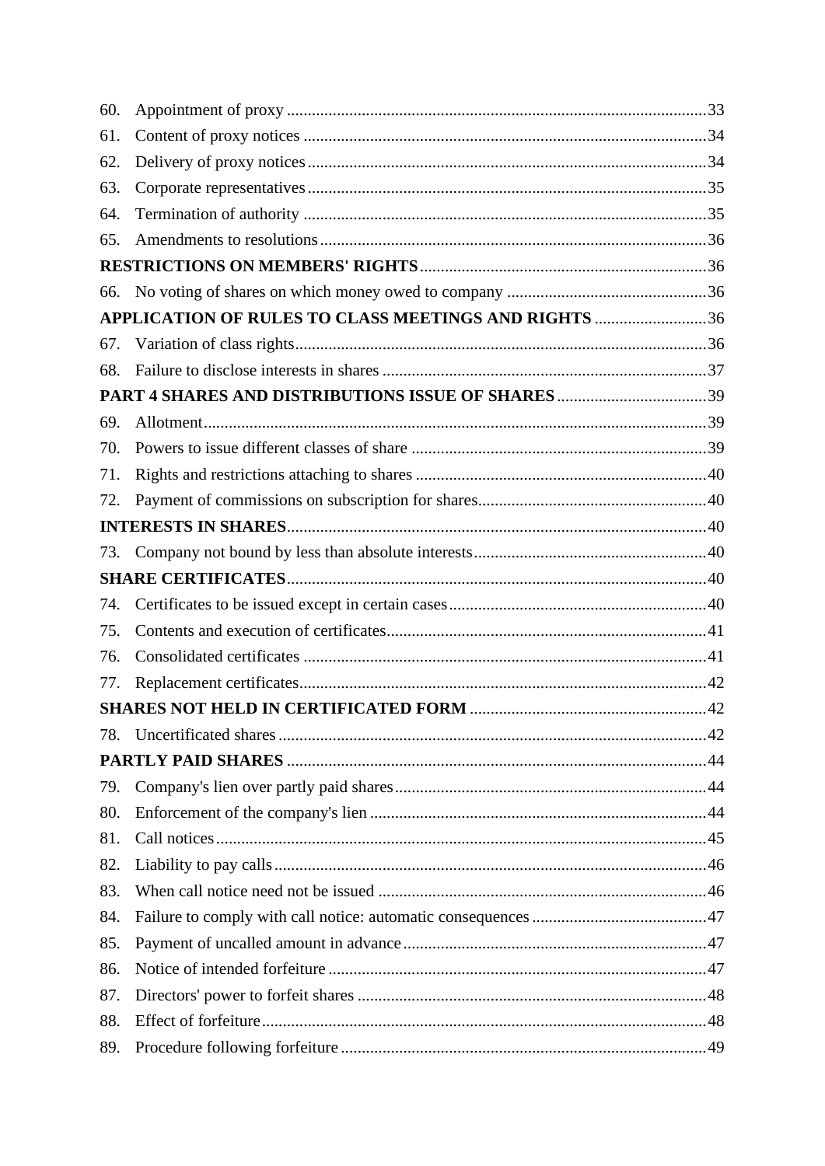| 60. |                                                      |  |
|-----|------------------------------------------------------|--|
| 61. |                                                      |  |
| 62. |                                                      |  |
| 63. |                                                      |  |
| 64. |                                                      |  |
| 65. |                                                      |  |
|     |                                                      |  |
|     |                                                      |  |
|     | APPLICATION OF RULES TO CLASS MEETINGS AND RIGHTS 36 |  |
| 67. |                                                      |  |
| 68. |                                                      |  |
|     |                                                      |  |
| 69. |                                                      |  |
| 70. |                                                      |  |
| 71. |                                                      |  |
| 72. |                                                      |  |
|     |                                                      |  |
| 73. |                                                      |  |
|     |                                                      |  |
| 74. |                                                      |  |
| 75. |                                                      |  |
| 76. |                                                      |  |
| 77. |                                                      |  |
|     |                                                      |  |
| 78. |                                                      |  |
|     |                                                      |  |
| 79. |                                                      |  |
| 80. |                                                      |  |
| 81. |                                                      |  |
| 82. |                                                      |  |
| 83. |                                                      |  |
| 84. |                                                      |  |
| 85. |                                                      |  |
| 86. |                                                      |  |
| 87. |                                                      |  |
| 88. |                                                      |  |
| 89. |                                                      |  |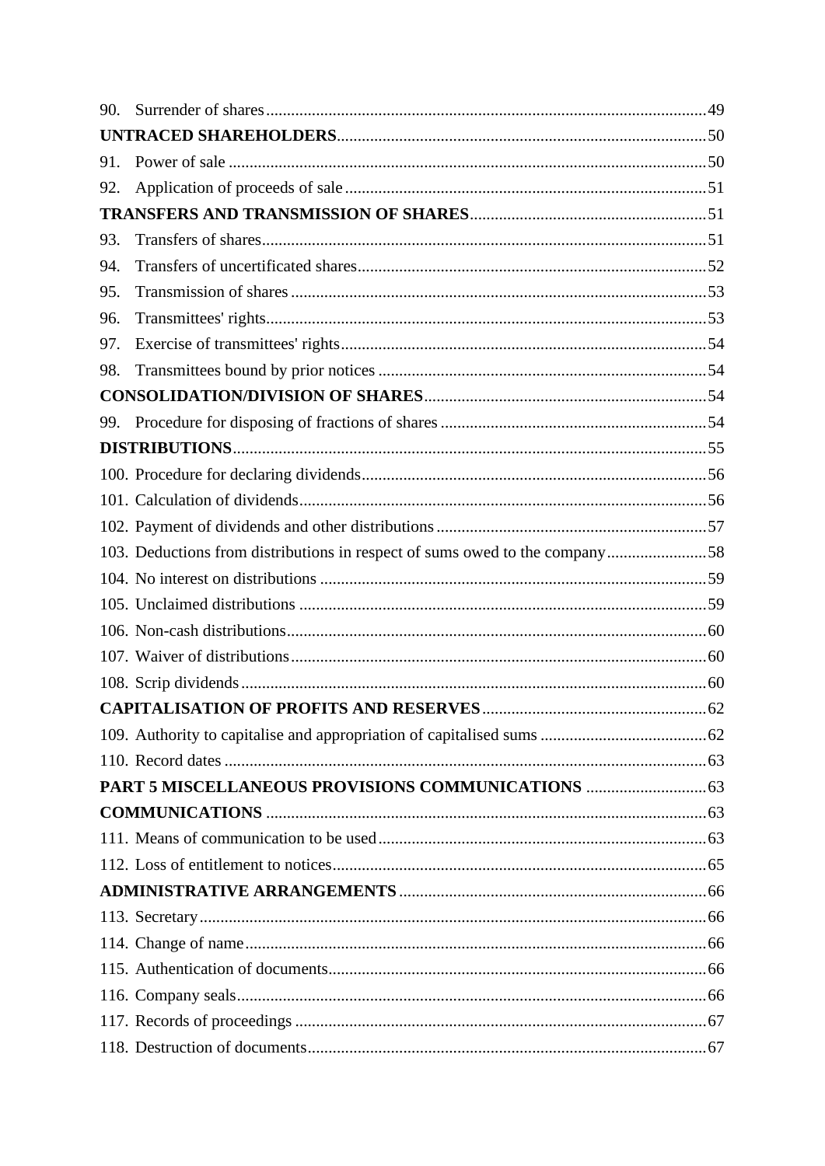| 90. |                                                                             |  |
|-----|-----------------------------------------------------------------------------|--|
|     |                                                                             |  |
| 91. |                                                                             |  |
| 92. |                                                                             |  |
|     |                                                                             |  |
| 93. |                                                                             |  |
| 94. |                                                                             |  |
| 95. |                                                                             |  |
| 96. |                                                                             |  |
| 97. |                                                                             |  |
| 98. |                                                                             |  |
|     |                                                                             |  |
|     |                                                                             |  |
|     |                                                                             |  |
|     |                                                                             |  |
|     |                                                                             |  |
|     |                                                                             |  |
|     | 103. Deductions from distributions in respect of sums owed to the company58 |  |
|     |                                                                             |  |
|     |                                                                             |  |
|     |                                                                             |  |
|     |                                                                             |  |
|     |                                                                             |  |
|     |                                                                             |  |
|     |                                                                             |  |
|     |                                                                             |  |
|     |                                                                             |  |
|     |                                                                             |  |
|     |                                                                             |  |
|     |                                                                             |  |
|     |                                                                             |  |
|     |                                                                             |  |
|     |                                                                             |  |
|     |                                                                             |  |
|     |                                                                             |  |
|     |                                                                             |  |
|     |                                                                             |  |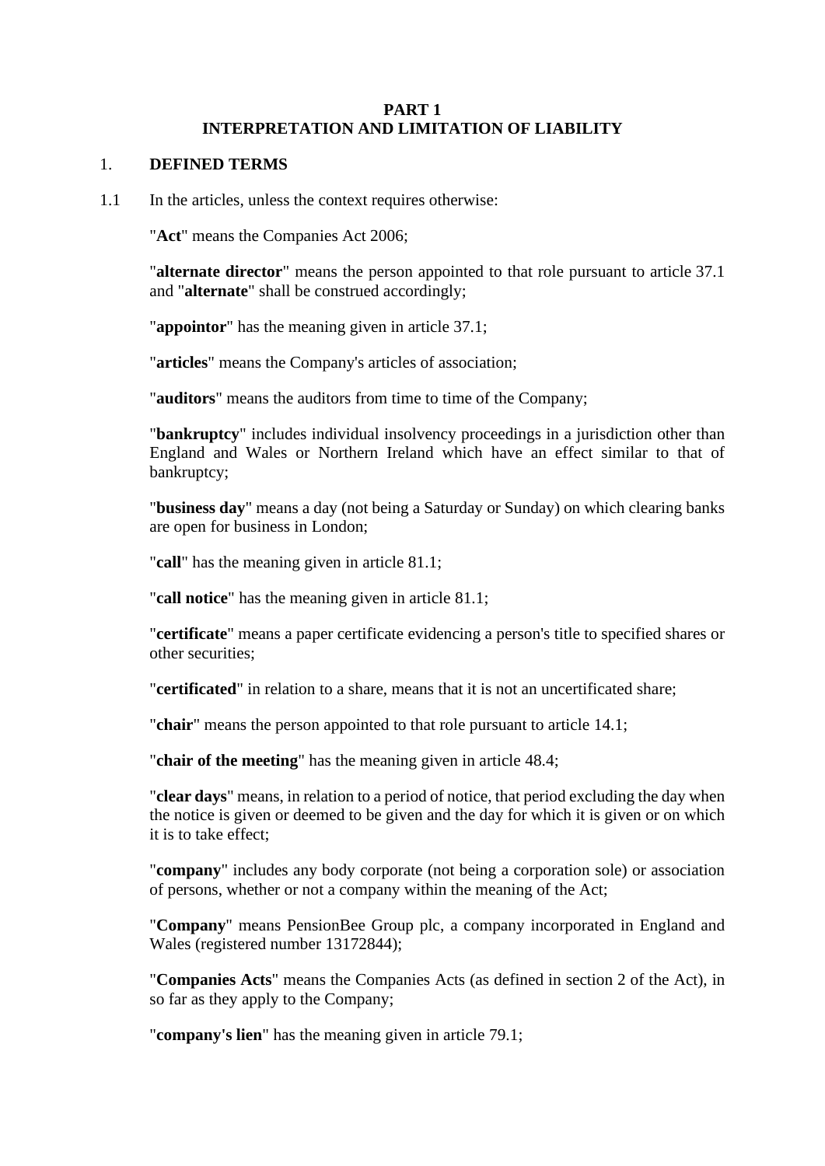#### **PART 1 INTERPRETATION AND LIMITATION OF LIABILITY**

#### 1. **DEFINED TERMS**

1.1 In the articles, unless the context requires otherwise:

"**Act**" means the Companies Act 2006;

"**alternate director**" means the person appointed to that role pursuant to article [37.1](#page-26-0) and "**alternate**" shall be construed accordingly;

"**appointor**" has the meaning given in article [37.1;](#page-26-0)

"**articles**" means the Company's articles of association;

"**auditors**" means the auditors from time to time of the Company;

"**bankruptcy**" includes individual insolvency proceedings in a jurisdiction other than England and Wales or Northern Ireland which have an effect similar to that of bankruptcy;

"**business day**" means a day (not being a Saturday or Sunday) on which clearing banks are open for business in London;

"**call**" has the meaning given in article [81.1;](#page-50-0)

"**call notice**" has the meaning given in article [81.1;](#page-50-0)

"**certificate**" means a paper certificate evidencing a person's title to specified shares or other securities;

"**certificated**" in relation to a share, means that it is not an uncertificated share;

"**chair**" means the person appointed to that role pursuant to article [14.1;](#page-13-0)

"**chair of the meeting**" has the meaning given in article [48.4;](#page-32-0)

"**clear days**" means, in relation to a period of notice, that period excluding the day when the notice is given or deemed to be given and the day for which it is given or on which it is to take effect;

"**company**" includes any body corporate (not being a corporation sole) or association of persons, whether or not a company within the meaning of the Act;

"**Company**" means PensionBee Group plc, a company incorporated in England and Wales (registered number 13172844);

"**Companies Acts**" means the Companies Acts (as defined in section 2 of the Act), in so far as they apply to the Company;

"**company's lien**" has the meaning given in article [79.1;](#page-49-0)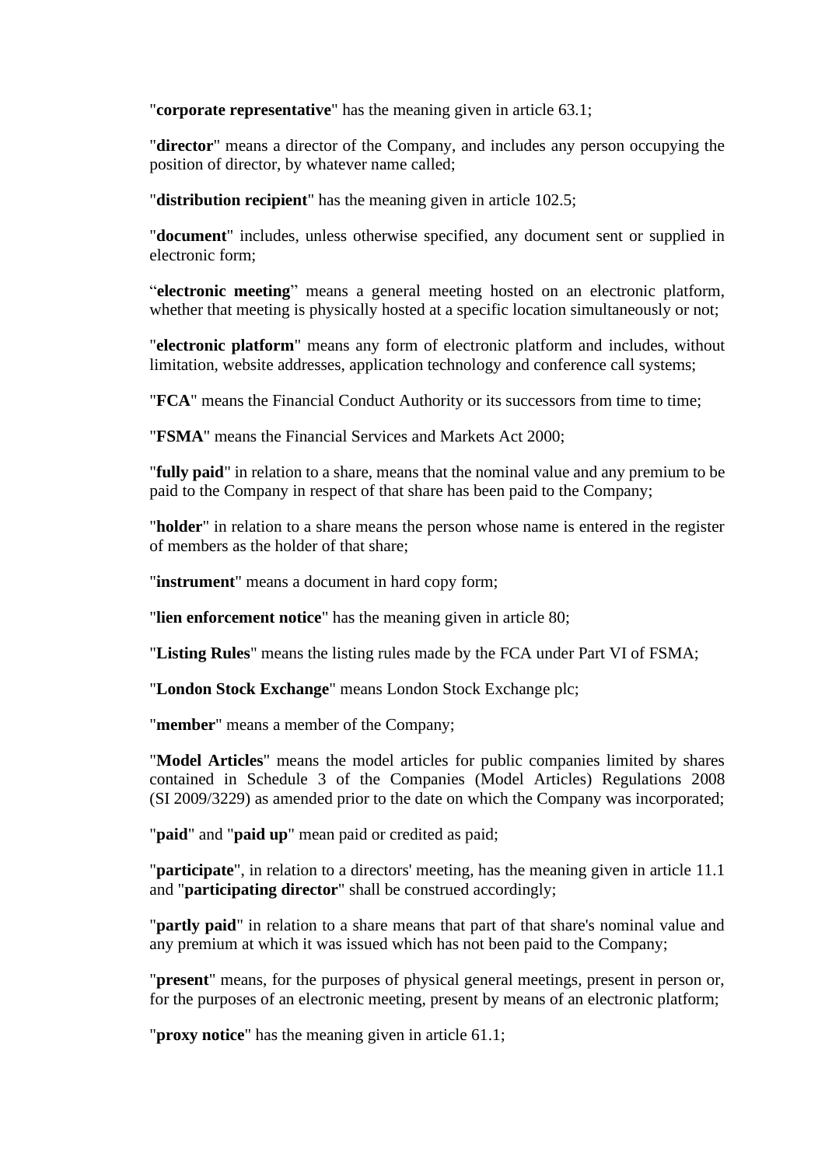"**corporate representative**" has the meaning given in article [63.1;](#page-40-0)

"**director**" means a director of the Company, and includes any person occupying the position of director, by whatever name called;

"**distribution recipient**" has the meaning given in article [102.5;](#page-63-0)

"**document**" includes, unless otherwise specified, any document sent or supplied in electronic form;

"**electronic meeting**" means a general meeting hosted on an electronic platform, whether that meeting is physically hosted at a specific location simultaneously or not;

"**electronic platform**" means any form of electronic platform and includes, without limitation, website addresses, application technology and conference call systems;

"**FCA**" means the Financial Conduct Authority or its successors from time to time;

"**FSMA**" means the Financial Services and Markets Act 2000;

"**fully paid**" in relation to a share, means that the nominal value and any premium to be paid to the Company in respect of that share has been paid to the Company;

"**holder**" in relation to a share means the person whose name is entered in the register of members as the holder of that share;

"**instrument**" means a document in hard copy form;

"**lien enforcement notice**" has the meaning given in article [80;](#page-49-1)

"**Listing Rules**" means the listing rules made by the FCA under Part VI of FSMA;

"**London Stock Exchange**" means London Stock Exchange plc;

"**member**" means a member of the Company;

"**Model Articles**" means the model articles for public companies limited by shares contained in Schedule 3 of the Companies (Model Articles) Regulations 2008 (SI 2009/3229) as amended prior to the date on which the Company was incorporated;

"**paid**" and "**paid up**" mean paid or credited as paid;

"**participate**", in relation to a directors' meeting, has the meaning given in article [11.1](#page-12-0) and "**participating director**" shall be construed accordingly;

"**partly paid**" in relation to a share means that part of that share's nominal value and any premium at which it was issued which has not been paid to the Company;

"**present**" means, for the purposes of physical general meetings, present in person or, for the purposes of an electronic meeting, present by means of an electronic platform;

"**proxy notice**" has the meaning given in article [61.1;](#page-39-0)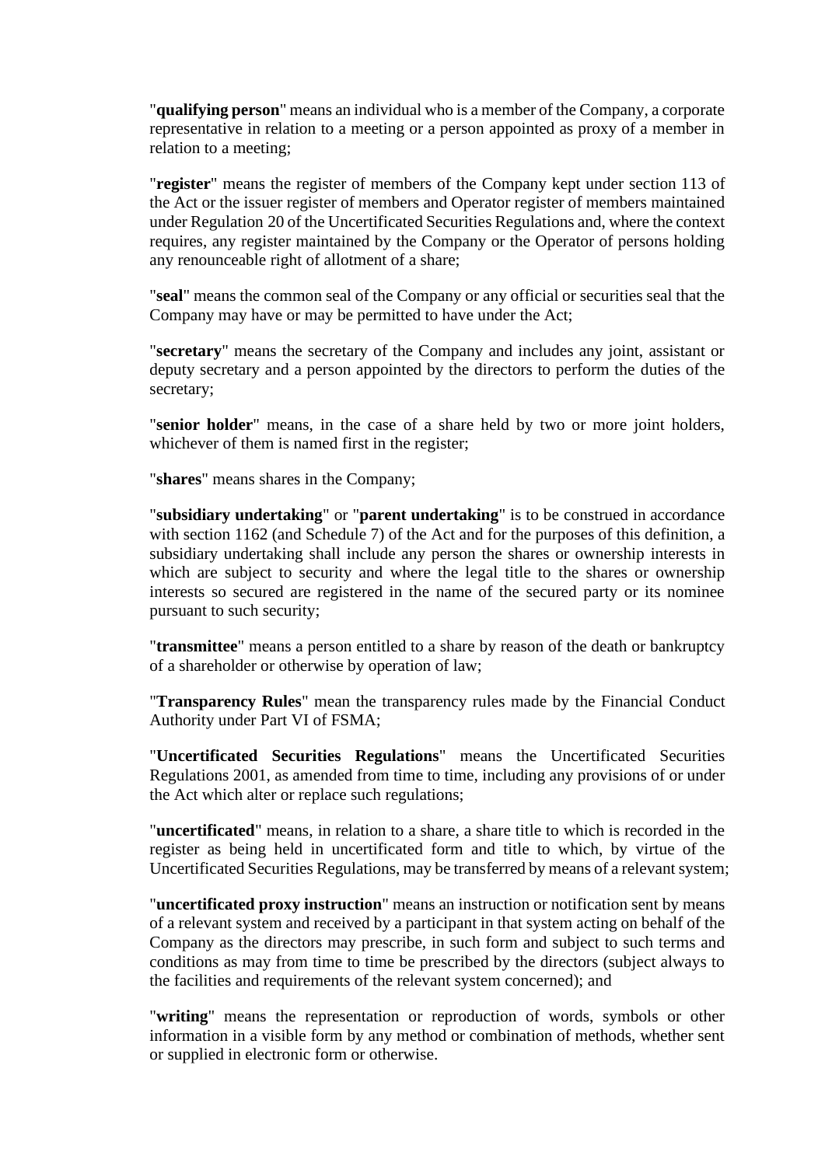"**qualifying person**" means an individual who is a member of the Company, a corporate representative in relation to a meeting or a person appointed as proxy of a member in relation to a meeting;

"**register**" means the register of members of the Company kept under section 113 of the Act or the issuer register of members and Operator register of members maintained under Regulation 20 of the Uncertificated Securities Regulations and, where the context requires, any register maintained by the Company or the Operator of persons holding any renounceable right of allotment of a share;

"**seal**" means the common seal of the Company or any official or securities seal that the Company may have or may be permitted to have under the Act;

"**secretary**" means the secretary of the Company and includes any joint, assistant or deputy secretary and a person appointed by the directors to perform the duties of the secretary;

"**senior holder**" means, in the case of a share held by two or more joint holders, whichever of them is named first in the register;

"**shares**" means shares in the Company;

"**subsidiary undertaking**" or "**parent undertaking**" is to be construed in accordance with section 1162 (and Schedule 7) of the Act and for the purposes of this definition, a subsidiary undertaking shall include any person the shares or ownership interests in which are subject to security and where the legal title to the shares or ownership interests so secured are registered in the name of the secured party or its nominee pursuant to such security;

"**transmittee**" means a person entitled to a share by reason of the death or bankruptcy of a shareholder or otherwise by operation of law;

"**Transparency Rules**" mean the transparency rules made by the Financial Conduct Authority under Part VI of FSMA;

"**Uncertificated Securities Regulations**" means the Uncertificated Securities Regulations 2001, as amended from time to time, including any provisions of or under the Act which alter or replace such regulations;

"**uncertificated**" means, in relation to a share, a share title to which is recorded in the register as being held in uncertificated form and title to which, by virtue of the Uncertificated Securities Regulations, may be transferred by means of a relevant system;

"**uncertificated proxy instruction**" means an instruction or notification sent by means of a relevant system and received by a participant in that system acting on behalf of the Company as the directors may prescribe, in such form and subject to such terms and conditions as may from time to time be prescribed by the directors (subject always to the facilities and requirements of the relevant system concerned); and

"**writing**" means the representation or reproduction of words, symbols or other information in a visible form by any method or combination of methods, whether sent or supplied in electronic form or otherwise.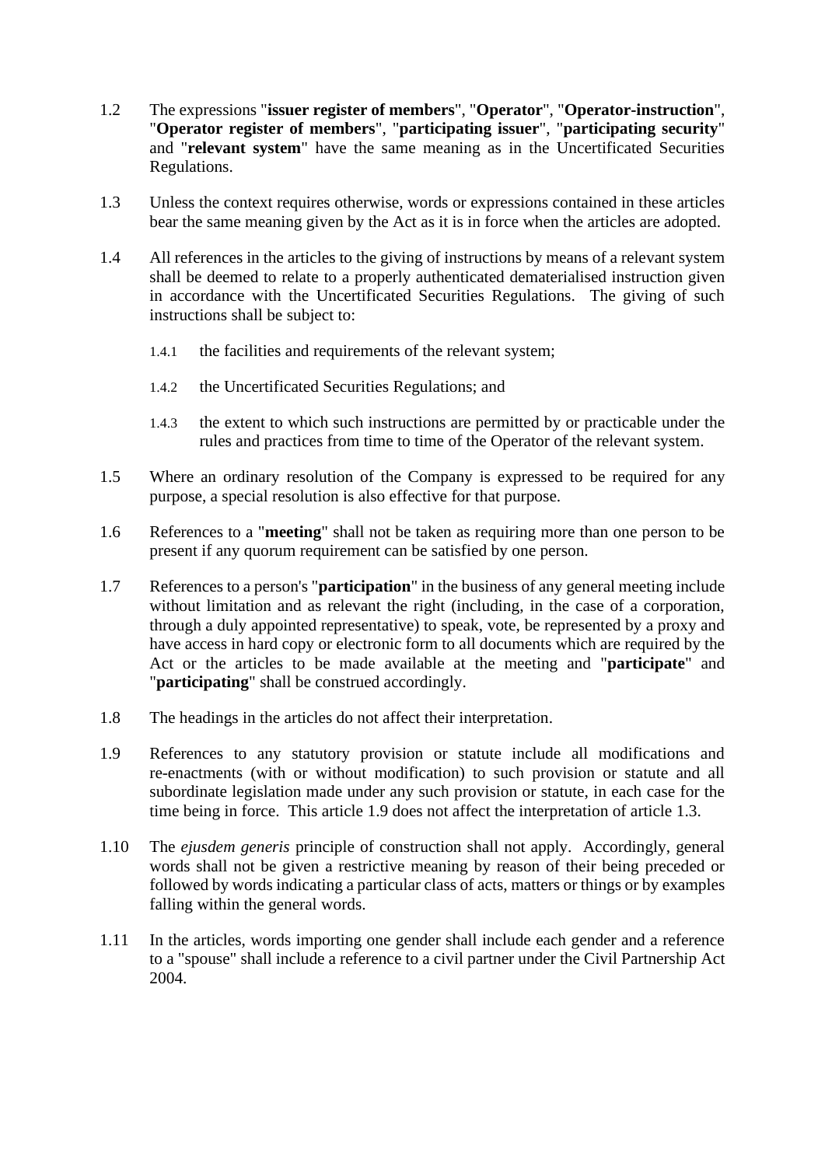- 1.2 The expressions "**issuer register of members**", "**Operator**", "**Operator-instruction**", "**Operator register of members**", "**participating issuer**", "**participating security**" and "**relevant system**" have the same meaning as in the Uncertificated Securities Regulations.
- <span id="page-9-1"></span>1.3 Unless the context requires otherwise, words or expressions contained in these articles bear the same meaning given by the Act as it is in force when the articles are adopted.
- 1.4 All references in the articles to the giving of instructions by means of a relevant system shall be deemed to relate to a properly authenticated dematerialised instruction given in accordance with the Uncertificated Securities Regulations. The giving of such instructions shall be subject to:
	- 1.4.1 the facilities and requirements of the relevant system;
	- 1.4.2 the Uncertificated Securities Regulations; and
	- 1.4.3 the extent to which such instructions are permitted by or practicable under the rules and practices from time to time of the Operator of the relevant system.
- 1.5 Where an ordinary resolution of the Company is expressed to be required for any purpose, a special resolution is also effective for that purpose.
- 1.6 References to a "**meeting**" shall not be taken as requiring more than one person to be present if any quorum requirement can be satisfied by one person.
- 1.7 References to a person's "**participation**" in the business of any general meeting include without limitation and as relevant the right (including, in the case of a corporation, through a duly appointed representative) to speak, vote, be represented by a proxy and have access in hard copy or electronic form to all documents which are required by the Act or the articles to be made available at the meeting and "**participate**" and "**participating**" shall be construed accordingly.
- 1.8 The headings in the articles do not affect their interpretation.
- <span id="page-9-0"></span>1.9 References to any statutory provision or statute include all modifications and re-enactments (with or without modification) to such provision or statute and all subordinate legislation made under any such provision or statute, in each case for the time being in force. This article [1.9](#page-9-0) does not affect the interpretation of article [1.3.](#page-9-1)
- 1.10 The *ejusdem generis* principle of construction shall not apply. Accordingly, general words shall not be given a restrictive meaning by reason of their being preceded or followed by words indicating a particular class of acts, matters or things or by examples falling within the general words.
- 1.11 In the articles, words importing one gender shall include each gender and a reference to a "spouse" shall include a reference to a civil partner under the Civil Partnership Act 2004.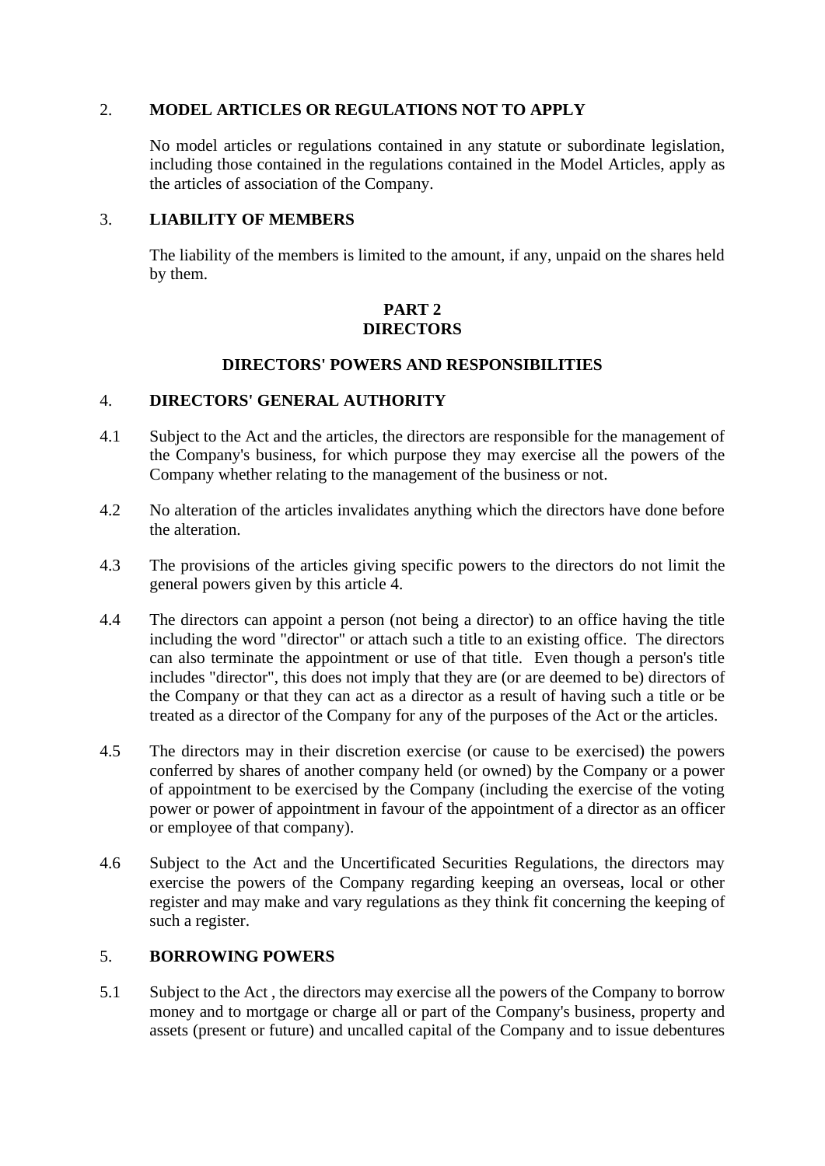## 2. **MODEL ARTICLES OR REGULATIONS NOT TO APPLY**

No model articles or regulations contained in any statute or subordinate legislation, including those contained in the regulations contained in the Model Articles, apply as the articles of association of the Company.

#### 3. **LIABILITY OF MEMBERS**

The liability of the members is limited to the amount, if any, unpaid on the shares held by them.

## **PART 2 DIRECTORS**

#### **DIRECTORS' POWERS AND RESPONSIBILITIES**

#### <span id="page-10-0"></span>4. **DIRECTORS' GENERAL AUTHORITY**

- 4.1 Subject to the Act and the articles, the directors are responsible for the management of the Company's business, for which purpose they may exercise all the powers of the Company whether relating to the management of the business or not.
- 4.2 No alteration of the articles invalidates anything which the directors have done before the alteration.
- 4.3 The provisions of the articles giving specific powers to the directors do not limit the general powers given by this article [4.](#page-10-0)
- 4.4 The directors can appoint a person (not being a director) to an office having the title including the word "director" or attach such a title to an existing office. The directors can also terminate the appointment or use of that title. Even though a person's title includes "director", this does not imply that they are (or are deemed to be) directors of the Company or that they can act as a director as a result of having such a title or be treated as a director of the Company for any of the purposes of the Act or the articles.
- 4.5 The directors may in their discretion exercise (or cause to be exercised) the powers conferred by shares of another company held (or owned) by the Company or a power of appointment to be exercised by the Company (including the exercise of the voting power or power of appointment in favour of the appointment of a director as an officer or employee of that company).
- 4.6 Subject to the Act and the Uncertificated Securities Regulations, the directors may exercise the powers of the Company regarding keeping an overseas, local or other register and may make and vary regulations as they think fit concerning the keeping of such a register.

#### 5. **BORROWING POWERS**

5.1 Subject to the Act , the directors may exercise all the powers of the Company to borrow money and to mortgage or charge all or part of the Company's business, property and assets (present or future) and uncalled capital of the Company and to issue debentures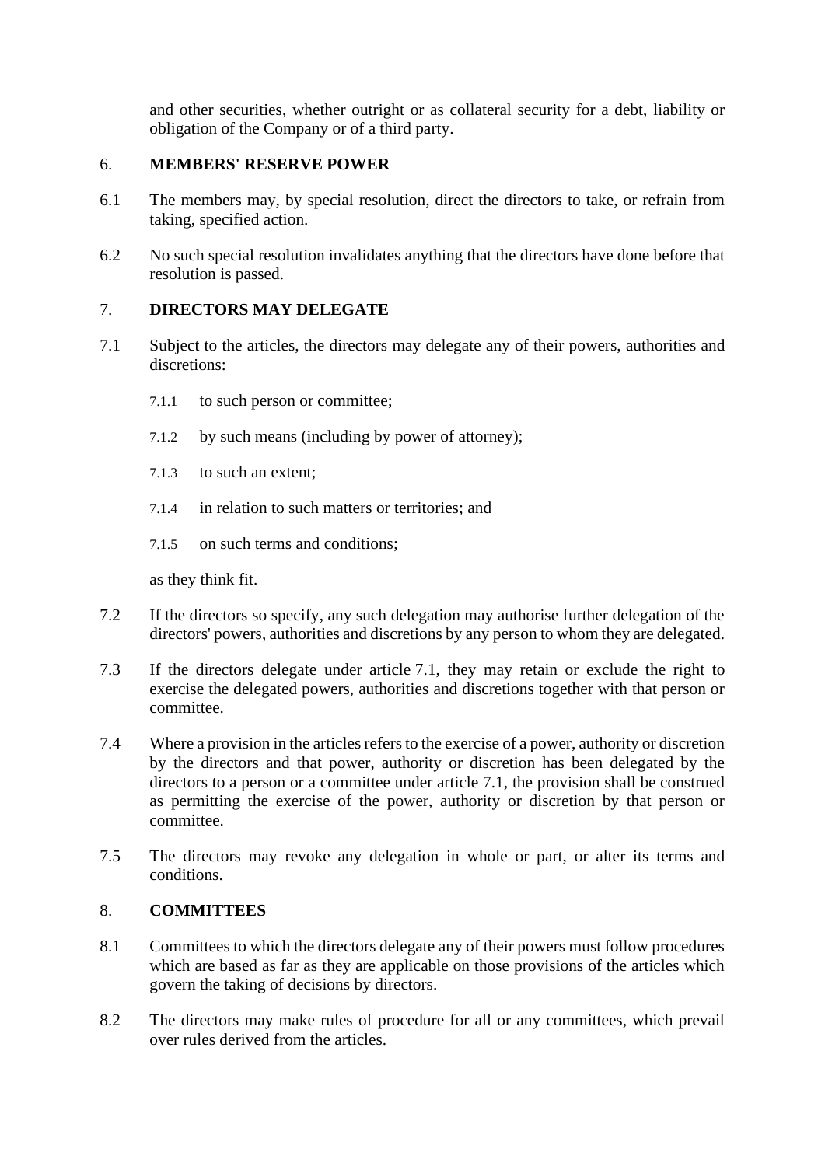and other securities, whether outright or as collateral security for a debt, liability or obligation of the Company or of a third party.

## 6. **MEMBERS' RESERVE POWER**

- 6.1 The members may, by special resolution, direct the directors to take, or refrain from taking, specified action.
- 6.2 No such special resolution invalidates anything that the directors have done before that resolution is passed.

## 7. **DIRECTORS MAY DELEGATE**

- <span id="page-11-0"></span>7.1 Subject to the articles, the directors may delegate any of their powers, authorities and discretions:
	- 7.1.1 to such person or committee;
	- 7.1.2 by such means (including by power of attorney);
	- 7.1.3 to such an extent;
	- 7.1.4 in relation to such matters or territories; and
	- 7.1.5 on such terms and conditions;

as they think fit.

- 7.2 If the directors so specify, any such delegation may authorise further delegation of the directors' powers, authorities and discretions by any person to whom they are delegated.
- 7.3 If the directors delegate under article [7.1,](#page-11-0) they may retain or exclude the right to exercise the delegated powers, authorities and discretions together with that person or committee.
- 7.4 Where a provision in the articles refers to the exercise of a power, authority or discretion by the directors and that power, authority or discretion has been delegated by the directors to a person or a committee under article [7.1,](#page-11-0) the provision shall be construed as permitting the exercise of the power, authority or discretion by that person or committee.
- 7.5 The directors may revoke any delegation in whole or part, or alter its terms and conditions.

## 8. **COMMITTEES**

- 8.1 Committees to which the directors delegate any of their powers must follow procedures which are based as far as they are applicable on those provisions of the articles which govern the taking of decisions by directors.
- 8.2 The directors may make rules of procedure for all or any committees, which prevail over rules derived from the articles.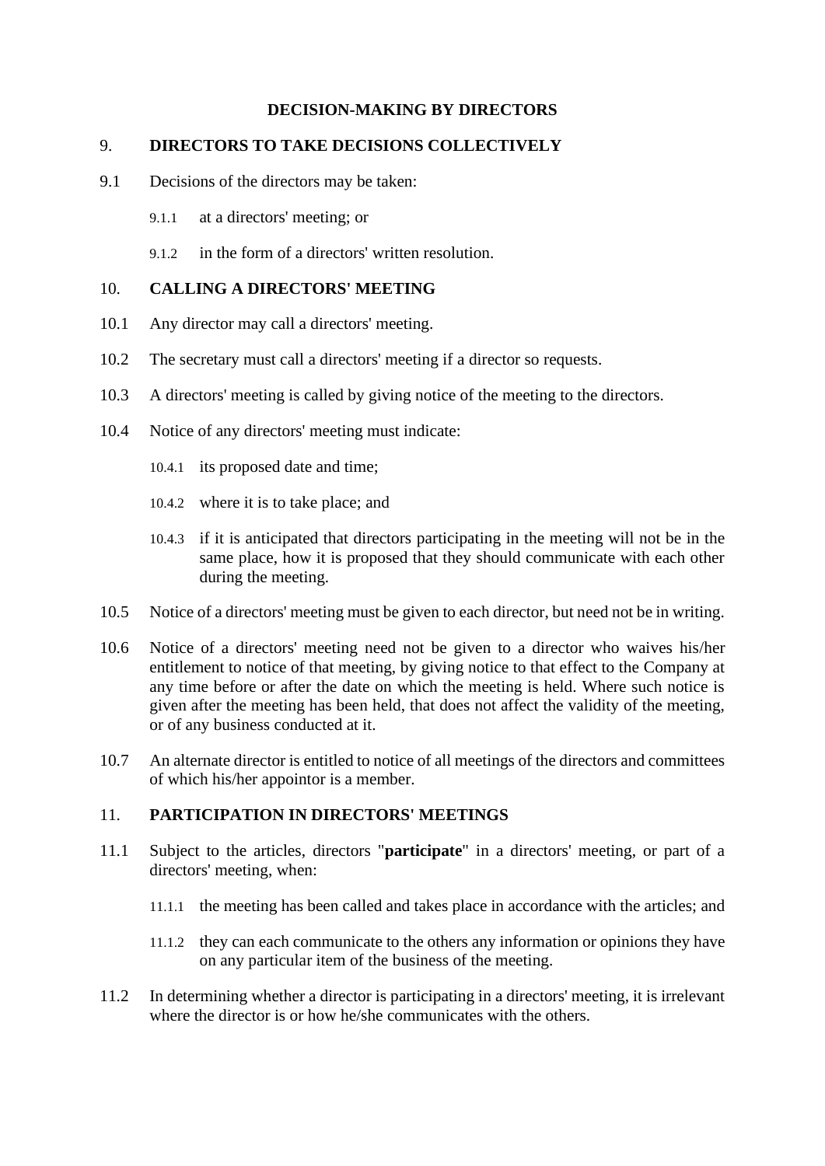## **DECISION-MAKING BY DIRECTORS**

#### 9. **DIRECTORS TO TAKE DECISIONS COLLECTIVELY**

- 9.1 Decisions of the directors may be taken:
	- 9.1.1 at a directors' meeting; or
	- 9.1.2 in the form of a directors' written resolution.

#### 10. **CALLING A DIRECTORS' MEETING**

- 10.1 Any director may call a directors' meeting.
- 10.2 The secretary must call a directors' meeting if a director so requests.
- 10.3 A directors' meeting is called by giving notice of the meeting to the directors.
- 10.4 Notice of any directors' meeting must indicate:
	- 10.4.1 its proposed date and time;
	- 10.4.2 where it is to take place; and
	- 10.4.3 if it is anticipated that directors participating in the meeting will not be in the same place, how it is proposed that they should communicate with each other during the meeting.
- 10.5 Notice of a directors' meeting must be given to each director, but need not be in writing.
- 10.6 Notice of a directors' meeting need not be given to a director who waives his/her entitlement to notice of that meeting, by giving notice to that effect to the Company at any time before or after the date on which the meeting is held. Where such notice is given after the meeting has been held, that does not affect the validity of the meeting, or of any business conducted at it.
- 10.7 An alternate director is entitled to notice of all meetings of the directors and committees of which his/her appointor is a member.

## 11. **PARTICIPATION IN DIRECTORS' MEETINGS**

- <span id="page-12-0"></span>11.1 Subject to the articles, directors "**participate**" in a directors' meeting, or part of a directors' meeting, when:
	- 11.1.1 the meeting has been called and takes place in accordance with the articles; and
	- 11.1.2 they can each communicate to the others any information or opinions they have on any particular item of the business of the meeting.
- 11.2 In determining whether a director is participating in a directors' meeting, it is irrelevant where the director is or how he/she communicates with the others.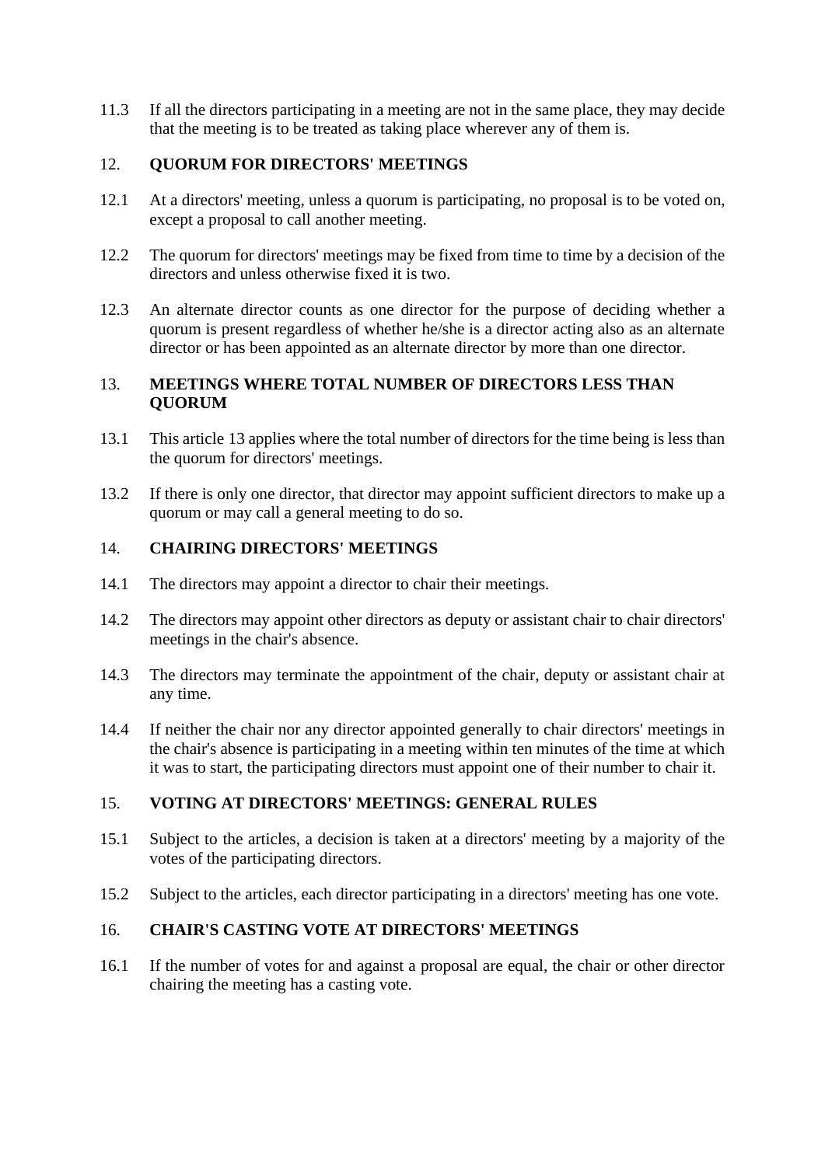11.3 If all the directors participating in a meeting are not in the same place, they may decide that the meeting is to be treated as taking place wherever any of them is.

## 12. **QUORUM FOR DIRECTORS' MEETINGS**

- 12.1 At a directors' meeting, unless a quorum is participating, no proposal is to be voted on, except a proposal to call another meeting.
- 12.2 The quorum for directors' meetings may be fixed from time to time by a decision of the directors and unless otherwise fixed it is two.
- 12.3 An alternate director counts as one director for the purpose of deciding whether a quorum is present regardless of whether he/she is a director acting also as an alternate director or has been appointed as an alternate director by more than one director.

## <span id="page-13-1"></span>13. **MEETINGS WHERE TOTAL NUMBER OF DIRECTORS LESS THAN QUORUM**

- 13.1 This article [13](#page-13-1) applies where the total number of directors for the time being is less than the quorum for directors' meetings.
- <span id="page-13-2"></span>13.2 If there is only one director, that director may appoint sufficient directors to make up a quorum or may call a general meeting to do so.

#### 14. **CHAIRING DIRECTORS' MEETINGS**

- <span id="page-13-0"></span>14.1 The directors may appoint a director to chair their meetings.
- 14.2 The directors may appoint other directors as deputy or assistant chair to chair directors' meetings in the chair's absence.
- 14.3 The directors may terminate the appointment of the chair, deputy or assistant chair at any time.
- 14.4 If neither the chair nor any director appointed generally to chair directors' meetings in the chair's absence is participating in a meeting within ten minutes of the time at which it was to start, the participating directors must appoint one of their number to chair it.

## 15. **VOTING AT DIRECTORS' MEETINGS: GENERAL RULES**

- 15.1 Subject to the articles, a decision is taken at a directors' meeting by a majority of the votes of the participating directors.
- 15.2 Subject to the articles, each director participating in a directors' meeting has one vote.

#### 16. **CHAIR'S CASTING VOTE AT DIRECTORS' MEETINGS**

16.1 If the number of votes for and against a proposal are equal, the chair or other director chairing the meeting has a casting vote.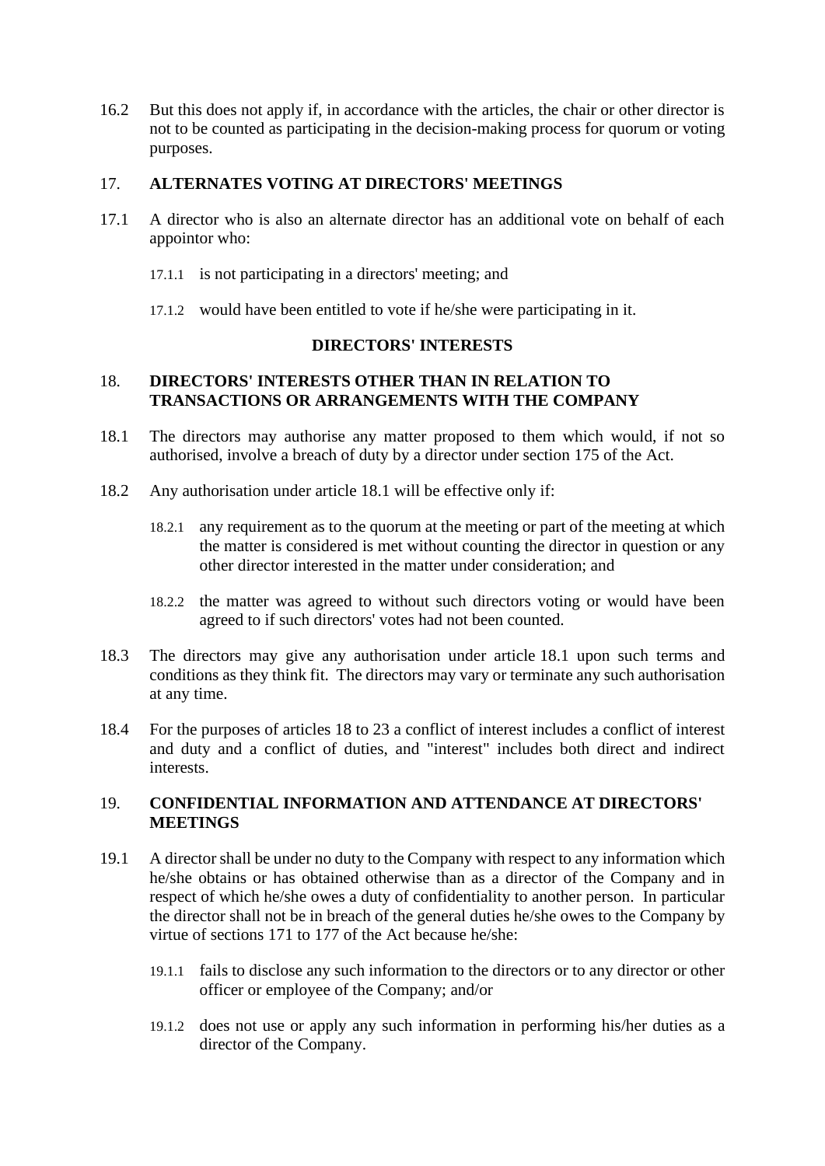16.2 But this does not apply if, in accordance with the articles, the chair or other director is not to be counted as participating in the decision-making process for quorum or voting purposes.

## 17. **ALTERNATES VOTING AT DIRECTORS' MEETINGS**

- 17.1 A director who is also an alternate director has an additional vote on behalf of each appointor who:
	- 17.1.1 is not participating in a directors' meeting; and
	- 17.1.2 would have been entitled to vote if he/she were participating in it.

## **DIRECTORS' INTERESTS**

#### <span id="page-14-1"></span>18. **DIRECTORS' INTERESTS OTHER THAN IN RELATION TO TRANSACTIONS OR ARRANGEMENTS WITH THE COMPANY**

- <span id="page-14-0"></span>18.1 The directors may authorise any matter proposed to them which would, if not so authorised, involve a breach of duty by a director under section 175 of the Act.
- 18.2 Any authorisation under article [18.1](#page-14-0) will be effective only if:
	- 18.2.1 any requirement as to the quorum at the meeting or part of the meeting at which the matter is considered is met without counting the director in question or any other director interested in the matter under consideration; and
	- 18.2.2 the matter was agreed to without such directors voting or would have been agreed to if such directors' votes had not been counted.
- 18.3 The directors may give any authorisation under article [18.1](#page-14-0) upon such terms and conditions as they think fit. The directors may vary or terminate any such authorisation at any time.
- 18.4 For the purposes of articles [18](#page-14-1) to [23](#page-17-0) a conflict of interest includes a conflict of interest and duty and a conflict of duties, and "interest" includes both direct and indirect interests.

## 19. **CONFIDENTIAL INFORMATION AND ATTENDANCE AT DIRECTORS' MEETINGS**

- <span id="page-14-2"></span>19.1 A director shall be under no duty to the Company with respect to any information which he/she obtains or has obtained otherwise than as a director of the Company and in respect of which he/she owes a duty of confidentiality to another person. In particular the director shall not be in breach of the general duties he/she owes to the Company by virtue of sections 171 to 177 of the Act because he/she:
	- 19.1.1 fails to disclose any such information to the directors or to any director or other officer or employee of the Company; and/or
	- 19.1.2 does not use or apply any such information in performing his/her duties as a director of the Company.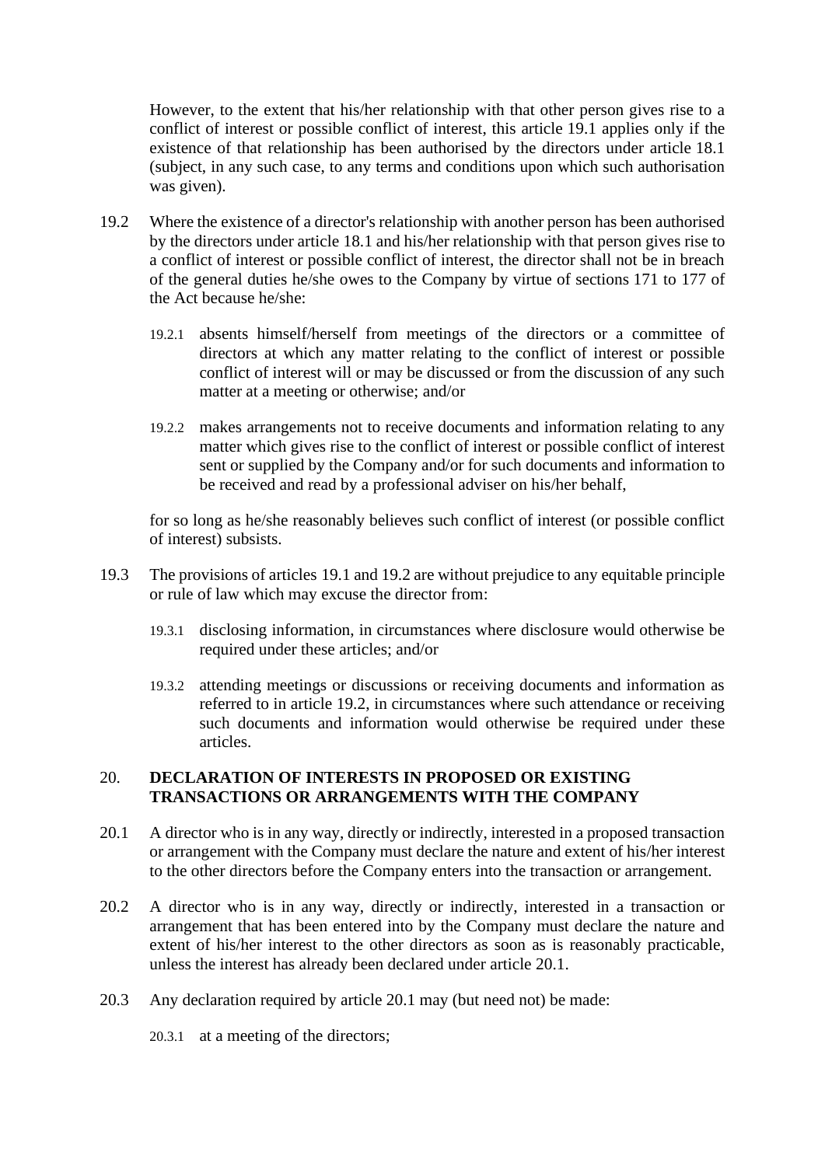However, to the extent that his/her relationship with that other person gives rise to a conflict of interest or possible conflict of interest, this article [19.1](#page-14-2) applies only if the existence of that relationship has been authorised by the directors under article [18.1](#page-14-0) (subject, in any such case, to any terms and conditions upon which such authorisation was given).

- <span id="page-15-0"></span>19.2 Where the existence of a director's relationship with another person has been authorised by the directors under article [18.1](#page-14-0) and his/her relationship with that person gives rise to a conflict of interest or possible conflict of interest, the director shall not be in breach of the general duties he/she owes to the Company by virtue of sections 171 to 177 of the Act because he/she:
	- 19.2.1 absents himself/herself from meetings of the directors or a committee of directors at which any matter relating to the conflict of interest or possible conflict of interest will or may be discussed or from the discussion of any such matter at a meeting or otherwise; and/or
	- 19.2.2 makes arrangements not to receive documents and information relating to any matter which gives rise to the conflict of interest or possible conflict of interest sent or supplied by the Company and/or for such documents and information to be received and read by a professional adviser on his/her behalf,

for so long as he/she reasonably believes such conflict of interest (or possible conflict of interest) subsists.

- 19.3 The provisions of articles [19.1](#page-14-2) and [19.2](#page-15-0) are without prejudice to any equitable principle or rule of law which may excuse the director from:
	- 19.3.1 disclosing information, in circumstances where disclosure would otherwise be required under these articles; and/or
	- 19.3.2 attending meetings or discussions or receiving documents and information as referred to in article [19.2,](#page-15-0) in circumstances where such attendance or receiving such documents and information would otherwise be required under these articles.

## <span id="page-15-3"></span>20. **DECLARATION OF INTERESTS IN PROPOSED OR EXISTING TRANSACTIONS OR ARRANGEMENTS WITH THE COMPANY**

- <span id="page-15-1"></span>20.1 A director who is in any way, directly or indirectly, interested in a proposed transaction or arrangement with the Company must declare the nature and extent of his/her interest to the other directors before the Company enters into the transaction or arrangement.
- <span id="page-15-2"></span>20.2 A director who is in any way, directly or indirectly, interested in a transaction or arrangement that has been entered into by the Company must declare the nature and extent of his/her interest to the other directors as soon as is reasonably practicable, unless the interest has already been declared under article [20.1.](#page-15-1)
- 20.3 Any declaration required by article [20.1](#page-15-1) may (but need not) be made:
	- 20.3.1 at a meeting of the directors;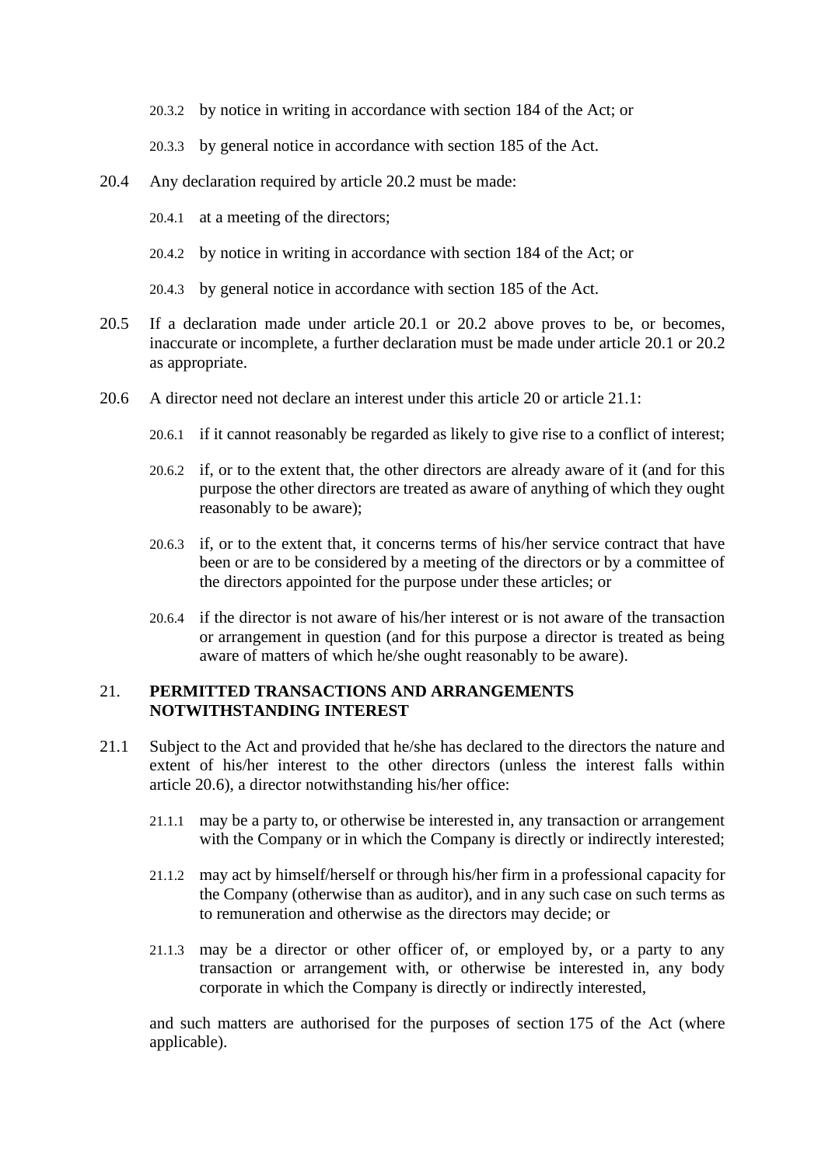- 20.3.2 by notice in writing in accordance with section 184 of the Act; or
- 20.3.3 by general notice in accordance with section 185 of the Act.
- 20.4 Any declaration required by article [20.2](#page-15-2) must be made:
	- 20.4.1 at a meeting of the directors;
	- 20.4.2 by notice in writing in accordance with section 184 of the Act; or
	- 20.4.3 by general notice in accordance with section 185 of the Act.
- 20.5 If a declaration made under article [20.1](#page-15-1) or [20.2](#page-15-2) above proves to be, or becomes, inaccurate or incomplete, a further declaration must be made under article [20.1](#page-15-1) or [20.2](#page-15-2) as appropriate.
- <span id="page-16-1"></span>20.6 A director need not declare an interest under this article [20](#page-15-3) or article [21.1:](#page-16-0)
	- 20.6.1 if it cannot reasonably be regarded as likely to give rise to a conflict of interest;
	- 20.6.2 if, or to the extent that, the other directors are already aware of it (and for this purpose the other directors are treated as aware of anything of which they ought reasonably to be aware);
	- 20.6.3 if, or to the extent that, it concerns terms of his/her service contract that have been or are to be considered by a meeting of the directors or by a committee of the directors appointed for the purpose under these articles; or
	- 20.6.4 if the director is not aware of his/her interest or is not aware of the transaction or arrangement in question (and for this purpose a director is treated as being aware of matters of which he/she ought reasonably to be aware).

## <span id="page-16-2"></span>21. **PERMITTED TRANSACTIONS AND ARRANGEMENTS NOTWITHSTANDING INTEREST**

- <span id="page-16-0"></span>21.1 Subject to the Act and provided that he/she has declared to the directors the nature and extent of his/her interest to the other directors (unless the interest falls within article [20.6\)](#page-16-1), a director notwithstanding his/her office:
	- 21.1.1 may be a party to, or otherwise be interested in, any transaction or arrangement with the Company or in which the Company is directly or indirectly interested;
	- 21.1.2 may act by himself/herself or through his/her firm in a professional capacity for the Company (otherwise than as auditor), and in any such case on such terms as to remuneration and otherwise as the directors may decide; or
	- 21.1.3 may be a director or other officer of, or employed by, or a party to any transaction or arrangement with, or otherwise be interested in, any body corporate in which the Company is directly or indirectly interested,

and such matters are authorised for the purposes of section 175 of the Act (where applicable).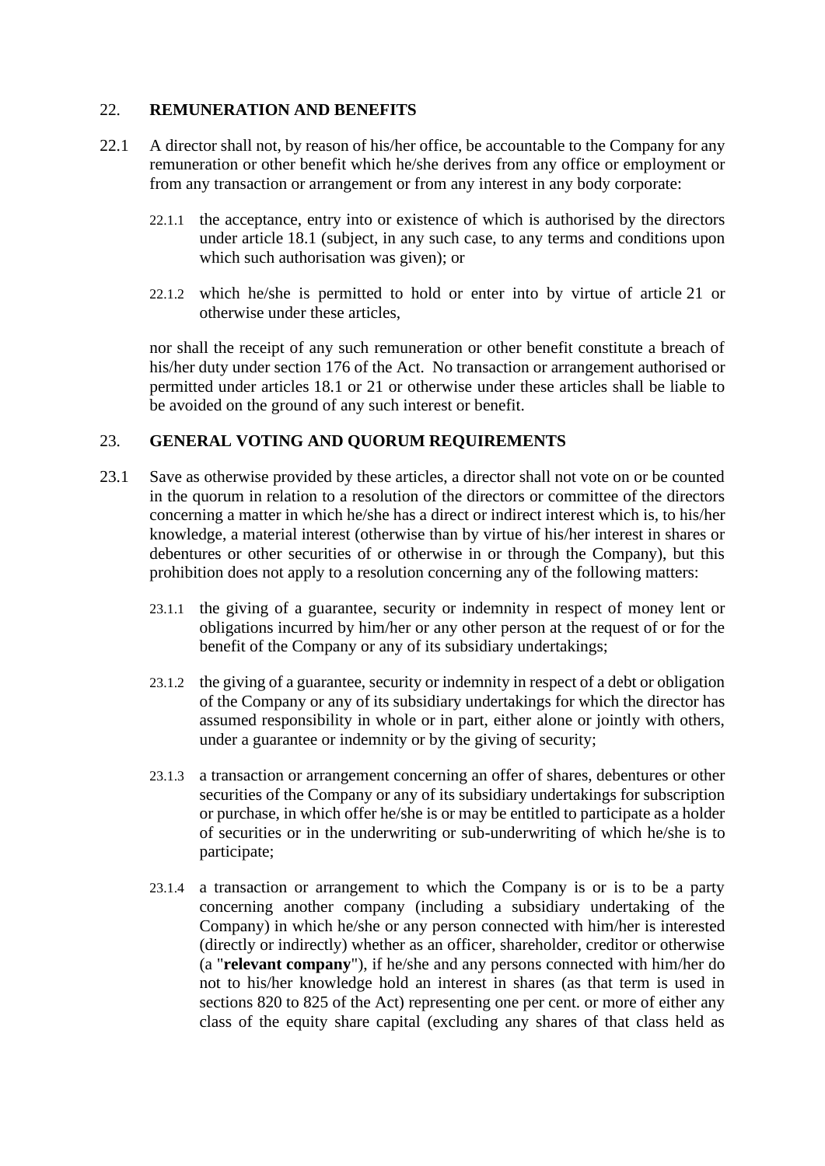## 22. **REMUNERATION AND BENEFITS**

- 22.1 A director shall not, by reason of his/her office, be accountable to the Company for any remuneration or other benefit which he/she derives from any office or employment or from any transaction or arrangement or from any interest in any body corporate:
	- 22.1.1 the acceptance, entry into or existence of which is authorised by the directors under article [18.1](#page-14-0) (subject, in any such case, to any terms and conditions upon which such authorisation was given); or
	- 22.1.2 which he/she is permitted to hold or enter into by virtue of article [21](#page-16-2) or otherwise under these articles,

nor shall the receipt of any such remuneration or other benefit constitute a breach of his/her duty under section 176 of the Act. No transaction or arrangement authorised or permitted under articles [18.1](#page-14-0) or [21](#page-16-2) or otherwise under these articles shall be liable to be avoided on the ground of any such interest or benefit.

#### <span id="page-17-0"></span>23. **GENERAL VOTING AND QUORUM REQUIREMENTS**

- 23.1 Save as otherwise provided by these articles, a director shall not vote on or be counted in the quorum in relation to a resolution of the directors or committee of the directors concerning a matter in which he/she has a direct or indirect interest which is, to his/her knowledge, a material interest (otherwise than by virtue of his/her interest in shares or debentures or other securities of or otherwise in or through the Company), but this prohibition does not apply to a resolution concerning any of the following matters:
	- 23.1.1 the giving of a guarantee, security or indemnity in respect of money lent or obligations incurred by him/her or any other person at the request of or for the benefit of the Company or any of its subsidiary undertakings;
	- 23.1.2 the giving of a guarantee, security or indemnity in respect of a debt or obligation of the Company or any of its subsidiary undertakings for which the director has assumed responsibility in whole or in part, either alone or jointly with others, under a guarantee or indemnity or by the giving of security;
	- 23.1.3 a transaction or arrangement concerning an offer of shares, debentures or other securities of the Company or any of its subsidiary undertakings for subscription or purchase, in which offer he/she is or may be entitled to participate as a holder of securities or in the underwriting or sub-underwriting of which he/she is to participate;
	- 23.1.4 a transaction or arrangement to which the Company is or is to be a party concerning another company (including a subsidiary undertaking of the Company) in which he/she or any person connected with him/her is interested (directly or indirectly) whether as an officer, shareholder, creditor or otherwise (a "**relevant company**"), if he/she and any persons connected with him/her do not to his/her knowledge hold an interest in shares (as that term is used in sections 820 to 825 of the Act) representing one per cent. or more of either any class of the equity share capital (excluding any shares of that class held as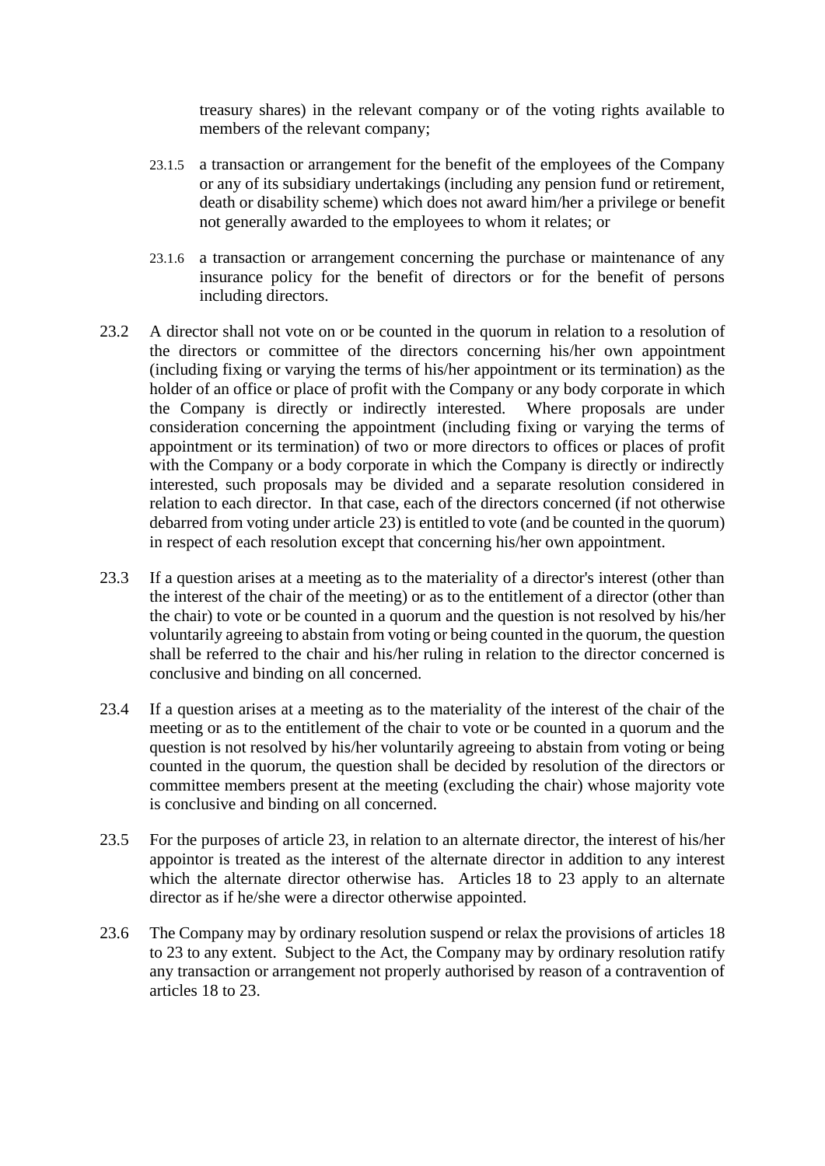treasury shares) in the relevant company or of the voting rights available to members of the relevant company;

- 23.1.5 a transaction or arrangement for the benefit of the employees of the Company or any of its subsidiary undertakings (including any pension fund or retirement, death or disability scheme) which does not award him/her a privilege or benefit not generally awarded to the employees to whom it relates; or
- 23.1.6 a transaction or arrangement concerning the purchase or maintenance of any insurance policy for the benefit of directors or for the benefit of persons including directors.
- 23.2 A director shall not vote on or be counted in the quorum in relation to a resolution of the directors or committee of the directors concerning his/her own appointment (including fixing or varying the terms of his/her appointment or its termination) as the holder of an office or place of profit with the Company or any body corporate in which the Company is directly or indirectly interested. Where proposals are under consideration concerning the appointment (including fixing or varying the terms of appointment or its termination) of two or more directors to offices or places of profit with the Company or a body corporate in which the Company is directly or indirectly interested, such proposals may be divided and a separate resolution considered in relation to each director. In that case, each of the directors concerned (if not otherwise debarred from voting under article [23\)](#page-17-0) is entitled to vote (and be counted in the quorum) in respect of each resolution except that concerning his/her own appointment.
- 23.3 If a question arises at a meeting as to the materiality of a director's interest (other than the interest of the chair of the meeting) or as to the entitlement of a director (other than the chair) to vote or be counted in a quorum and the question is not resolved by his/her voluntarily agreeing to abstain from voting or being counted in the quorum, the question shall be referred to the chair and his/her ruling in relation to the director concerned is conclusive and binding on all concerned.
- 23.4 If a question arises at a meeting as to the materiality of the interest of the chair of the meeting or as to the entitlement of the chair to vote or be counted in a quorum and the question is not resolved by his/her voluntarily agreeing to abstain from voting or being counted in the quorum, the question shall be decided by resolution of the directors or committee members present at the meeting (excluding the chair) whose majority vote is conclusive and binding on all concerned.
- 23.5 For the purposes of article [23,](#page-17-0) in relation to an alternate director, the interest of his/her appointor is treated as the interest of the alternate director in addition to any interest which the alternate director otherwise has. Articles [18](#page-14-1) to [23](#page-17-0) apply to an alternate director as if he/she were a director otherwise appointed.
- 23.6 The Company may by ordinary resolution suspend or relax the provisions of articles [18](#page-14-1) to [23](#page-17-0) to any extent. Subject to the Act, the Company may by ordinary resolution ratify any transaction or arrangement not properly authorised by reason of a contravention of articles [18](#page-14-1) to [23.](#page-17-0)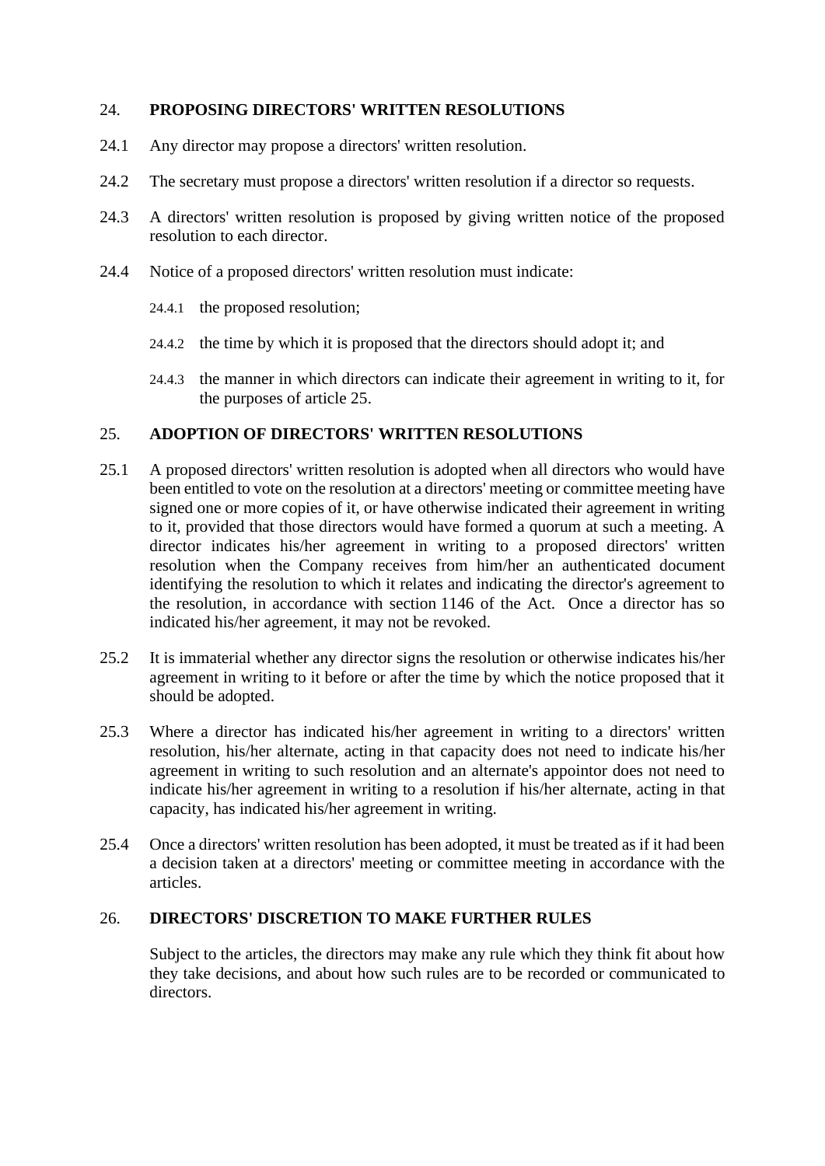## 24. **PROPOSING DIRECTORS' WRITTEN RESOLUTIONS**

- 24.1 Any director may propose a directors' written resolution.
- 24.2 The secretary must propose a directors' written resolution if a director so requests.
- 24.3 A directors' written resolution is proposed by giving written notice of the proposed resolution to each director.
- 24.4 Notice of a proposed directors' written resolution must indicate:
	- 24.4.1 the proposed resolution;
	- 24.4.2 the time by which it is proposed that the directors should adopt it; and
	- 24.4.3 the manner in which directors can indicate their agreement in writing to it, for the purposes of article [25.](#page-19-0)

## <span id="page-19-0"></span>25. **ADOPTION OF DIRECTORS' WRITTEN RESOLUTIONS**

- 25.1 A proposed directors' written resolution is adopted when all directors who would have been entitled to vote on the resolution at a directors' meeting or committee meeting have signed one or more copies of it, or have otherwise indicated their agreement in writing to it, provided that those directors would have formed a quorum at such a meeting. A director indicates his/her agreement in writing to a proposed directors' written resolution when the Company receives from him/her an authenticated document identifying the resolution to which it relates and indicating the director's agreement to the resolution, in accordance with section 1146 of the Act. Once a director has so indicated his/her agreement, it may not be revoked.
- 25.2 It is immaterial whether any director signs the resolution or otherwise indicates his/her agreement in writing to it before or after the time by which the notice proposed that it should be adopted.
- 25.3 Where a director has indicated his/her agreement in writing to a directors' written resolution, his/her alternate, acting in that capacity does not need to indicate his/her agreement in writing to such resolution and an alternate's appointor does not need to indicate his/her agreement in writing to a resolution if his/her alternate, acting in that capacity, has indicated his/her agreement in writing.
- 25.4 Once a directors' written resolution has been adopted, it must be treated as if it had been a decision taken at a directors' meeting or committee meeting in accordance with the articles.

#### 26. **DIRECTORS' DISCRETION TO MAKE FURTHER RULES**

Subject to the articles, the directors may make any rule which they think fit about how they take decisions, and about how such rules are to be recorded or communicated to directors.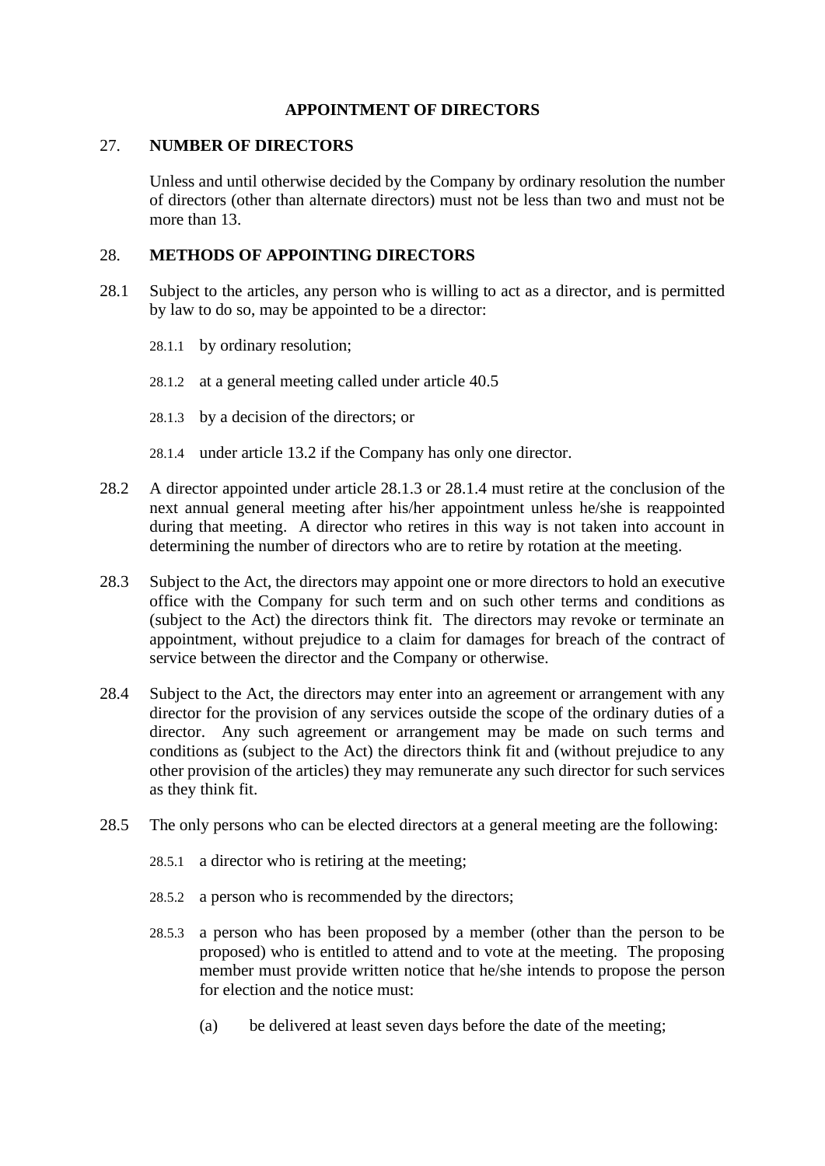#### **APPOINTMENT OF DIRECTORS**

#### <span id="page-20-2"></span>27. **NUMBER OF DIRECTORS**

Unless and until otherwise decided by the Company by ordinary resolution the number of directors (other than alternate directors) must not be less than two and must not be more than 13.

#### 28. **METHODS OF APPOINTING DIRECTORS**

- 28.1 Subject to the articles, any person who is willing to act as a director, and is permitted by law to do so, may be appointed to be a director:
	- 28.1.1 by ordinary resolution;
	- 28.1.2 at a general meeting called under article [40.5](#page-28-0)
	- 28.1.3 by a decision of the directors; or
	- 28.1.4 under article [13.2](#page-13-2) if the Company has only one director.
- <span id="page-20-1"></span><span id="page-20-0"></span>28.2 A director appointed under article [28.1.3](#page-20-0) or [28.1.4](#page-20-1) must retire at the conclusion of the next annual general meeting after his/her appointment unless he/she is reappointed during that meeting. A director who retires in this way is not taken into account in determining the number of directors who are to retire by rotation at the meeting.
- 28.3 Subject to the Act, the directors may appoint one or more directors to hold an executive office with the Company for such term and on such other terms and conditions as (subject to the Act) the directors think fit. The directors may revoke or terminate an appointment, without prejudice to a claim for damages for breach of the contract of service between the director and the Company or otherwise.
- 28.4 Subject to the Act, the directors may enter into an agreement or arrangement with any director for the provision of any services outside the scope of the ordinary duties of a director. Any such agreement or arrangement may be made on such terms and conditions as (subject to the Act) the directors think fit and (without prejudice to any other provision of the articles) they may remunerate any such director for such services as they think fit.
- 28.5 The only persons who can be elected directors at a general meeting are the following:
	- 28.5.1 a director who is retiring at the meeting;
	- 28.5.2 a person who is recommended by the directors;
	- 28.5.3 a person who has been proposed by a member (other than the person to be proposed) who is entitled to attend and to vote at the meeting. The proposing member must provide written notice that he/she intends to propose the person for election and the notice must:
		- (a) be delivered at least seven days before the date of the meeting;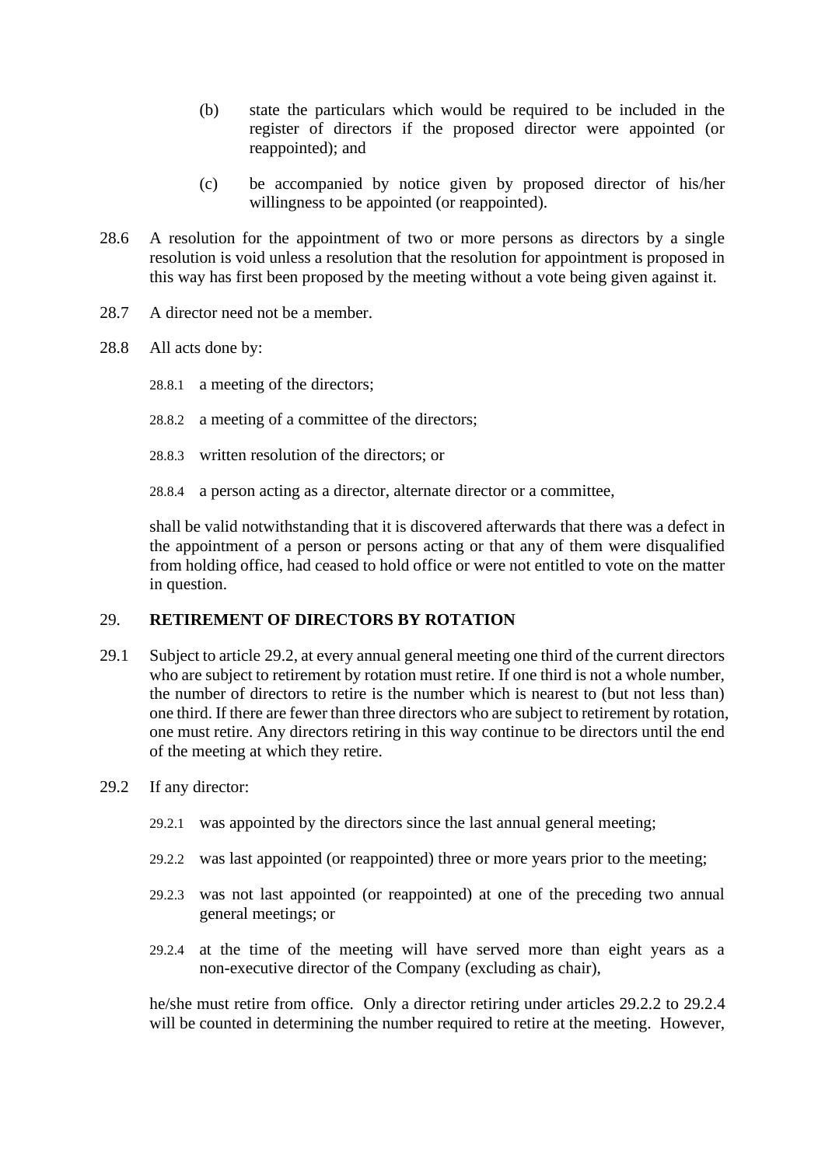- (b) state the particulars which would be required to be included in the register of directors if the proposed director were appointed (or reappointed); and
- (c) be accompanied by notice given by proposed director of his/her willingness to be appointed (or reappointed).
- 28.6 A resolution for the appointment of two or more persons as directors by a single resolution is void unless a resolution that the resolution for appointment is proposed in this way has first been proposed by the meeting without a vote being given against it.
- 28.7 A director need not be a member.
- 28.8 All acts done by:
	- 28.8.1 a meeting of the directors;
	- 28.8.2 a meeting of a committee of the directors;
	- 28.8.3 written resolution of the directors; or
	- 28.8.4 a person acting as a director, alternate director or a committee,

shall be valid notwithstanding that it is discovered afterwards that there was a defect in the appointment of a person or persons acting or that any of them were disqualified from holding office, had ceased to hold office or were not entitled to vote on the matter in question.

#### 29. **RETIREMENT OF DIRECTORS BY ROTATION**

- <span id="page-21-3"></span>29.1 Subject to article [29.2,](#page-21-0) at every annual general meeting one third of the current directors who are subject to retirement by rotation must retire. If one third is not a whole number, the number of directors to retire is the number which is nearest to (but not less than) one third. If there are fewer than three directors who are subject to retirement by rotation, one must retire. Any directors retiring in this way continue to be directors until the end of the meeting at which they retire.
- <span id="page-21-1"></span><span id="page-21-0"></span>29.2 If any director:
	- 29.2.1 was appointed by the directors since the last annual general meeting;
	- 29.2.2 was last appointed (or reappointed) three or more years prior to the meeting;
	- 29.2.3 was not last appointed (or reappointed) at one of the preceding two annual general meetings; or
	- 29.2.4 at the time of the meeting will have served more than eight years as a non-executive director of the Company (excluding as chair),

<span id="page-21-2"></span>he/she must retire from office. Only a director retiring under articles [29.2.2](#page-21-1) to [29.2.4](#page-21-2) will be counted in determining the number required to retire at the meeting. However,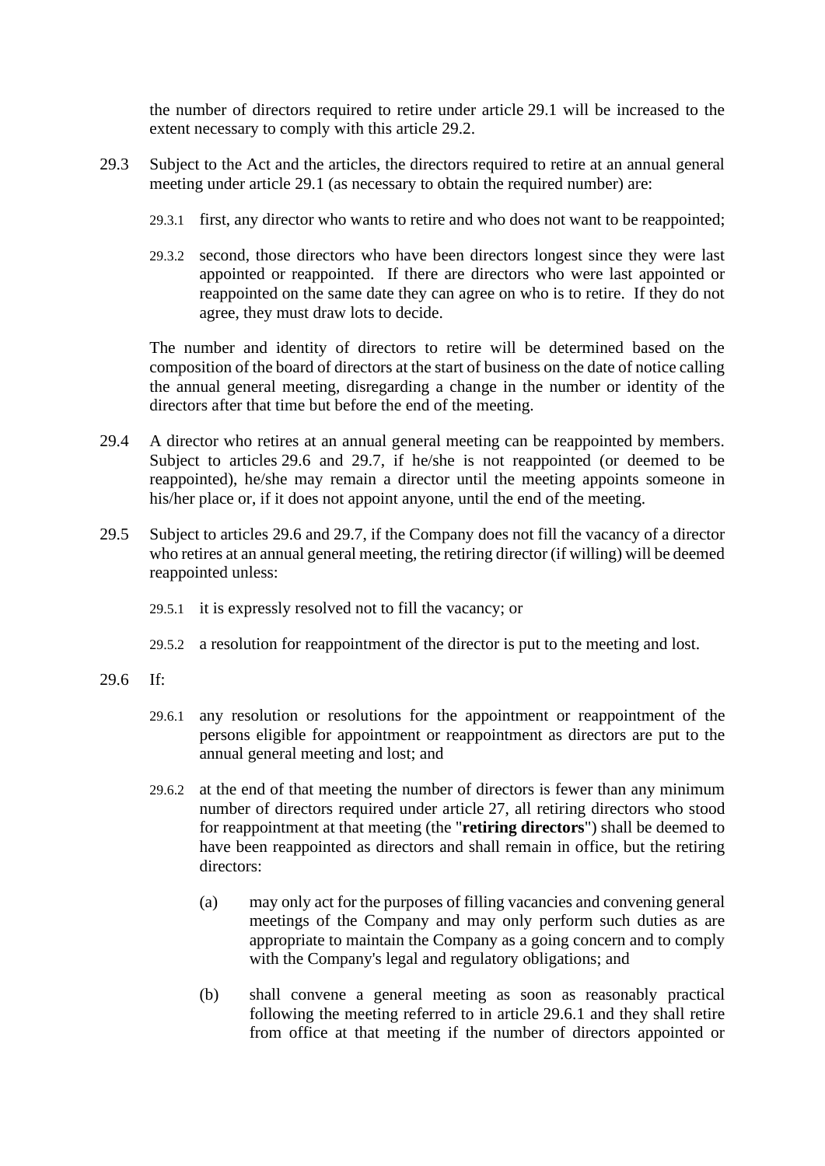the number of directors required to retire under article [29.1](#page-21-3) will be increased to the extent necessary to comply with this article [29.2.](#page-21-0)

- 29.3 Subject to the Act and the articles, the directors required to retire at an annual general meeting under article [29.1](#page-21-3) (as necessary to obtain the required number) are:
	- 29.3.1 first, any director who wants to retire and who does not want to be reappointed;
	- 29.3.2 second, those directors who have been directors longest since they were last appointed or reappointed. If there are directors who were last appointed or reappointed on the same date they can agree on who is to retire. If they do not agree, they must draw lots to decide.

The number and identity of directors to retire will be determined based on the composition of the board of directors at the start of business on the date of notice calling the annual general meeting, disregarding a change in the number or identity of the directors after that time but before the end of the meeting.

- 29.4 A director who retires at an annual general meeting can be reappointed by members. Subject to articles [29.6](#page-22-0) and [29.7,](#page-23-0) if he/she is not reappointed (or deemed to be reappointed), he/she may remain a director until the meeting appoints someone in his/her place or, if it does not appoint anyone, until the end of the meeting.
- 29.5 Subject to articles [29.6](#page-22-0) and [29.7,](#page-23-0) if the Company does not fill the vacancy of a director who retires at an annual general meeting, the retiring director (if willing) will be deemed reappointed unless:
	- 29.5.1 it is expressly resolved not to fill the vacancy; or
	- 29.5.2 a resolution for reappointment of the director is put to the meeting and lost.
- <span id="page-22-2"></span><span id="page-22-1"></span><span id="page-22-0"></span>29.6 If:
	- 29.6.1 any resolution or resolutions for the appointment or reappointment of the persons eligible for appointment or reappointment as directors are put to the annual general meeting and lost; and
	- 29.6.2 at the end of that meeting the number of directors is fewer than any minimum number of directors required under article [27,](#page-20-2) all retiring directors who stood for reappointment at that meeting (the "**retiring directors**") shall be deemed to have been reappointed as directors and shall remain in office, but the retiring directors<sup>.</sup>
		- (a) may only act for the purposes of filling vacancies and convening general meetings of the Company and may only perform such duties as are appropriate to maintain the Company as a going concern and to comply with the Company's legal and regulatory obligations; and
		- (b) shall convene a general meeting as soon as reasonably practical following the meeting referred to in article [29.6.1](#page-22-1) and they shall retire from office at that meeting if the number of directors appointed or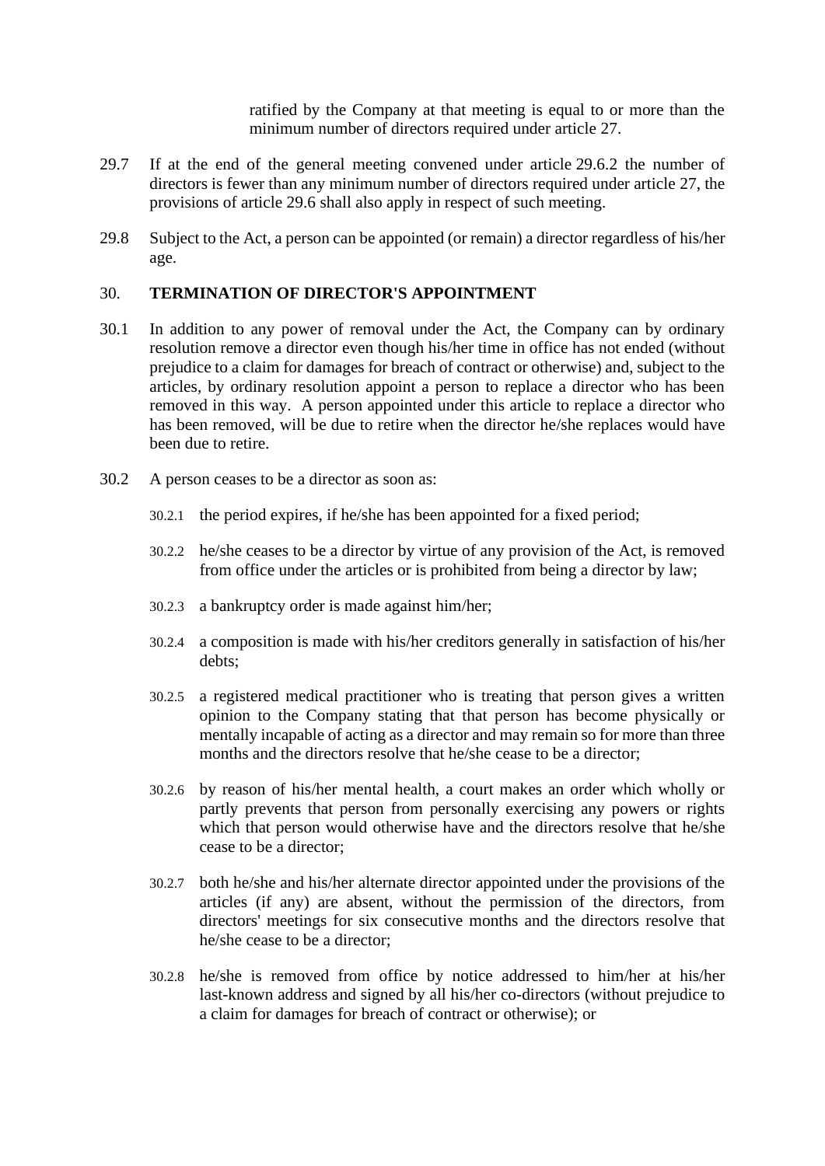ratified by the Company at that meeting is equal to or more than the minimum number of directors required under article [27.](#page-20-2)

- <span id="page-23-0"></span>29.7 If at the end of the general meeting convened under article [29.6.2](#page-22-2) the number of directors is fewer than any minimum number of directors required under article [27,](#page-20-2) the provisions of article [29.6](#page-22-0) shall also apply in respect of such meeting.
- 29.8 Subject to the Act, a person can be appointed (or remain) a director regardless of his/her age.

### 30. **TERMINATION OF DIRECTOR'S APPOINTMENT**

- 30.1 In addition to any power of removal under the Act, the Company can by ordinary resolution remove a director even though his/her time in office has not ended (without prejudice to a claim for damages for breach of contract or otherwise) and, subject to the articles, by ordinary resolution appoint a person to replace a director who has been removed in this way. A person appointed under this article to replace a director who has been removed, will be due to retire when the director he/she replaces would have been due to retire.
- 30.2 A person ceases to be a director as soon as:
	- 30.2.1 the period expires, if he/she has been appointed for a fixed period;
	- 30.2.2 he/she ceases to be a director by virtue of any provision of the Act, is removed from office under the articles or is prohibited from being a director by law;
	- 30.2.3 a bankruptcy order is made against him/her;
	- 30.2.4 a composition is made with his/her creditors generally in satisfaction of his/her debts;
	- 30.2.5 a registered medical practitioner who is treating that person gives a written opinion to the Company stating that that person has become physically or mentally incapable of acting as a director and may remain so for more than three months and the directors resolve that he/she cease to be a director;
	- 30.2.6 by reason of his/her mental health, a court makes an order which wholly or partly prevents that person from personally exercising any powers or rights which that person would otherwise have and the directors resolve that he/she cease to be a director;
	- 30.2.7 both he/she and his/her alternate director appointed under the provisions of the articles (if any) are absent, without the permission of the directors, from directors' meetings for six consecutive months and the directors resolve that he/she cease to be a director;
	- 30.2.8 he/she is removed from office by notice addressed to him/her at his/her last-known address and signed by all his/her co-directors (without prejudice to a claim for damages for breach of contract or otherwise); or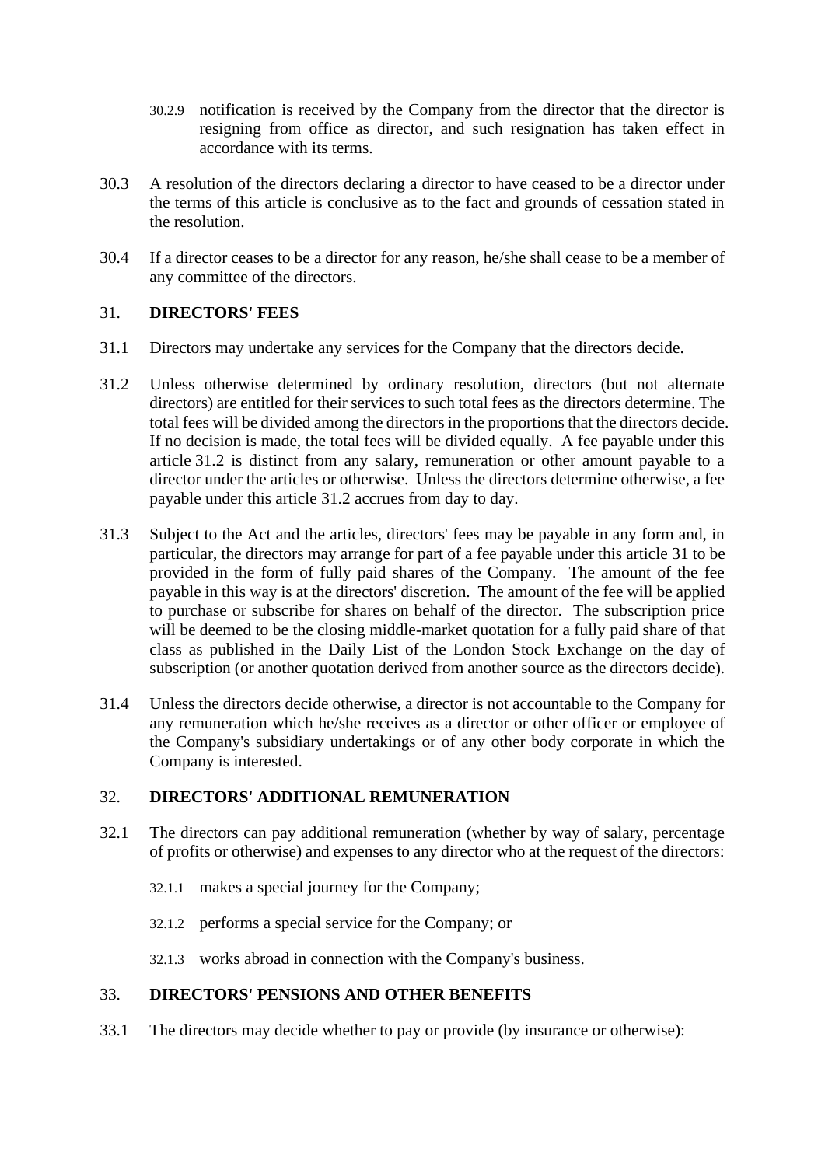- 30.2.9 notification is received by the Company from the director that the director is resigning from office as director, and such resignation has taken effect in accordance with its terms.
- 30.3 A resolution of the directors declaring a director to have ceased to be a director under the terms of this article is conclusive as to the fact and grounds of cessation stated in the resolution.
- 30.4 If a director ceases to be a director for any reason, he/she shall cease to be a member of any committee of the directors.

## <span id="page-24-1"></span>31. **DIRECTORS' FEES**

- 31.1 Directors may undertake any services for the Company that the directors decide.
- <span id="page-24-0"></span>31.2 Unless otherwise determined by ordinary resolution, directors (but not alternate directors) are entitled for their services to such total fees as the directors determine. The total fees will be divided among the directors in the proportions that the directors decide. If no decision is made, the total fees will be divided equally. A fee payable under this article [31.2](#page-24-0) is distinct from any salary, remuneration or other amount payable to a director under the articles or otherwise. Unless the directors determine otherwise, a fee payable under this article [31.2](#page-24-0) accrues from day to day.
- 31.3 Subject to the Act and the articles, directors' fees may be payable in any form and, in particular, the directors may arrange for part of a fee payable under this article [31](#page-24-1) to be provided in the form of fully paid shares of the Company. The amount of the fee payable in this way is at the directors' discretion. The amount of the fee will be applied to purchase or subscribe for shares on behalf of the director. The subscription price will be deemed to be the closing middle-market quotation for a fully paid share of that class as published in the Daily List of the London Stock Exchange on the day of subscription (or another quotation derived from another source as the directors decide).
- 31.4 Unless the directors decide otherwise, a director is not accountable to the Company for any remuneration which he/she receives as a director or other officer or employee of the Company's subsidiary undertakings or of any other body corporate in which the Company is interested.

## 32. **DIRECTORS' ADDITIONAL REMUNERATION**

- 32.1 The directors can pay additional remuneration (whether by way of salary, percentage of profits or otherwise) and expenses to any director who at the request of the directors:
	- 32.1.1 makes a special journey for the Company;
	- 32.1.2 performs a special service for the Company; or
	- 32.1.3 works abroad in connection with the Company's business.

## 33. **DIRECTORS' PENSIONS AND OTHER BENEFITS**

<span id="page-24-2"></span>33.1 The directors may decide whether to pay or provide (by insurance or otherwise):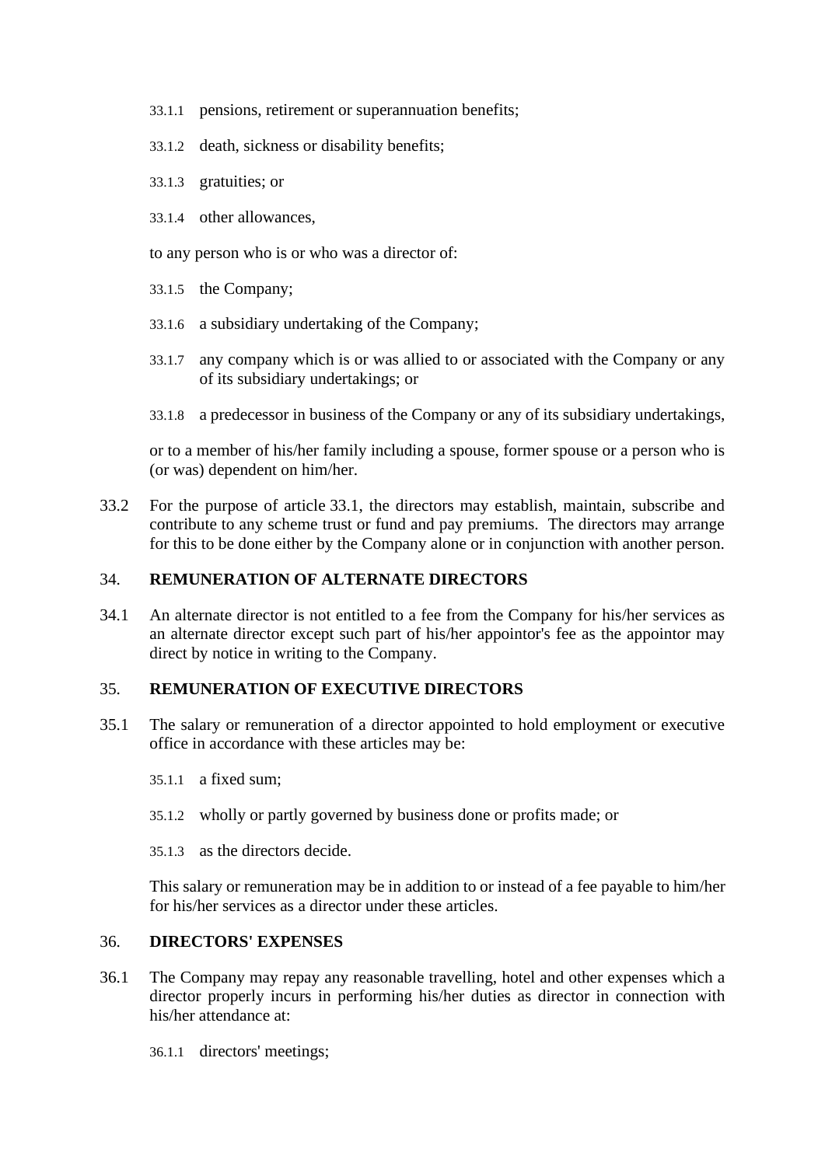- 33.1.1 pensions, retirement or superannuation benefits;
- 33.1.2 death, sickness or disability benefits;
- 33.1.3 gratuities; or
- 33.1.4 other allowances,
- to any person who is or who was a director of:
- 33.1.5 the Company;
- 33.1.6 a subsidiary undertaking of the Company;
- 33.1.7 any company which is or was allied to or associated with the Company or any of its subsidiary undertakings; or
- 33.1.8 a predecessor in business of the Company or any of its subsidiary undertakings,

or to a member of his/her family including a spouse, former spouse or a person who is (or was) dependent on him/her.

33.2 For the purpose of article [33.1,](#page-24-2) the directors may establish, maintain, subscribe and contribute to any scheme trust or fund and pay premiums. The directors may arrange for this to be done either by the Company alone or in conjunction with another person.

#### 34. **REMUNERATION OF ALTERNATE DIRECTORS**

34.1 An alternate director is not entitled to a fee from the Company for his/her services as an alternate director except such part of his/her appointor's fee as the appointor may direct by notice in writing to the Company.

#### 35. **REMUNERATION OF EXECUTIVE DIRECTORS**

- 35.1 The salary or remuneration of a director appointed to hold employment or executive office in accordance with these articles may be:
	- 35.1.1 a fixed sum;
	- 35.1.2 wholly or partly governed by business done or profits made; or
	- 35.1.3 as the directors decide.

This salary or remuneration may be in addition to or instead of a fee payable to him/her for his/her services as a director under these articles.

#### 36. **DIRECTORS' EXPENSES**

- 36.1 The Company may repay any reasonable travelling, hotel and other expenses which a director properly incurs in performing his/her duties as director in connection with his/her attendance at:
	- 36.1.1 directors' meetings;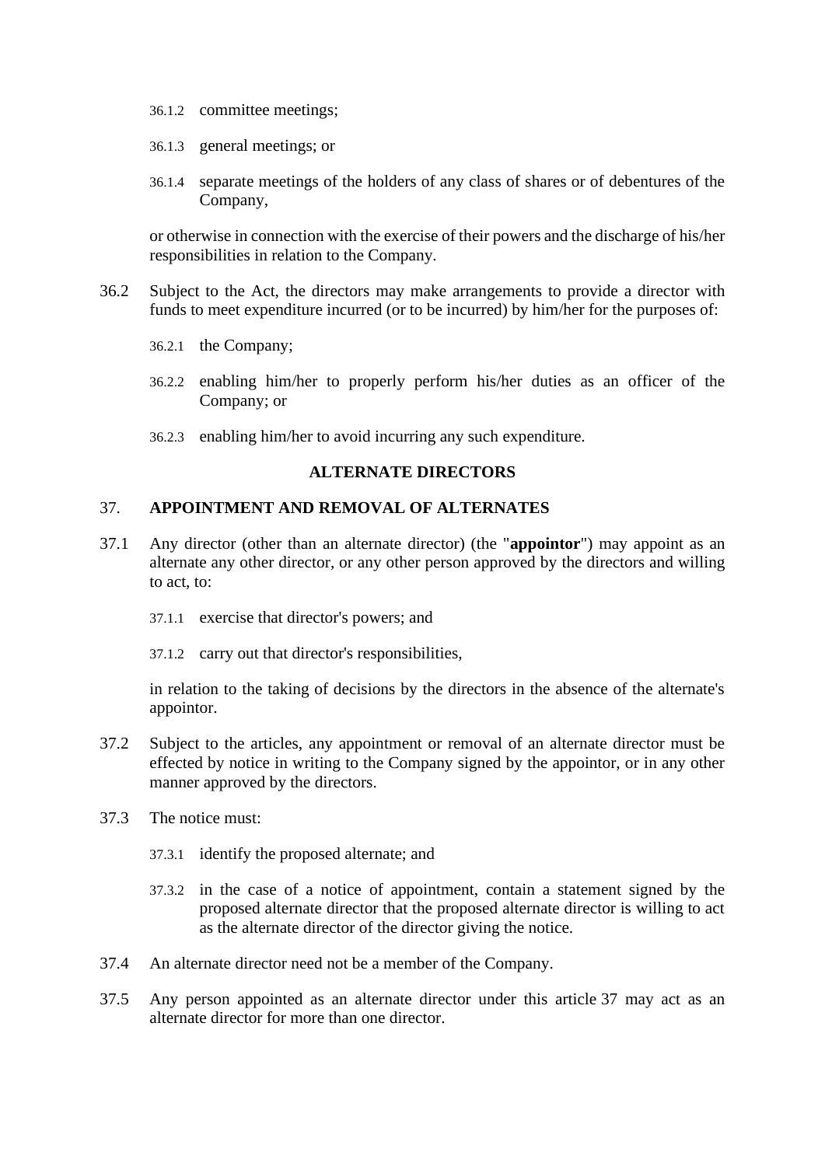- 36.1.2 committee meetings;
- 36.1.3 general meetings; or
- 36.1.4 separate meetings of the holders of any class of shares or of debentures of the Company,

or otherwise in connection with the exercise of their powers and the discharge of his/her responsibilities in relation to the Company.

- 36.2 Subject to the Act, the directors may make arrangements to provide a director with funds to meet expenditure incurred (or to be incurred) by him/her for the purposes of:
	- 36.2.1 the Company;
	- 36.2.2 enabling him/her to properly perform his/her duties as an officer of the Company; or
	- 36.2.3 enabling him/her to avoid incurring any such expenditure.

#### **ALTERNATE DIRECTORS**

#### <span id="page-26-1"></span>37. **APPOINTMENT AND REMOVAL OF ALTERNATES**

- <span id="page-26-0"></span>37.1 Any director (other than an alternate director) (the "**appointor**") may appoint as an alternate any other director, or any other person approved by the directors and willing to act, to:
	- 37.1.1 exercise that director's powers; and
	- 37.1.2 carry out that director's responsibilities,

in relation to the taking of decisions by the directors in the absence of the alternate's appointor.

- 37.2 Subject to the articles, any appointment or removal of an alternate director must be effected by notice in writing to the Company signed by the appointor, or in any other manner approved by the directors.
- 37.3 The notice must:
	- 37.3.1 identify the proposed alternate; and
	- 37.3.2 in the case of a notice of appointment, contain a statement signed by the proposed alternate director that the proposed alternate director is willing to act as the alternate director of the director giving the notice.
- 37.4 An alternate director need not be a member of the Company.
- 37.5 Any person appointed as an alternate director under this article [37](#page-26-1) may act as an alternate director for more than one director.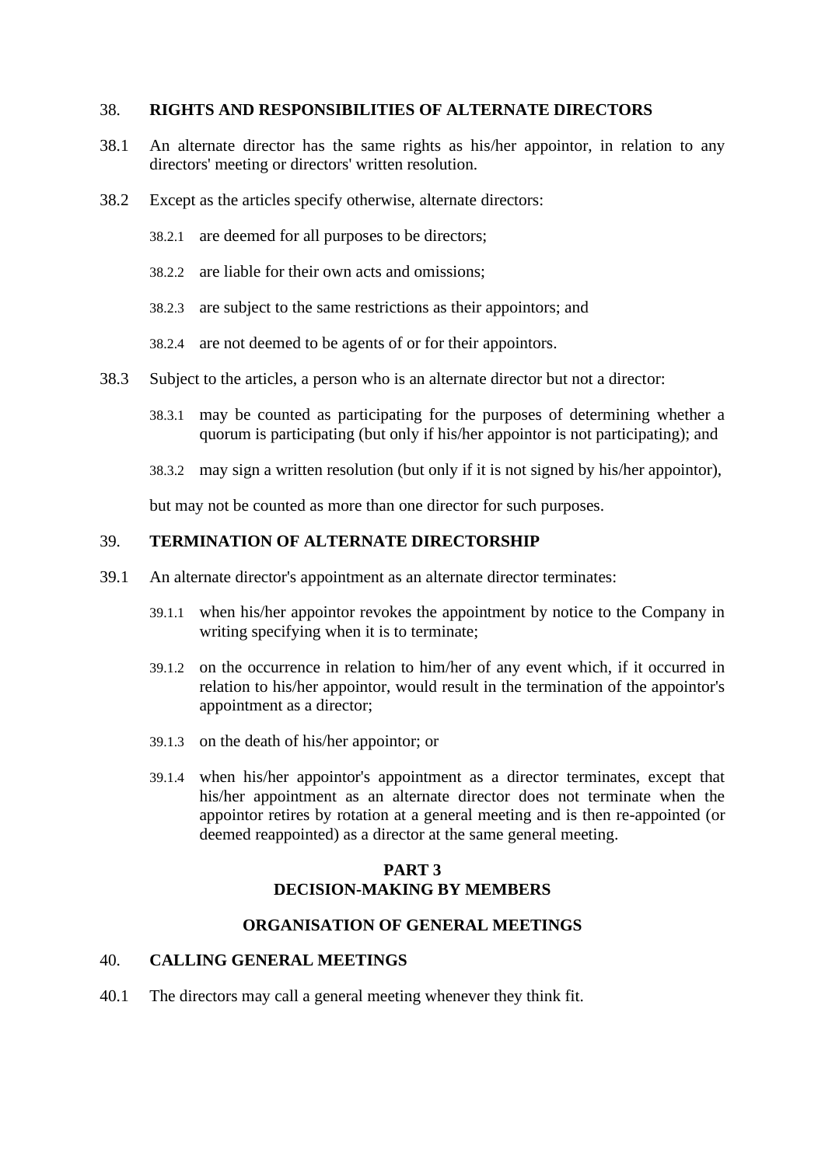#### 38. **RIGHTS AND RESPONSIBILITIES OF ALTERNATE DIRECTORS**

- 38.1 An alternate director has the same rights as his/her appointor, in relation to any directors' meeting or directors' written resolution.
- 38.2 Except as the articles specify otherwise, alternate directors:
	- 38.2.1 are deemed for all purposes to be directors;
	- 38.2.2 are liable for their own acts and omissions;
	- 38.2.3 are subject to the same restrictions as their appointors; and
	- 38.2.4 are not deemed to be agents of or for their appointors.
- 38.3 Subject to the articles, a person who is an alternate director but not a director:
	- 38.3.1 may be counted as participating for the purposes of determining whether a quorum is participating (but only if his/her appointor is not participating); and
	- 38.3.2 may sign a written resolution (but only if it is not signed by his/her appointor),

but may not be counted as more than one director for such purposes.

#### 39. **TERMINATION OF ALTERNATE DIRECTORSHIP**

- 39.1 An alternate director's appointment as an alternate director terminates:
	- 39.1.1 when his/her appointor revokes the appointment by notice to the Company in writing specifying when it is to terminate;
	- 39.1.2 on the occurrence in relation to him/her of any event which, if it occurred in relation to his/her appointor, would result in the termination of the appointor's appointment as a director;
	- 39.1.3 on the death of his/her appointor; or
	- 39.1.4 when his/her appointor's appointment as a director terminates, except that his/her appointment as an alternate director does not terminate when the appointor retires by rotation at a general meeting and is then re-appointed (or deemed reappointed) as a director at the same general meeting.

## **PART 3 DECISION-MAKING BY MEMBERS**

#### **ORGANISATION OF GENERAL MEETINGS**

#### 40. **CALLING GENERAL MEETINGS**

40.1 The directors may call a general meeting whenever they think fit.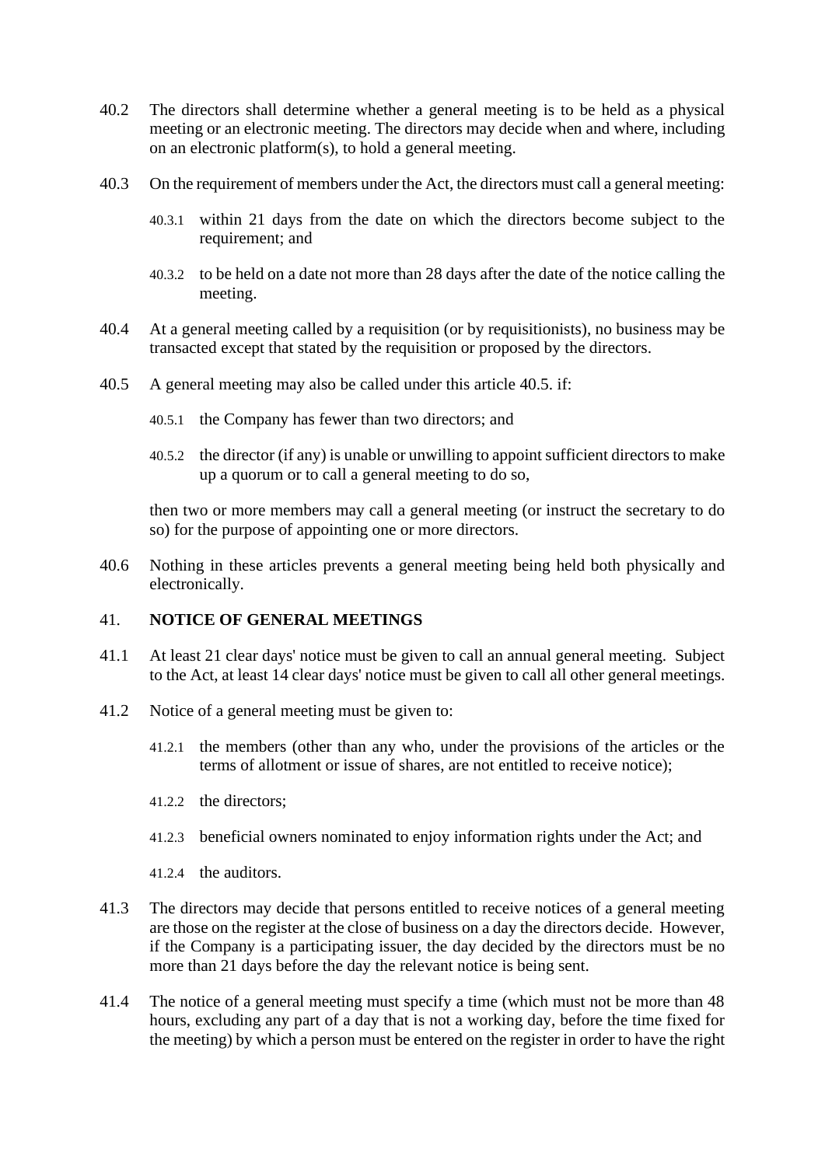- 40.2 The directors shall determine whether a general meeting is to be held as a physical meeting or an electronic meeting. The directors may decide when and where, including on an electronic platform(s), to hold a general meeting.
- 40.3 On the requirement of members under the Act, the directors must call a general meeting:
	- 40.3.1 within 21 days from the date on which the directors become subject to the requirement; and
	- 40.3.2 to be held on a date not more than 28 days after the date of the notice calling the meeting.
- 40.4 At a general meeting called by a requisition (or by requisitionists), no business may be transacted except that stated by the requisition or proposed by the directors.
- <span id="page-28-0"></span>40.5 A general meeting may also be called under this article [40.5.](#page-28-1) if:
	- 40.5.1 the Company has fewer than two directors; and
	- 40.5.2 the director (if any) is unable or unwilling to appoint sufficient directors to make up a quorum or to call a general meeting to do so,

<span id="page-28-1"></span>then two or more members may call a general meeting (or instruct the secretary to do so) for the purpose of appointing one or more directors.

40.6 Nothing in these articles prevents a general meeting being held both physically and electronically.

### 41. **NOTICE OF GENERAL MEETINGS**

- 41.1 At least 21 clear days' notice must be given to call an annual general meeting. Subject to the Act, at least 14 clear days' notice must be given to call all other general meetings.
- 41.2 Notice of a general meeting must be given to:
	- 41.2.1 the members (other than any who, under the provisions of the articles or the terms of allotment or issue of shares, are not entitled to receive notice);
	- 41.2.2 the directors;
	- 41.2.3 beneficial owners nominated to enjoy information rights under the Act; and
	- 41.2.4 the auditors.
- 41.3 The directors may decide that persons entitled to receive notices of a general meeting are those on the register at the close of business on a day the directors decide. However, if the Company is a participating issuer, the day decided by the directors must be no more than 21 days before the day the relevant notice is being sent.
- 41.4 The notice of a general meeting must specify a time (which must not be more than 48 hours, excluding any part of a day that is not a working day, before the time fixed for the meeting) by which a person must be entered on the register in order to have the right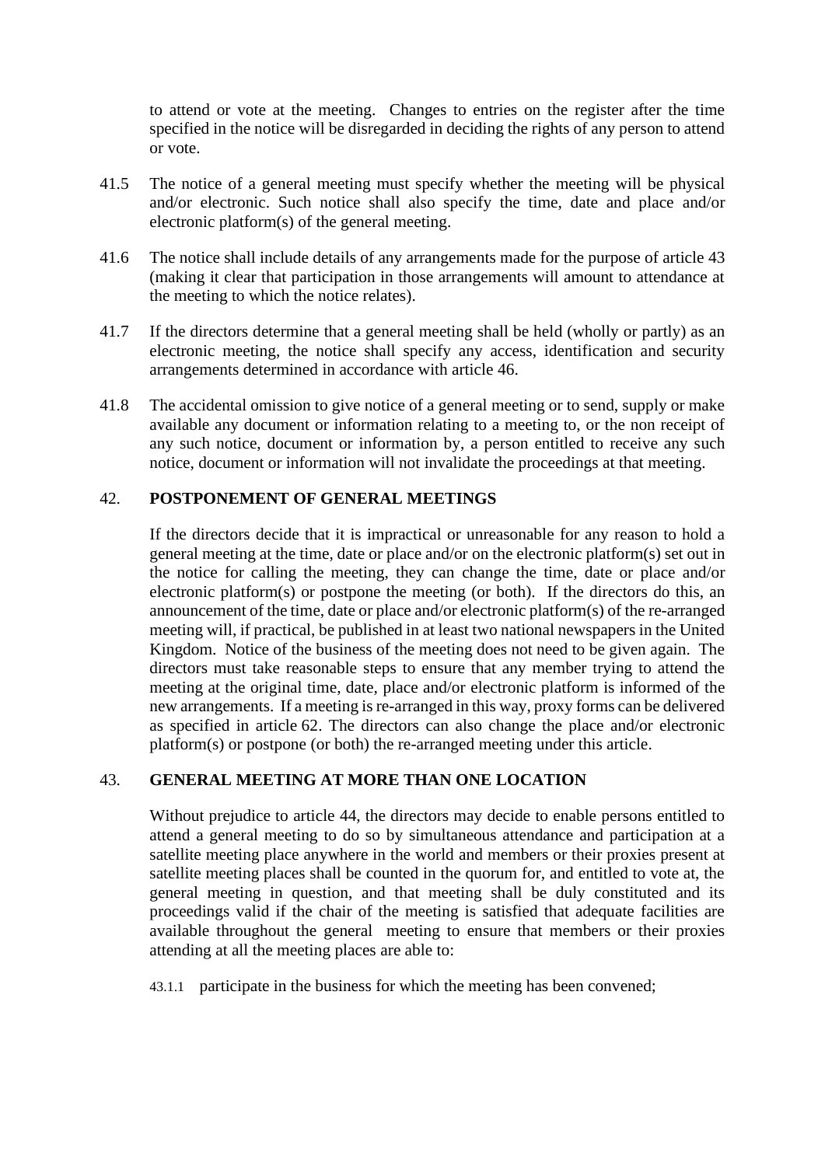to attend or vote at the meeting. Changes to entries on the register after the time specified in the notice will be disregarded in deciding the rights of any person to attend or vote.

- 41.5 The notice of a general meeting must specify whether the meeting will be physical and/or electronic. Such notice shall also specify the time, date and place and/or electronic platform(s) of the general meeting.
- 41.6 The notice shall include details of any arrangements made for the purpose of article [43](#page-29-0) (making it clear that participation in those arrangements will amount to attendance at the meeting to which the notice relates).
- 41.7 If the directors determine that a general meeting shall be held (wholly or partly) as an electronic meeting, the notice shall specify any access, identification and security arrangements determined in accordance with article [46.](#page-31-0)
- 41.8 The accidental omission to give notice of a general meeting or to send, supply or make available any document or information relating to a meeting to, or the non receipt of any such notice, document or information by, a person entitled to receive any such notice, document or information will not invalidate the proceedings at that meeting.

#### 42. **POSTPONEMENT OF GENERAL MEETINGS**

If the directors decide that it is impractical or unreasonable for any reason to hold a general meeting at the time, date or place and/or on the electronic platform(s) set out in the notice for calling the meeting, they can change the time, date or place and/or electronic platform(s) or postpone the meeting (or both). If the directors do this, an announcement of the time, date or place and/or electronic platform(s) of the re-arranged meeting will, if practical, be published in at least two national newspapers in the United Kingdom. Notice of the business of the meeting does not need to be given again. The directors must take reasonable steps to ensure that any member trying to attend the meeting at the original time, date, place and/or electronic platform is informed of the new arrangements. If a meeting is re-arranged in this way, proxy forms can be delivered as specified in article [62.](#page-39-1) The directors can also change the place and/or electronic platform(s) or postpone (or both) the re-arranged meeting under this article.

## <span id="page-29-0"></span>43. **GENERAL MEETING AT MORE THAN ONE LOCATION**

Without prejudice to article [44,](#page-30-0) the directors may decide to enable persons entitled to attend a general meeting to do so by simultaneous attendance and participation at a satellite meeting place anywhere in the world and members or their proxies present at satellite meeting places shall be counted in the quorum for, and entitled to vote at, the general meeting in question, and that meeting shall be duly constituted and its proceedings valid if the chair of the meeting is satisfied that adequate facilities are available throughout the general meeting to ensure that members or their proxies attending at all the meeting places are able to:

43.1.1 participate in the business for which the meeting has been convened;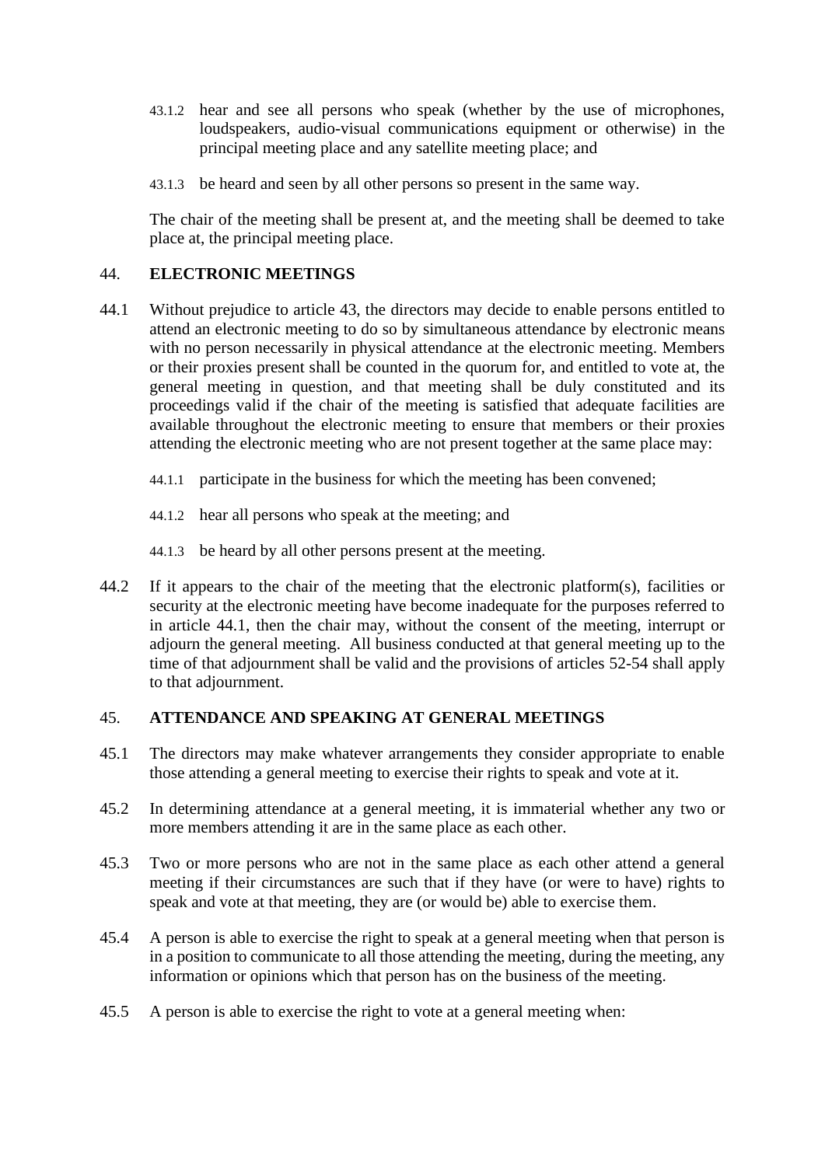- 43.1.2 hear and see all persons who speak (whether by the use of microphones, loudspeakers, audio-visual communications equipment or otherwise) in the principal meeting place and any satellite meeting place; and
- 43.1.3 be heard and seen by all other persons so present in the same way.

The chair of the meeting shall be present at, and the meeting shall be deemed to take place at, the principal meeting place.

#### <span id="page-30-0"></span>44. **ELECTRONIC MEETINGS**

- <span id="page-30-1"></span>44.1 Without prejudice to article [43,](#page-29-0) the directors may decide to enable persons entitled to attend an electronic meeting to do so by simultaneous attendance by electronic means with no person necessarily in physical attendance at the electronic meeting. Members or their proxies present shall be counted in the quorum for, and entitled to vote at, the general meeting in question, and that meeting shall be duly constituted and its proceedings valid if the chair of the meeting is satisfied that adequate facilities are available throughout the electronic meeting to ensure that members or their proxies attending the electronic meeting who are not present together at the same place may:
	- 44.1.1 participate in the business for which the meeting has been convened;
	- 44.1.2 hear all persons who speak at the meeting; and
	- 44.1.3 be heard by all other persons present at the meeting.
- 44.2 If it appears to the chair of the meeting that the electronic platform(s), facilities or security at the electronic meeting have become inadequate for the purposes referred to in article [44.1,](#page-30-1) then the chair may, without the consent of the meeting, interrupt or adjourn the general meeting. All business conducted at that general meeting up to the time of that adjournment shall be valid and the provisions of articles [52-](#page-34-0)[54](#page-35-0) shall apply to that adjournment.

## <span id="page-30-2"></span>45. **ATTENDANCE AND SPEAKING AT GENERAL MEETINGS**

- 45.1 The directors may make whatever arrangements they consider appropriate to enable those attending a general meeting to exercise their rights to speak and vote at it.
- 45.2 In determining attendance at a general meeting, it is immaterial whether any two or more members attending it are in the same place as each other.
- 45.3 Two or more persons who are not in the same place as each other attend a general meeting if their circumstances are such that if they have (or were to have) rights to speak and vote at that meeting, they are (or would be) able to exercise them.
- 45.4 A person is able to exercise the right to speak at a general meeting when that person is in a position to communicate to all those attending the meeting, during the meeting, any information or opinions which that person has on the business of the meeting.
- 45.5 A person is able to exercise the right to vote at a general meeting when: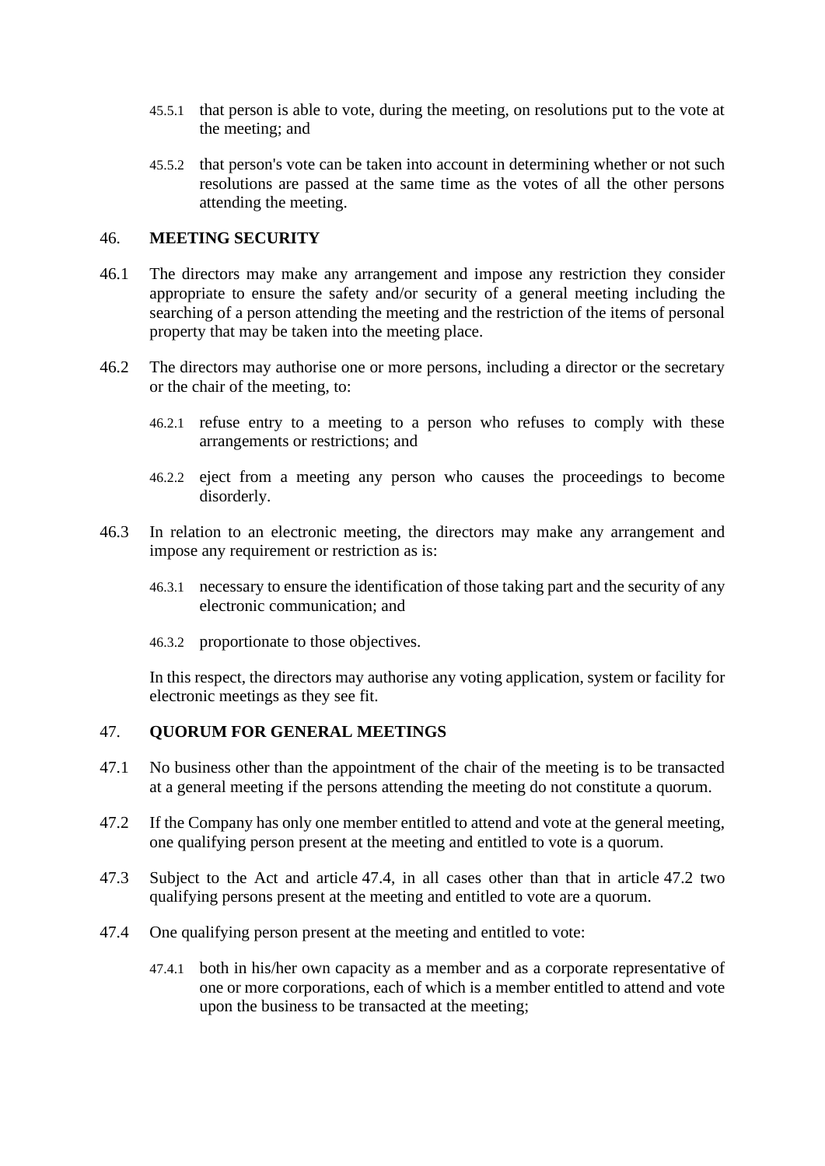- 45.5.1 that person is able to vote, during the meeting, on resolutions put to the vote at the meeting; and
- 45.5.2 that person's vote can be taken into account in determining whether or not such resolutions are passed at the same time as the votes of all the other persons attending the meeting.

### <span id="page-31-0"></span>46. **MEETING SECURITY**

- 46.1 The directors may make any arrangement and impose any restriction they consider appropriate to ensure the safety and/or security of a general meeting including the searching of a person attending the meeting and the restriction of the items of personal property that may be taken into the meeting place.
- 46.2 The directors may authorise one or more persons, including a director or the secretary or the chair of the meeting, to:
	- 46.2.1 refuse entry to a meeting to a person who refuses to comply with these arrangements or restrictions; and
	- 46.2.2 eject from a meeting any person who causes the proceedings to become disorderly.
- 46.3 In relation to an electronic meeting, the directors may make any arrangement and impose any requirement or restriction as is:
	- 46.3.1 necessary to ensure the identification of those taking part and the security of any electronic communication; and
	- 46.3.2 proportionate to those objectives.

In this respect, the directors may authorise any voting application, system or facility for electronic meetings as they see fit.

#### 47. **QUORUM FOR GENERAL MEETINGS**

- 47.1 No business other than the appointment of the chair of the meeting is to be transacted at a general meeting if the persons attending the meeting do not constitute a quorum.
- <span id="page-31-2"></span>47.2 If the Company has only one member entitled to attend and vote at the general meeting, one qualifying person present at the meeting and entitled to vote is a quorum.
- 47.3 Subject to the Act and article [47.4,](#page-31-1) in all cases other than that in article [47.2](#page-31-2) two qualifying persons present at the meeting and entitled to vote are a quorum.
- <span id="page-31-1"></span>47.4 One qualifying person present at the meeting and entitled to vote:
	- 47.4.1 both in his/her own capacity as a member and as a corporate representative of one or more corporations, each of which is a member entitled to attend and vote upon the business to be transacted at the meeting;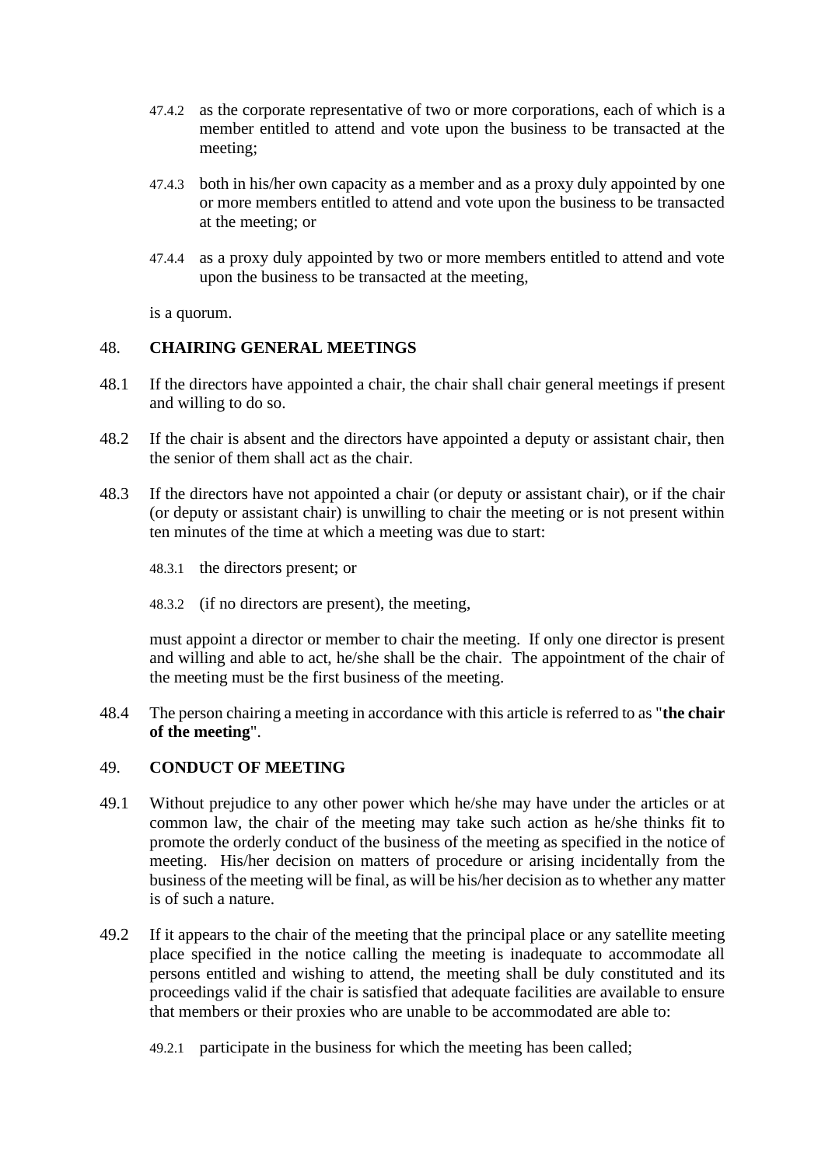- 47.4.2 as the corporate representative of two or more corporations, each of which is a member entitled to attend and vote upon the business to be transacted at the meeting;
- 47.4.3 both in his/her own capacity as a member and as a proxy duly appointed by one or more members entitled to attend and vote upon the business to be transacted at the meeting; or
- 47.4.4 as a proxy duly appointed by two or more members entitled to attend and vote upon the business to be transacted at the meeting,

is a quorum.

#### 48. **CHAIRING GENERAL MEETINGS**

- 48.1 If the directors have appointed a chair, the chair shall chair general meetings if present and willing to do so.
- 48.2 If the chair is absent and the directors have appointed a deputy or assistant chair, then the senior of them shall act as the chair.
- 48.3 If the directors have not appointed a chair (or deputy or assistant chair), or if the chair (or deputy or assistant chair) is unwilling to chair the meeting or is not present within ten minutes of the time at which a meeting was due to start:
	- 48.3.1 the directors present; or
	- 48.3.2 (if no directors are present), the meeting,

must appoint a director or member to chair the meeting. If only one director is present and willing and able to act, he/she shall be the chair. The appointment of the chair of the meeting must be the first business of the meeting.

<span id="page-32-0"></span>48.4 The person chairing a meeting in accordance with this article is referred to as "**the chair of the meeting**".

#### 49. **CONDUCT OF MEETING**

- 49.1 Without prejudice to any other power which he/she may have under the articles or at common law, the chair of the meeting may take such action as he/she thinks fit to promote the orderly conduct of the business of the meeting as specified in the notice of meeting. His/her decision on matters of procedure or arising incidentally from the business of the meeting will be final, as will be his/her decision as to whether any matter is of such a nature.
- 49.2 If it appears to the chair of the meeting that the principal place or any satellite meeting place specified in the notice calling the meeting is inadequate to accommodate all persons entitled and wishing to attend, the meeting shall be duly constituted and its proceedings valid if the chair is satisfied that adequate facilities are available to ensure that members or their proxies who are unable to be accommodated are able to:
	- 49.2.1 participate in the business for which the meeting has been called;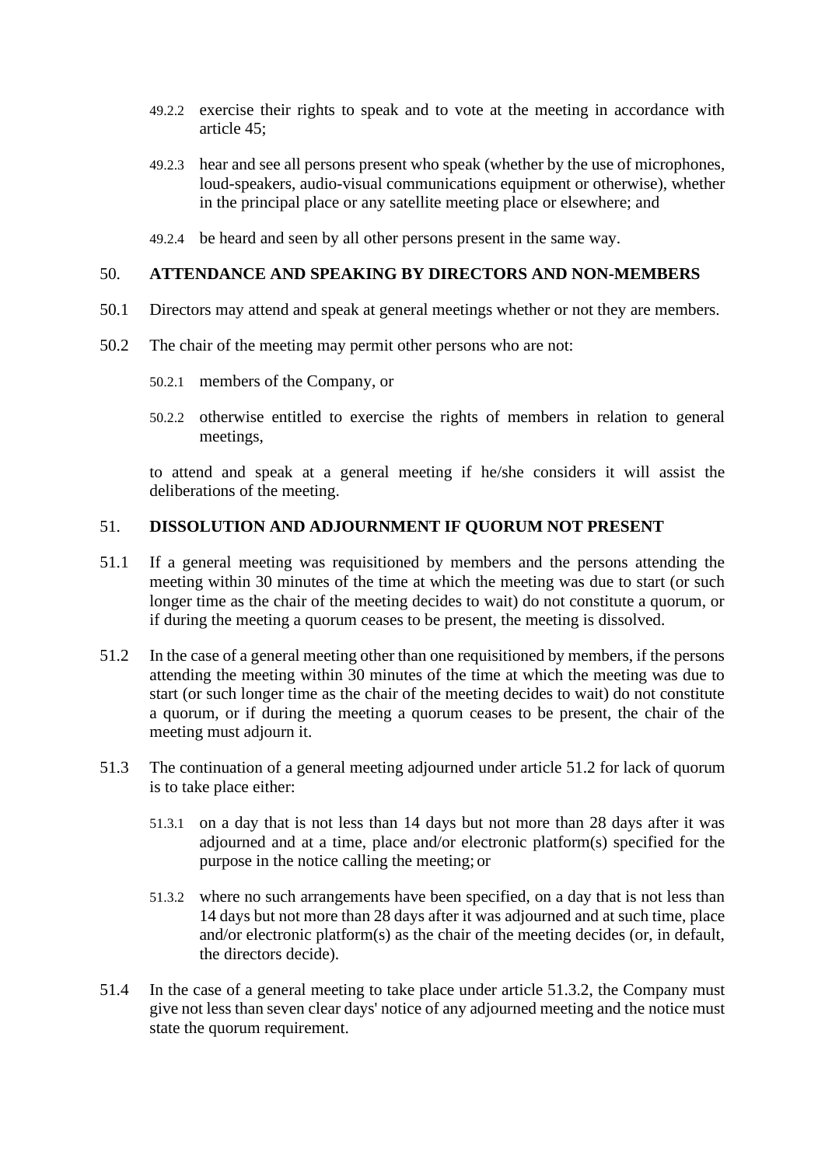- 49.2.2 exercise their rights to speak and to vote at the meeting in accordance with article [45;](#page-30-2)
- 49.2.3 hear and see all persons present who speak (whether by the use of microphones, loud-speakers, audio-visual communications equipment or otherwise), whether in the principal place or any satellite meeting place or elsewhere; and
- 49.2.4 be heard and seen by all other persons present in the same way.

#### 50. **ATTENDANCE AND SPEAKING BY DIRECTORS AND NON-MEMBERS**

- 50.1 Directors may attend and speak at general meetings whether or not they are members.
- 50.2 The chair of the meeting may permit other persons who are not:
	- 50.2.1 members of the Company, or
	- 50.2.2 otherwise entitled to exercise the rights of members in relation to general meetings,

to attend and speak at a general meeting if he/she considers it will assist the deliberations of the meeting.

#### 51. **DISSOLUTION AND ADJOURNMENT IF QUORUM NOT PRESENT**

- 51.1 If a general meeting was requisitioned by members and the persons attending the meeting within 30 minutes of the time at which the meeting was due to start (or such longer time as the chair of the meeting decides to wait) do not constitute a quorum, or if during the meeting a quorum ceases to be present, the meeting is dissolved.
- <span id="page-33-0"></span>51.2 In the case of a general meeting other than one requisitioned by members, if the persons attending the meeting within 30 minutes of the time at which the meeting was due to start (or such longer time as the chair of the meeting decides to wait) do not constitute a quorum, or if during the meeting a quorum ceases to be present, the chair of the meeting must adjourn it.
- 51.3 The continuation of a general meeting adjourned under article [51.2](#page-33-0) for lack of quorum is to take place either:
	- 51.3.1 on a day that is not less than 14 days but not more than 28 days after it was adjourned and at a time, place and/or electronic platform(s) specified for the purpose in the notice calling the meeting; or
	- 51.3.2 where no such arrangements have been specified, on a day that is not less than 14 days but not more than 28 days after it was adjourned and at such time, place and/or electronic platform(s) as the chair of the meeting decides (or, in default, the directors decide).
- <span id="page-33-1"></span>51.4 In the case of a general meeting to take place under article [51.3.2,](#page-33-1) the Company must give not less than seven clear days' notice of any adjourned meeting and the notice must state the quorum requirement.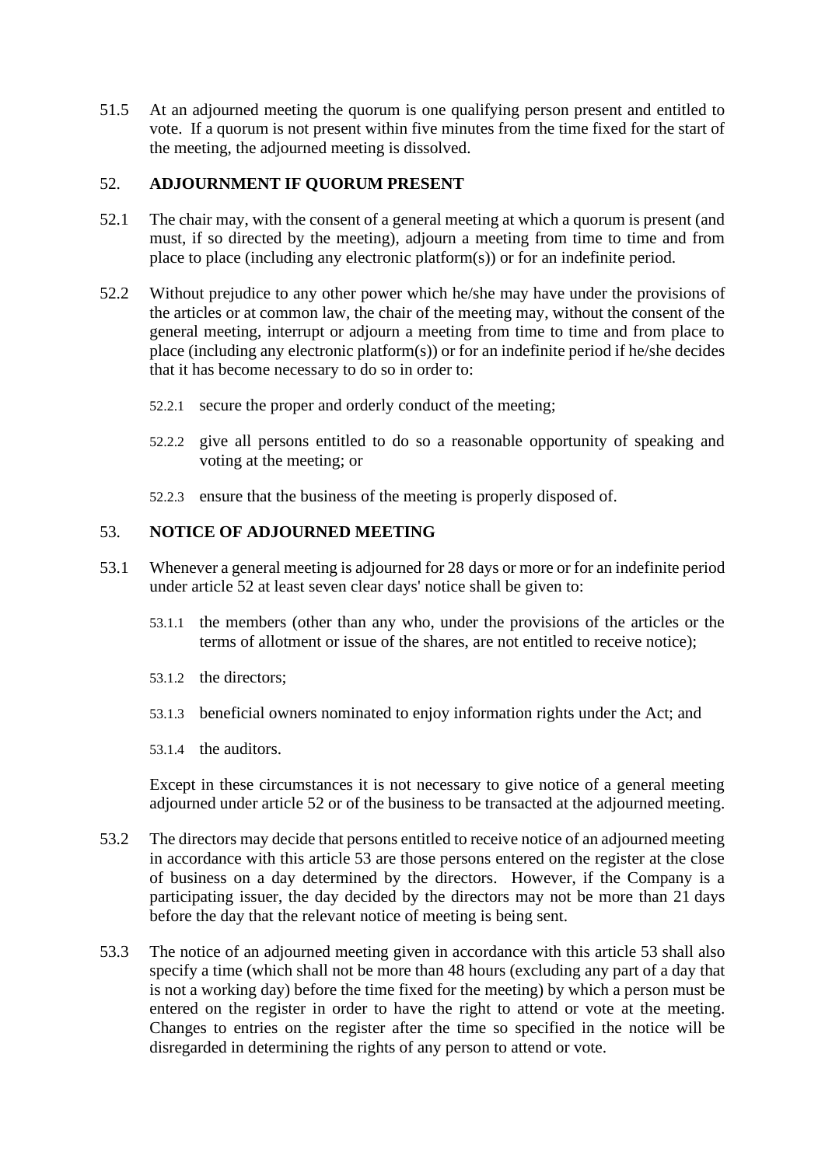51.5 At an adjourned meeting the quorum is one qualifying person present and entitled to vote. If a quorum is not present within five minutes from the time fixed for the start of the meeting, the adjourned meeting is dissolved.

## <span id="page-34-0"></span>52. **ADJOURNMENT IF QUORUM PRESENT**

- 52.1 The chair may, with the consent of a general meeting at which a quorum is present (and must, if so directed by the meeting), adjourn a meeting from time to time and from place to place (including any electronic platform(s)) or for an indefinite period.
- 52.2 Without prejudice to any other power which he/she may have under the provisions of the articles or at common law, the chair of the meeting may, without the consent of the general meeting, interrupt or adjourn a meeting from time to time and from place to place (including any electronic platform(s)) or for an indefinite period if he/she decides that it has become necessary to do so in order to:
	- 52.2.1 secure the proper and orderly conduct of the meeting;
	- 52.2.2 give all persons entitled to do so a reasonable opportunity of speaking and voting at the meeting; or
	- 52.2.3 ensure that the business of the meeting is properly disposed of.

#### <span id="page-34-1"></span>53. **NOTICE OF ADJOURNED MEETING**

- 53.1 Whenever a general meeting is adjourned for 28 days or more or for an indefinite period under article [52](#page-34-0) at least seven clear days' notice shall be given to:
	- 53.1.1 the members (other than any who, under the provisions of the articles or the terms of allotment or issue of the shares, are not entitled to receive notice);
	- 53.1.2 the directors;
	- 53.1.3 beneficial owners nominated to enjoy information rights under the Act; and
	- 53.1.4 the auditors.

Except in these circumstances it is not necessary to give notice of a general meeting adjourned under article [52](#page-34-0) or of the business to be transacted at the adjourned meeting.

- 53.2 The directors may decide that persons entitled to receive notice of an adjourned meeting in accordance with this article [53](#page-34-1) are those persons entered on the register at the close of business on a day determined by the directors. However, if the Company is a participating issuer, the day decided by the directors may not be more than 21 days before the day that the relevant notice of meeting is being sent.
- 53.3 The notice of an adjourned meeting given in accordance with this article [53](#page-34-1) shall also specify a time (which shall not be more than 48 hours (excluding any part of a day that is not a working day) before the time fixed for the meeting) by which a person must be entered on the register in order to have the right to attend or vote at the meeting. Changes to entries on the register after the time so specified in the notice will be disregarded in determining the rights of any person to attend or vote.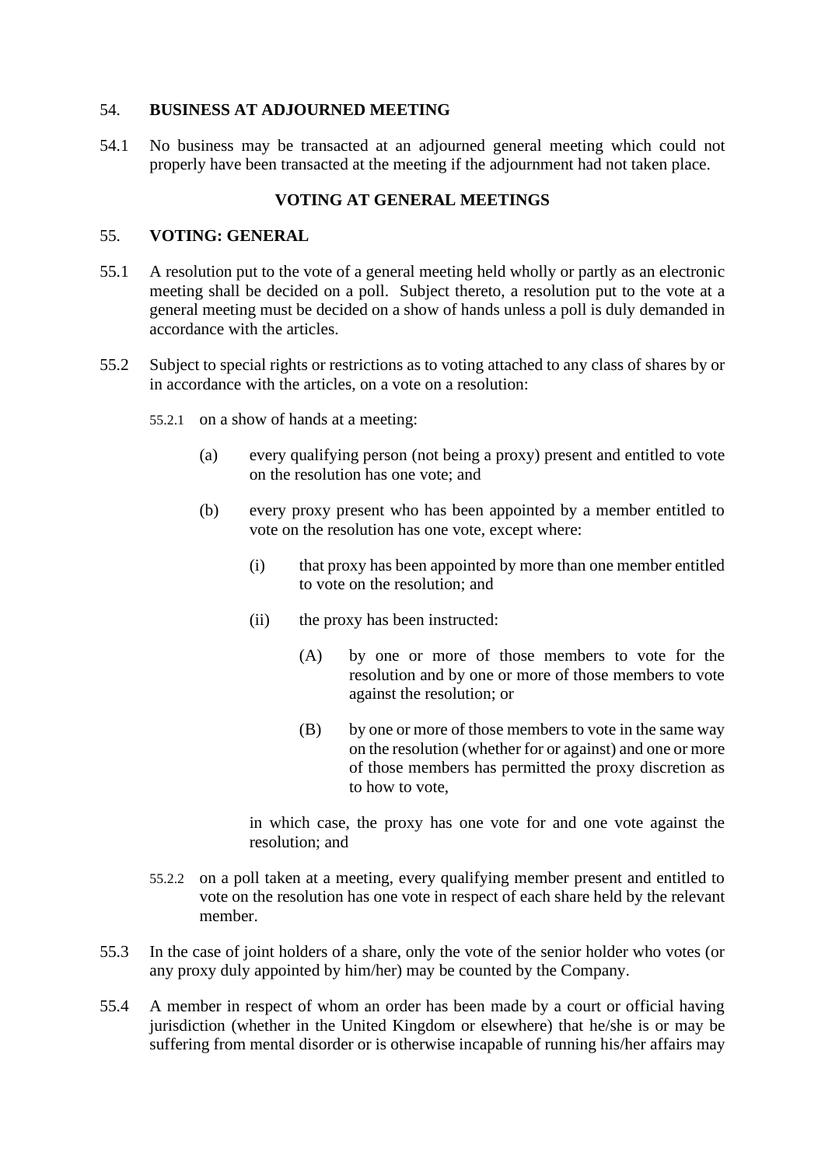## <span id="page-35-0"></span>54. **BUSINESS AT ADJOURNED MEETING**

54.1 No business may be transacted at an adjourned general meeting which could not properly have been transacted at the meeting if the adjournment had not taken place.

## **VOTING AT GENERAL MEETINGS**

#### 55. **VOTING: GENERAL**

- 55.1 A resolution put to the vote of a general meeting held wholly or partly as an electronic meeting shall be decided on a poll. Subject thereto, a resolution put to the vote at a general meeting must be decided on a show of hands unless a poll is duly demanded in accordance with the articles.
- 55.2 Subject to special rights or restrictions as to voting attached to any class of shares by or in accordance with the articles, on a vote on a resolution:
	- 55.2.1 on a show of hands at a meeting:
		- (a) every qualifying person (not being a proxy) present and entitled to vote on the resolution has one vote; and
		- (b) every proxy present who has been appointed by a member entitled to vote on the resolution has one vote, except where:
			- (i) that proxy has been appointed by more than one member entitled to vote on the resolution; and
			- (ii) the proxy has been instructed:
				- (A) by one or more of those members to vote for the resolution and by one or more of those members to vote against the resolution; or
				- (B) by one or more of those members to vote in the same way on the resolution (whether for or against) and one or more of those members has permitted the proxy discretion as to how to vote,

in which case, the proxy has one vote for and one vote against the resolution; and

- 55.2.2 on a poll taken at a meeting, every qualifying member present and entitled to vote on the resolution has one vote in respect of each share held by the relevant member.
- 55.3 In the case of joint holders of a share, only the vote of the senior holder who votes (or any proxy duly appointed by him/her) may be counted by the Company.
- 55.4 A member in respect of whom an order has been made by a court or official having jurisdiction (whether in the United Kingdom or elsewhere) that he/she is or may be suffering from mental disorder or is otherwise incapable of running his/her affairs may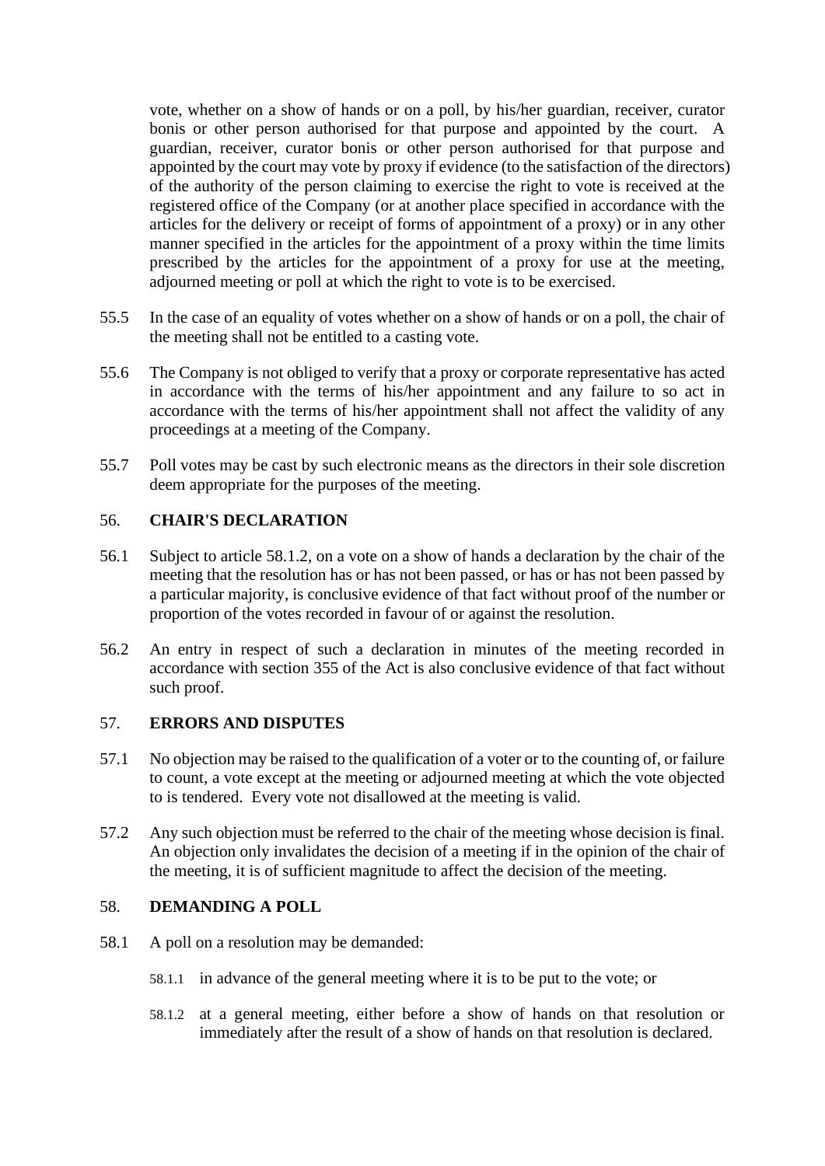vote, whether on a show of hands or on a poll, by his/her guardian, receiver, curator bonis or other person authorised for that purpose and appointed by the court. A guardian, receiver, curator bonis or other person authorised for that purpose and appointed by the court may vote by proxy if evidence (to the satisfaction of the directors) of the authority of the person claiming to exercise the right to vote is received at the registered office of the Company (or at another place specified in accordance with the articles for the delivery or receipt of forms of appointment of a proxy) or in any other manner specified in the articles for the appointment of a proxy within the time limits prescribed by the articles for the appointment of a proxy for use at the meeting, adjourned meeting or poll at which the right to vote is to be exercised.

- 55.5 In the case of an equality of votes whether on a show of hands or on a poll, the chair of the meeting shall not be entitled to a casting vote.
- 55.6 The Company is not obliged to verify that a proxy or corporate representative has acted in accordance with the terms of his/her appointment and any failure to so act in accordance with the terms of his/her appointment shall not affect the validity of any proceedings at a meeting of the Company.
- 55.7 Poll votes may be cast by such electronic means as the directors in their sole discretion deem appropriate for the purposes of the meeting.

# 56. **CHAIR'S DECLARATION**

- 56.1 Subject to article [58.1.2,](#page-36-0) on a vote on a show of hands a declaration by the chair of the meeting that the resolution has or has not been passed, or has or has not been passed by a particular majority, is conclusive evidence of that fact without proof of the number or proportion of the votes recorded in favour of or against the resolution.
- 56.2 An entry in respect of such a declaration in minutes of the meeting recorded in accordance with section 355 of the Act is also conclusive evidence of that fact without such proof.

# 57. **ERRORS AND DISPUTES**

- 57.1 No objection may be raised to the qualification of a voter or to the counting of, or failure to count, a vote except at the meeting or adjourned meeting at which the vote objected to is tendered. Every vote not disallowed at the meeting is valid.
- 57.2 Any such objection must be referred to the chair of the meeting whose decision is final. An objection only invalidates the decision of a meeting if in the opinion of the chair of the meeting, it is of sufficient magnitude to affect the decision of the meeting.

# 58. **DEMANDING A POLL**

- <span id="page-36-0"></span>58.1 A poll on a resolution may be demanded:
	- 58.1.1 in advance of the general meeting where it is to be put to the vote; or
	- 58.1.2 at a general meeting, either before a show of hands on that resolution or immediately after the result of a show of hands on that resolution is declared.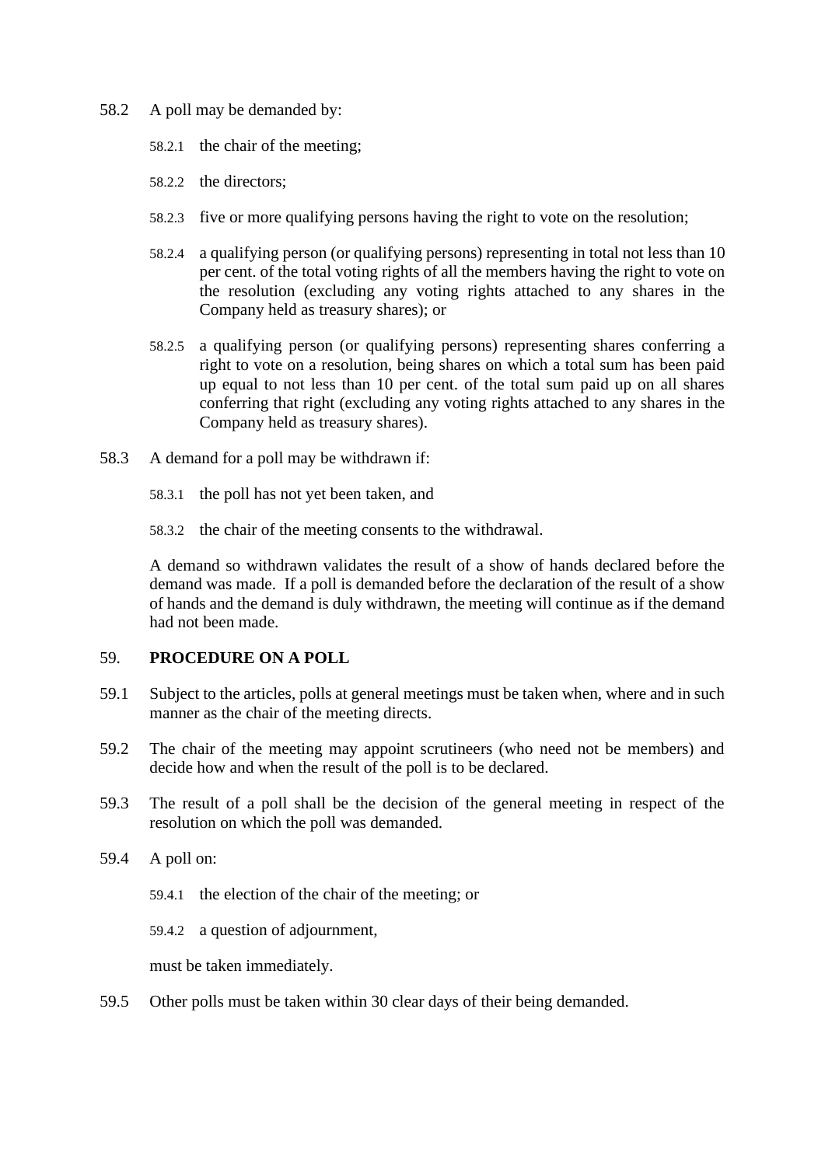- 58.2 A poll may be demanded by:
	- 58.2.1 the chair of the meeting;
	- 58.2.2 the directors;
	- 58.2.3 five or more qualifying persons having the right to vote on the resolution;
	- 58.2.4 a qualifying person (or qualifying persons) representing in total not less than 10 per cent. of the total voting rights of all the members having the right to vote on the resolution (excluding any voting rights attached to any shares in the Company held as treasury shares); or
	- 58.2.5 a qualifying person (or qualifying persons) representing shares conferring a right to vote on a resolution, being shares on which a total sum has been paid up equal to not less than 10 per cent. of the total sum paid up on all shares conferring that right (excluding any voting rights attached to any shares in the Company held as treasury shares).
- 58.3 A demand for a poll may be withdrawn if:
	- 58.3.1 the poll has not yet been taken, and
	- 58.3.2 the chair of the meeting consents to the withdrawal.

A demand so withdrawn validates the result of a show of hands declared before the demand was made. If a poll is demanded before the declaration of the result of a show of hands and the demand is duly withdrawn, the meeting will continue as if the demand had not been made.

#### 59. **PROCEDURE ON A POLL**

- 59.1 Subject to the articles, polls at general meetings must be taken when, where and in such manner as the chair of the meeting directs.
- 59.2 The chair of the meeting may appoint scrutineers (who need not be members) and decide how and when the result of the poll is to be declared.
- 59.3 The result of a poll shall be the decision of the general meeting in respect of the resolution on which the poll was demanded.
- 59.4 A poll on:
	- 59.4.1 the election of the chair of the meeting; or
	- 59.4.2 a question of adjournment,

must be taken immediately.

59.5 Other polls must be taken within 30 clear days of their being demanded.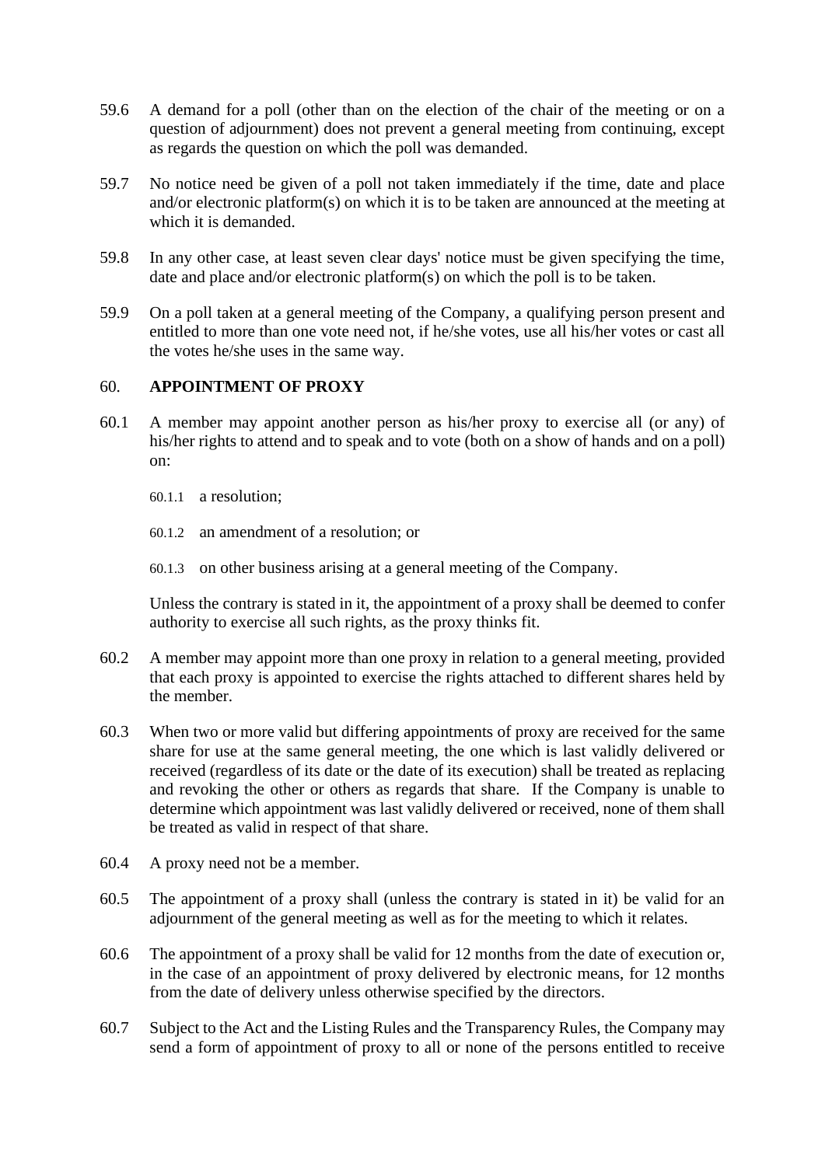- 59.6 A demand for a poll (other than on the election of the chair of the meeting or on a question of adjournment) does not prevent a general meeting from continuing, except as regards the question on which the poll was demanded.
- 59.7 No notice need be given of a poll not taken immediately if the time, date and place and/or electronic platform(s) on which it is to be taken are announced at the meeting at which it is demanded.
- 59.8 In any other case, at least seven clear days' notice must be given specifying the time, date and place and/or electronic platform(s) on which the poll is to be taken.
- 59.9 On a poll taken at a general meeting of the Company, a qualifying person present and entitled to more than one vote need not, if he/she votes, use all his/her votes or cast all the votes he/she uses in the same way.

# 60. **APPOINTMENT OF PROXY**

- 60.1 A member may appoint another person as his/her proxy to exercise all (or any) of his/her rights to attend and to speak and to vote (both on a show of hands and on a poll) on:
	- 60.1.1 a resolution;
	- 60.1.2 an amendment of a resolution; or
	- 60.1.3 on other business arising at a general meeting of the Company.

Unless the contrary is stated in it, the appointment of a proxy shall be deemed to confer authority to exercise all such rights, as the proxy thinks fit.

- 60.2 A member may appoint more than one proxy in relation to a general meeting, provided that each proxy is appointed to exercise the rights attached to different shares held by the member.
- 60.3 When two or more valid but differing appointments of proxy are received for the same share for use at the same general meeting, the one which is last validly delivered or received (regardless of its date or the date of its execution) shall be treated as replacing and revoking the other or others as regards that share. If the Company is unable to determine which appointment was last validly delivered or received, none of them shall be treated as valid in respect of that share.
- 60.4 A proxy need not be a member.
- 60.5 The appointment of a proxy shall (unless the contrary is stated in it) be valid for an adjournment of the general meeting as well as for the meeting to which it relates.
- 60.6 The appointment of a proxy shall be valid for 12 months from the date of execution or, in the case of an appointment of proxy delivered by electronic means, for 12 months from the date of delivery unless otherwise specified by the directors.
- 60.7 Subject to the Act and the Listing Rules and the Transparency Rules, the Company may send a form of appointment of proxy to all or none of the persons entitled to receive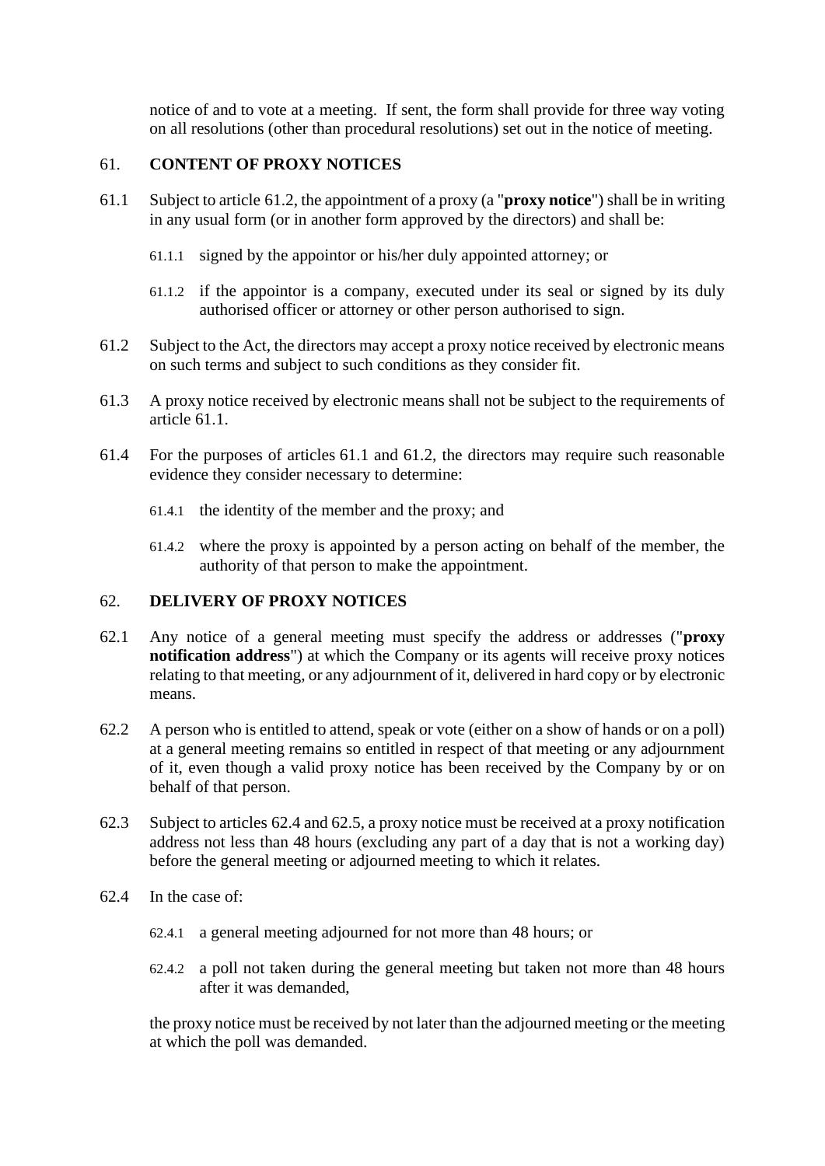notice of and to vote at a meeting. If sent, the form shall provide for three way voting on all resolutions (other than procedural resolutions) set out in the notice of meeting.

# 61. **CONTENT OF PROXY NOTICES**

- <span id="page-39-1"></span>61.1 Subject to article [61.2,](#page-39-0) the appointment of a proxy (a "**proxy notice**") shall be in writing in any usual form (or in another form approved by the directors) and shall be:
	- 61.1.1 signed by the appointor or his/her duly appointed attorney; or
	- 61.1.2 if the appointor is a company, executed under its seal or signed by its duly authorised officer or attorney or other person authorised to sign.
- <span id="page-39-0"></span>61.2 Subject to the Act, the directors may accept a proxy notice received by electronic means on such terms and subject to such conditions as they consider fit.
- 61.3 A proxy notice received by electronic means shall not be subject to the requirements of article [61.1.](#page-39-1)
- 61.4 For the purposes of articles [61.1](#page-39-1) and [61.2,](#page-39-0) the directors may require such reasonable evidence they consider necessary to determine:
	- 61.4.1 the identity of the member and the proxy; and
	- 61.4.2 where the proxy is appointed by a person acting on behalf of the member, the authority of that person to make the appointment.

# 62. **DELIVERY OF PROXY NOTICES**

- 62.1 Any notice of a general meeting must specify the address or addresses ("**proxy notification address**") at which the Company or its agents will receive proxy notices relating to that meeting, or any adjournment of it, delivered in hard copy or by electronic means.
- 62.2 A person who is entitled to attend, speak or vote (either on a show of hands or on a poll) at a general meeting remains so entitled in respect of that meeting or any adjournment of it, even though a valid proxy notice has been received by the Company by or on behalf of that person.
- 62.3 Subject to articles [62.4](#page-39-2) and [62.5,](#page-40-0) a proxy notice must be received at a proxy notification address not less than 48 hours (excluding any part of a day that is not a working day) before the general meeting or adjourned meeting to which it relates.
- <span id="page-39-2"></span>62.4 In the case of:
	- 62.4.1 a general meeting adjourned for not more than 48 hours; or
	- 62.4.2 a poll not taken during the general meeting but taken not more than 48 hours after it was demanded,

the proxy notice must be received by not later than the adjourned meeting or the meeting at which the poll was demanded.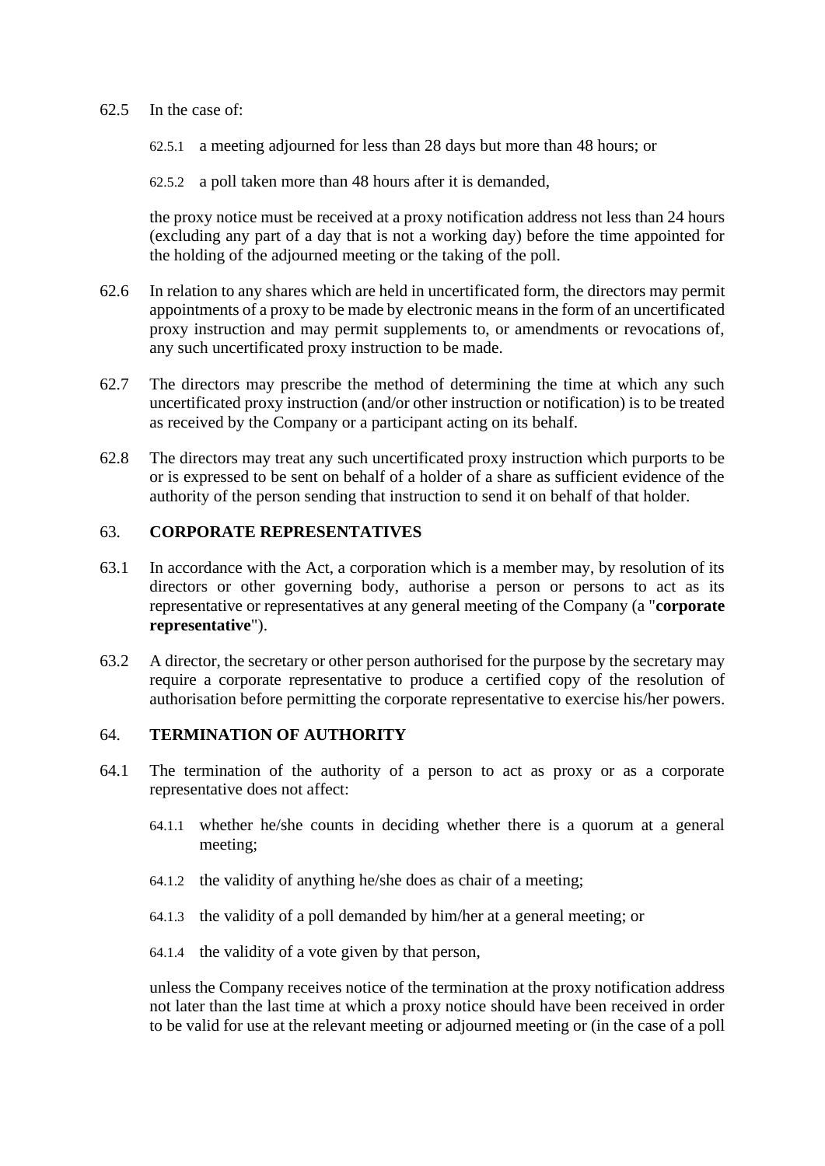#### <span id="page-40-0"></span>62.5 In the case of:

- 62.5.1 a meeting adjourned for less than 28 days but more than 48 hours; or
- 62.5.2 a poll taken more than 48 hours after it is demanded,

the proxy notice must be received at a proxy notification address not less than 24 hours (excluding any part of a day that is not a working day) before the time appointed for the holding of the adjourned meeting or the taking of the poll.

- 62.6 In relation to any shares which are held in uncertificated form, the directors may permit appointments of a proxy to be made by electronic means in the form of an uncertificated proxy instruction and may permit supplements to, or amendments or revocations of, any such uncertificated proxy instruction to be made.
- 62.7 The directors may prescribe the method of determining the time at which any such uncertificated proxy instruction (and/or other instruction or notification) is to be treated as received by the Company or a participant acting on its behalf.
- 62.8 The directors may treat any such uncertificated proxy instruction which purports to be or is expressed to be sent on behalf of a holder of a share as sufficient evidence of the authority of the person sending that instruction to send it on behalf of that holder.

### 63. **CORPORATE REPRESENTATIVES**

- 63.1 In accordance with the Act, a corporation which is a member may, by resolution of its directors or other governing body, authorise a person or persons to act as its representative or representatives at any general meeting of the Company (a "**corporate representative**").
- 63.2 A director, the secretary or other person authorised for the purpose by the secretary may require a corporate representative to produce a certified copy of the resolution of authorisation before permitting the corporate representative to exercise his/her powers.

## 64. **TERMINATION OF AUTHORITY**

- 64.1 The termination of the authority of a person to act as proxy or as a corporate representative does not affect:
	- 64.1.1 whether he/she counts in deciding whether there is a quorum at a general meeting;
	- 64.1.2 the validity of anything he/she does as chair of a meeting;
	- 64.1.3 the validity of a poll demanded by him/her at a general meeting; or
	- 64.1.4 the validity of a vote given by that person,

unless the Company receives notice of the termination at the proxy notification address not later than the last time at which a proxy notice should have been received in order to be valid for use at the relevant meeting or adjourned meeting or (in the case of a poll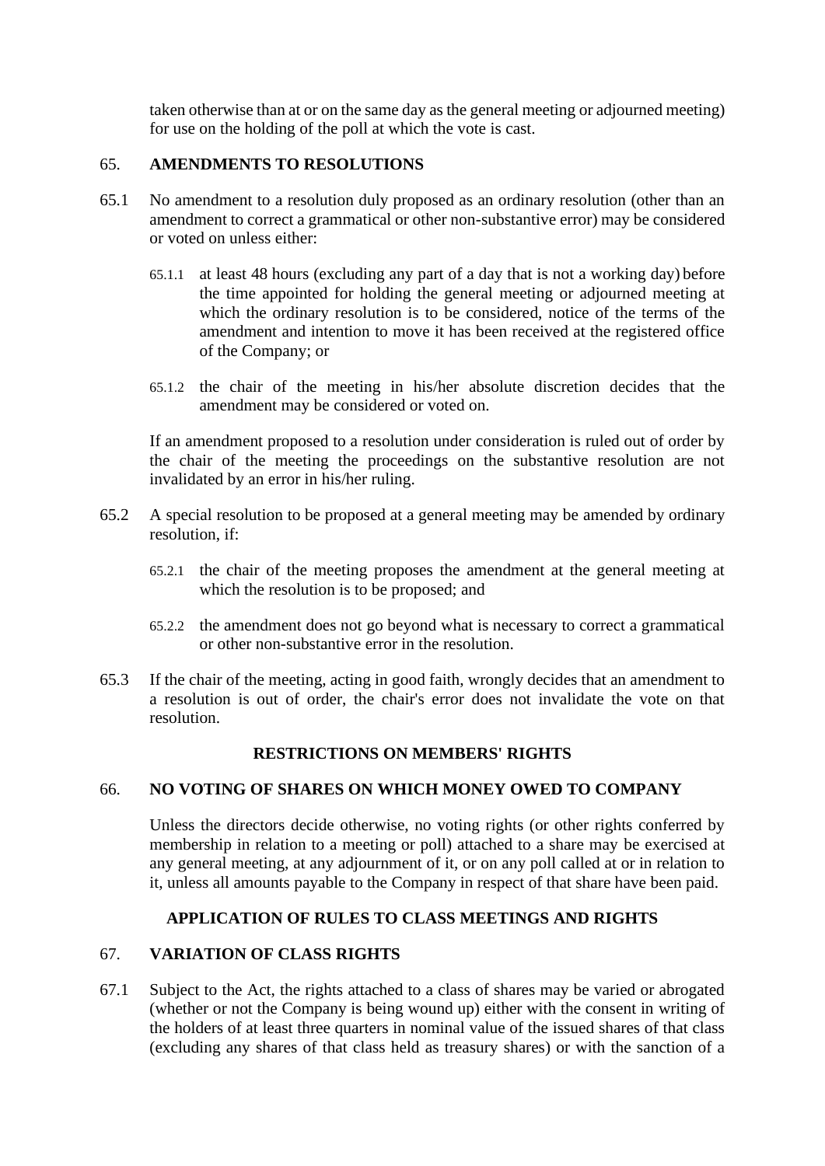taken otherwise than at or on the same day as the general meeting or adjourned meeting) for use on the holding of the poll at which the vote is cast.

# 65. **AMENDMENTS TO RESOLUTIONS**

- 65.1 No amendment to a resolution duly proposed as an ordinary resolution (other than an amendment to correct a grammatical or other non-substantive error) may be considered or voted on unless either:
	- 65.1.1 at least 48 hours (excluding any part of a day that is not a working day) before the time appointed for holding the general meeting or adjourned meeting at which the ordinary resolution is to be considered, notice of the terms of the amendment and intention to move it has been received at the registered office of the Company; or
	- 65.1.2 the chair of the meeting in his/her absolute discretion decides that the amendment may be considered or voted on.

If an amendment proposed to a resolution under consideration is ruled out of order by the chair of the meeting the proceedings on the substantive resolution are not invalidated by an error in his/her ruling.

- 65.2 A special resolution to be proposed at a general meeting may be amended by ordinary resolution, if:
	- 65.2.1 the chair of the meeting proposes the amendment at the general meeting at which the resolution is to be proposed; and
	- 65.2.2 the amendment does not go beyond what is necessary to correct a grammatical or other non-substantive error in the resolution.
- 65.3 If the chair of the meeting, acting in good faith, wrongly decides that an amendment to a resolution is out of order, the chair's error does not invalidate the vote on that resolution.

# **RESTRICTIONS ON MEMBERS' RIGHTS**

# 66. **NO VOTING OF SHARES ON WHICH MONEY OWED TO COMPANY**

Unless the directors decide otherwise, no voting rights (or other rights conferred by membership in relation to a meeting or poll) attached to a share may be exercised at any general meeting, at any adjournment of it, or on any poll called at or in relation to it, unless all amounts payable to the Company in respect of that share have been paid.

# **APPLICATION OF RULES TO CLASS MEETINGS AND RIGHTS**

# 67. **VARIATION OF CLASS RIGHTS**

67.1 Subject to the Act, the rights attached to a class of shares may be varied or abrogated (whether or not the Company is being wound up) either with the consent in writing of the holders of at least three quarters in nominal value of the issued shares of that class (excluding any shares of that class held as treasury shares) or with the sanction of a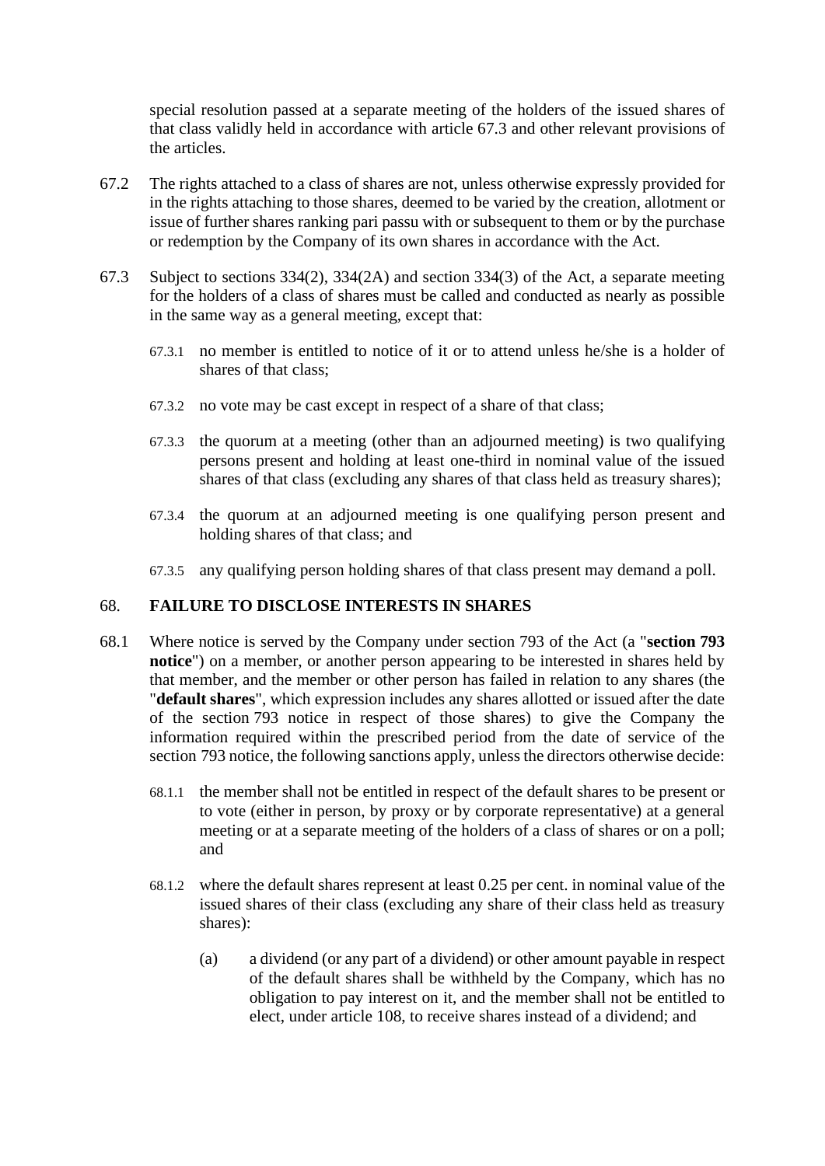special resolution passed at a separate meeting of the holders of the issued shares of that class validly held in accordance with article [67.3](#page-42-0) and other relevant provisions of the articles.

- 67.2 The rights attached to a class of shares are not, unless otherwise expressly provided for in the rights attaching to those shares, deemed to be varied by the creation, allotment or issue of further shares ranking pari passu with or subsequent to them or by the purchase or redemption by the Company of its own shares in accordance with the Act.
- <span id="page-42-0"></span>67.3 Subject to sections 334(2), 334(2A) and section 334(3) of the Act, a separate meeting for the holders of a class of shares must be called and conducted as nearly as possible in the same way as a general meeting, except that:
	- 67.3.1 no member is entitled to notice of it or to attend unless he/she is a holder of shares of that class;
	- 67.3.2 no vote may be cast except in respect of a share of that class;
	- 67.3.3 the quorum at a meeting (other than an adjourned meeting) is two qualifying persons present and holding at least one-third in nominal value of the issued shares of that class (excluding any shares of that class held as treasury shares);
	- 67.3.4 the quorum at an adjourned meeting is one qualifying person present and holding shares of that class; and
	- 67.3.5 any qualifying person holding shares of that class present may demand a poll.

# <span id="page-42-2"></span>68. **FAILURE TO DISCLOSE INTERESTS IN SHARES**

- <span id="page-42-1"></span>68.1 Where notice is served by the Company under section 793 of the Act (a "**section 793 notice**") on a member, or another person appearing to be interested in shares held by that member, and the member or other person has failed in relation to any shares (the "**default shares**", which expression includes any shares allotted or issued after the date of the section 793 notice in respect of those shares) to give the Company the information required within the prescribed period from the date of service of the section 793 notice, the following sanctions apply, unless the directors otherwise decide:
	- 68.1.1 the member shall not be entitled in respect of the default shares to be present or to vote (either in person, by proxy or by corporate representative) at a general meeting or at a separate meeting of the holders of a class of shares or on a poll; and
	- 68.1.2 where the default shares represent at least 0.25 per cent. in nominal value of the issued shares of their class (excluding any share of their class held as treasury shares):
		- (a) a dividend (or any part of a dividend) or other amount payable in respect of the default shares shall be withheld by the Company, which has no obligation to pay interest on it, and the member shall not be entitled to elect, under article [108,](#page-65-0) to receive shares instead of a dividend; and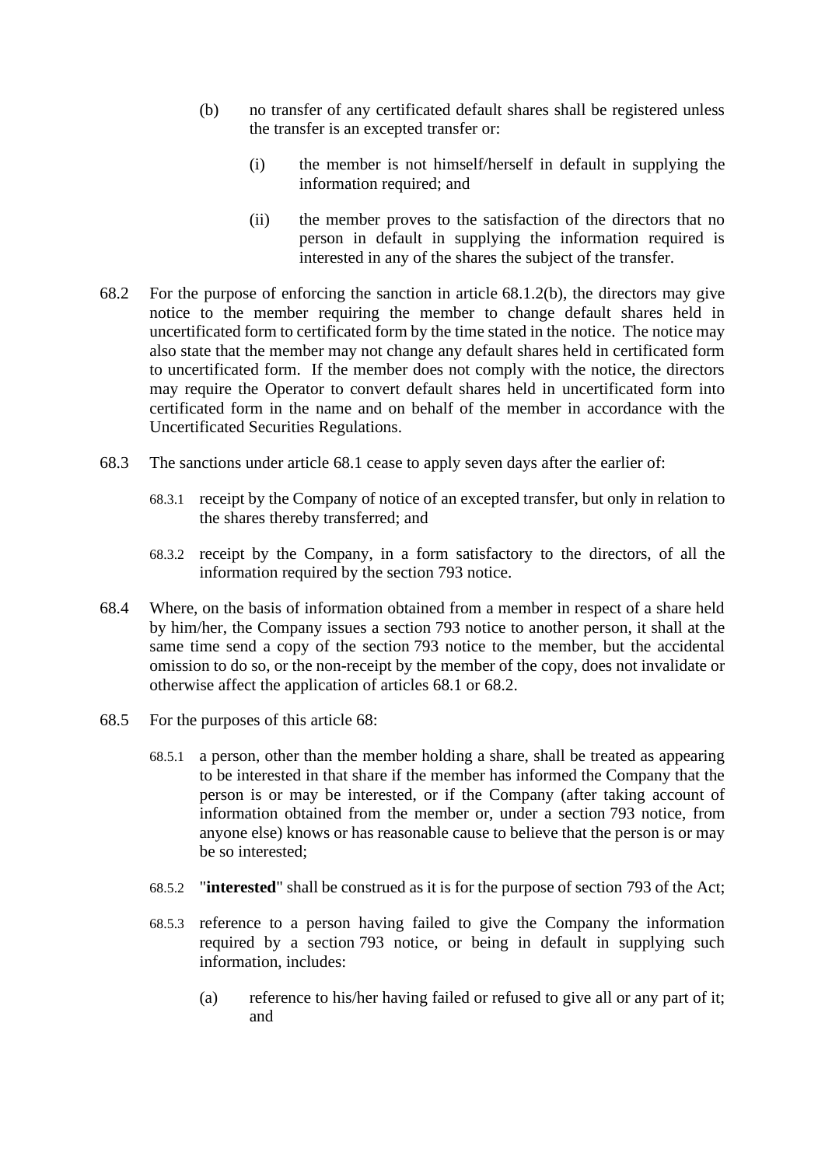- <span id="page-43-0"></span>(b) no transfer of any certificated default shares shall be registered unless the transfer is an excepted transfer or:
	- (i) the member is not himself/herself in default in supplying the information required; and
	- (ii) the member proves to the satisfaction of the directors that no person in default in supplying the information required is interested in any of the shares the subject of the transfer.
- <span id="page-43-1"></span>68.2 For the purpose of enforcing the sanction in article [68.1.2\(b\),](#page-43-0) the directors may give notice to the member requiring the member to change default shares held in uncertificated form to certificated form by the time stated in the notice. The notice may also state that the member may not change any default shares held in certificated form to uncertificated form. If the member does not comply with the notice, the directors may require the Operator to convert default shares held in uncertificated form into certificated form in the name and on behalf of the member in accordance with the Uncertificated Securities Regulations.
- 68.3 The sanctions under article [68.1](#page-42-1) cease to apply seven days after the earlier of:
	- 68.3.1 receipt by the Company of notice of an excepted transfer, but only in relation to the shares thereby transferred; and
	- 68.3.2 receipt by the Company, in a form satisfactory to the directors, of all the information required by the section 793 notice.
- 68.4 Where, on the basis of information obtained from a member in respect of a share held by him/her, the Company issues a section 793 notice to another person, it shall at the same time send a copy of the section 793 notice to the member, but the accidental omission to do so, or the non-receipt by the member of the copy, does not invalidate or otherwise affect the application of articles [68.1](#page-42-1) or [68.2.](#page-43-1)
- 68.5 For the purposes of this article [68:](#page-42-2)
	- 68.5.1 a person, other than the member holding a share, shall be treated as appearing to be interested in that share if the member has informed the Company that the person is or may be interested, or if the Company (after taking account of information obtained from the member or, under a section 793 notice, from anyone else) knows or has reasonable cause to believe that the person is or may be so interested;
	- 68.5.2 "**interested**" shall be construed as it is for the purpose of section 793 of the Act;
	- 68.5.3 reference to a person having failed to give the Company the information required by a section 793 notice, or being in default in supplying such information, includes:
		- (a) reference to his/her having failed or refused to give all or any part of it; and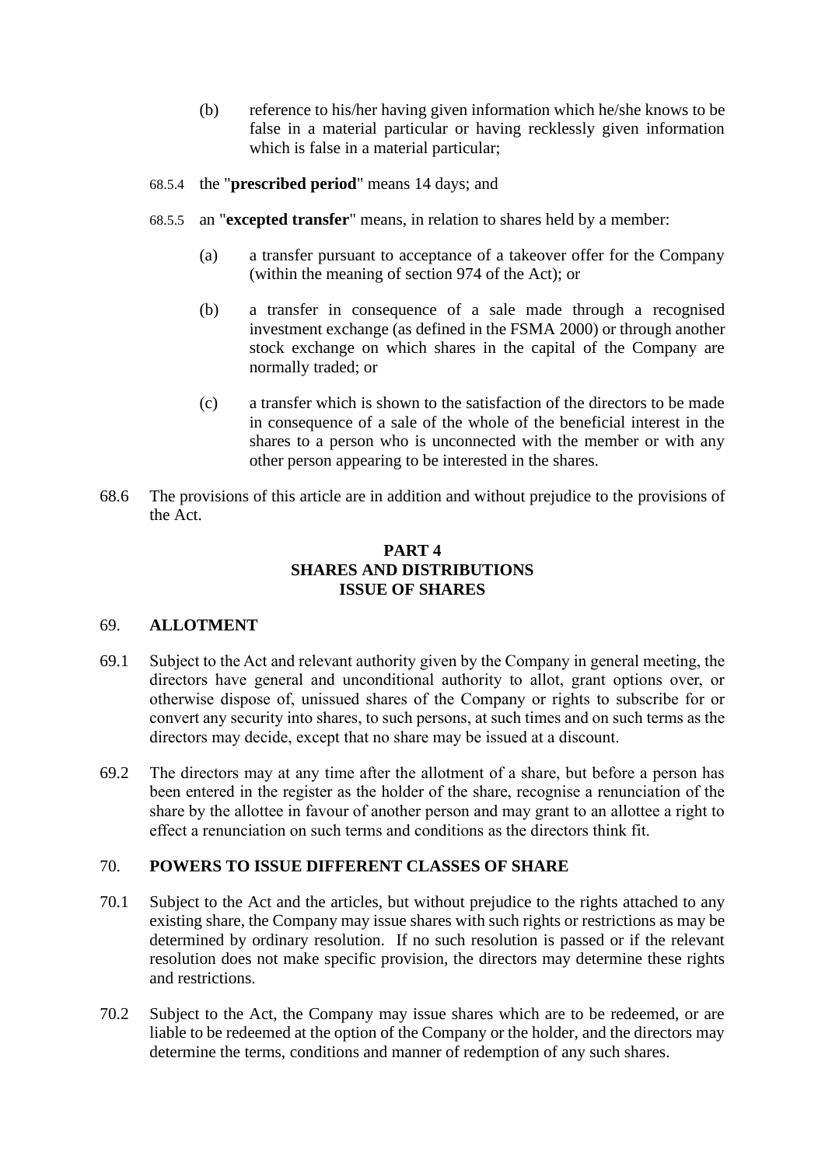- (b) reference to his/her having given information which he/she knows to be false in a material particular or having recklessly given information which is false in a material particular;
- 68.5.4 the "**prescribed period**" means 14 days; and
- 68.5.5 an "**excepted transfer**" means, in relation to shares held by a member:
	- (a) a transfer pursuant to acceptance of a takeover offer for the Company (within the meaning of section 974 of the Act); or
	- (b) a transfer in consequence of a sale made through a recognised investment exchange (as defined in the FSMA 2000) or through another stock exchange on which shares in the capital of the Company are normally traded; or
	- (c) a transfer which is shown to the satisfaction of the directors to be made in consequence of a sale of the whole of the beneficial interest in the shares to a person who is unconnected with the member or with any other person appearing to be interested in the shares.
- 68.6 The provisions of this article are in addition and without prejudice to the provisions of the Act.

# **PART 4 SHARES AND DISTRIBUTIONS ISSUE OF SHARES**

### 69. **ALLOTMENT**

- 69.1 Subject to the Act and relevant authority given by the Company in general meeting, the directors have general and unconditional authority to allot, grant options over, or otherwise dispose of, unissued shares of the Company or rights to subscribe for or convert any security into shares, to such persons, at such times and on such terms as the directors may decide, except that no share may be issued at a discount.
- 69.2 The directors may at any time after the allotment of a share, but before a person has been entered in the register as the holder of the share, recognise a renunciation of the share by the allottee in favour of another person and may grant to an allottee a right to effect a renunciation on such terms and conditions as the directors think fit.

### <span id="page-44-0"></span>70. **POWERS TO ISSUE DIFFERENT CLASSES OF SHARE**

- 70.1 Subject to the Act and the articles, but without prejudice to the rights attached to any existing share, the Company may issue shares with such rights or restrictions as may be determined by ordinary resolution. If no such resolution is passed or if the relevant resolution does not make specific provision, the directors may determine these rights and restrictions.
- 70.2 Subject to the Act, the Company may issue shares which are to be redeemed, or are liable to be redeemed at the option of the Company or the holder, and the directors may determine the terms, conditions and manner of redemption of any such shares.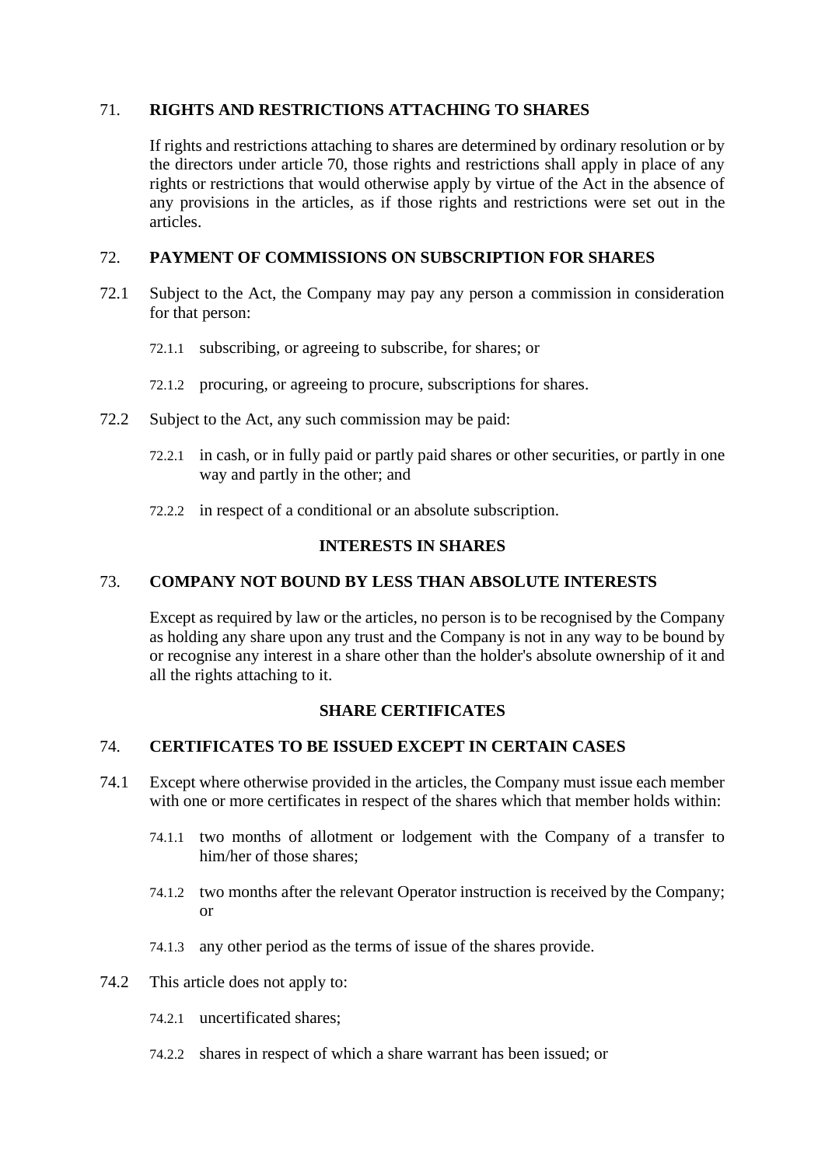# 71. **RIGHTS AND RESTRICTIONS ATTACHING TO SHARES**

If rights and restrictions attaching to shares are determined by ordinary resolution or by the directors under article [70,](#page-44-0) those rights and restrictions shall apply in place of any rights or restrictions that would otherwise apply by virtue of the Act in the absence of any provisions in the articles, as if those rights and restrictions were set out in the articles.

# 72. **PAYMENT OF COMMISSIONS ON SUBSCRIPTION FOR SHARES**

- 72.1 Subject to the Act, the Company may pay any person a commission in consideration for that person:
	- 72.1.1 subscribing, or agreeing to subscribe, for shares; or
	- 72.1.2 procuring, or agreeing to procure, subscriptions for shares.
- 72.2 Subject to the Act, any such commission may be paid:
	- 72.2.1 in cash, or in fully paid or partly paid shares or other securities, or partly in one way and partly in the other; and
	- 72.2.2 in respect of a conditional or an absolute subscription.

#### **INTERESTS IN SHARES**

### 73. **COMPANY NOT BOUND BY LESS THAN ABSOLUTE INTERESTS**

Except as required by law or the articles, no person is to be recognised by the Company as holding any share upon any trust and the Company is not in any way to be bound by or recognise any interest in a share other than the holder's absolute ownership of it and all the rights attaching to it.

## **SHARE CERTIFICATES**

## 74. **CERTIFICATES TO BE ISSUED EXCEPT IN CERTAIN CASES**

- 74.1 Except where otherwise provided in the articles, the Company must issue each member with one or more certificates in respect of the shares which that member holds within:
	- 74.1.1 two months of allotment or lodgement with the Company of a transfer to him/her of those shares;
	- 74.1.2 two months after the relevant Operator instruction is received by the Company; or
	- 74.1.3 any other period as the terms of issue of the shares provide.
- 74.2 This article does not apply to:
	- 74.2.1 uncertificated shares;
	- 74.2.2 shares in respect of which a share warrant has been issued; or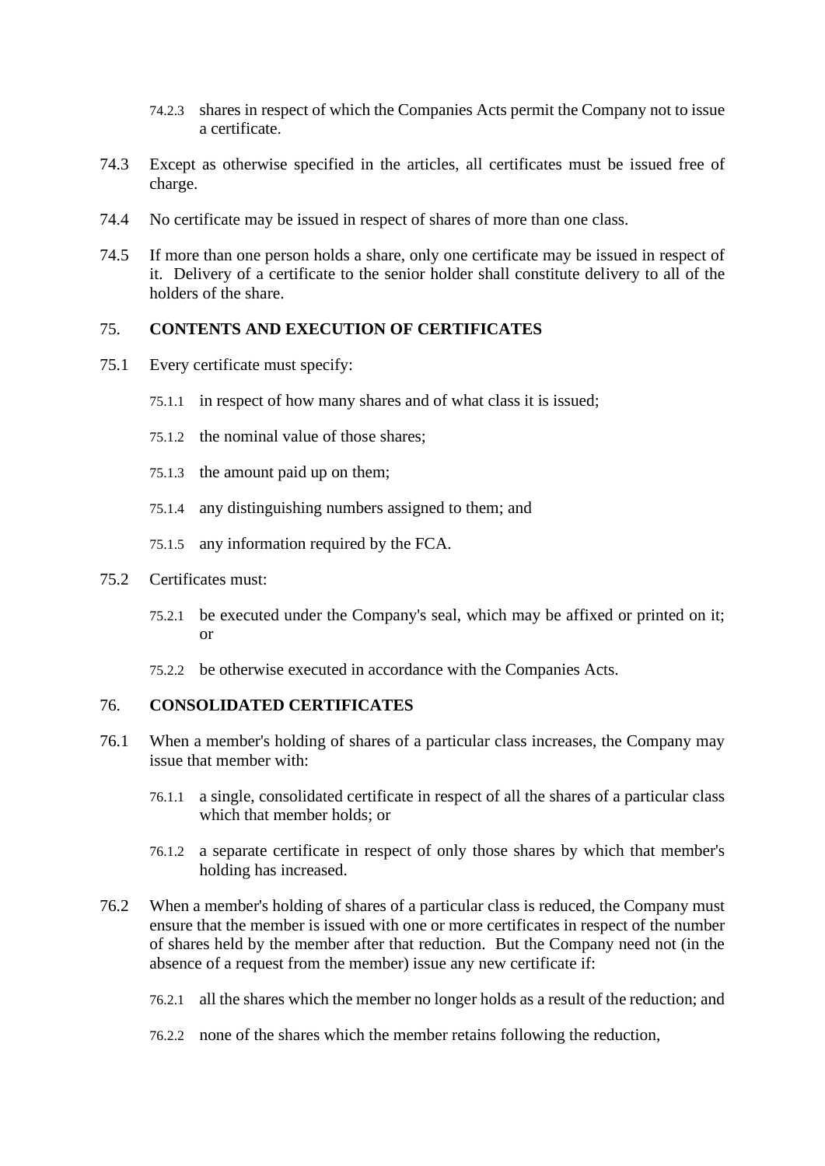- 74.2.3 shares in respect of which the Companies Acts permit the Company not to issue a certificate.
- 74.3 Except as otherwise specified in the articles, all certificates must be issued free of charge.
- 74.4 No certificate may be issued in respect of shares of more than one class.
- 74.5 If more than one person holds a share, only one certificate may be issued in respect of it. Delivery of a certificate to the senior holder shall constitute delivery to all of the holders of the share.

#### 75. **CONTENTS AND EXECUTION OF CERTIFICATES**

- 75.1 Every certificate must specify:
	- 75.1.1 in respect of how many shares and of what class it is issued;
	- 75.1.2 the nominal value of those shares;
	- 75.1.3 the amount paid up on them;
	- 75.1.4 any distinguishing numbers assigned to them; and
	- 75.1.5 any information required by the FCA.
- 75.2 Certificates must:
	- 75.2.1 be executed under the Company's seal, which may be affixed or printed on it; or
	- 75.2.2 be otherwise executed in accordance with the Companies Acts.

#### 76. **CONSOLIDATED CERTIFICATES**

- 76.1 When a member's holding of shares of a particular class increases, the Company may issue that member with:
	- 76.1.1 a single, consolidated certificate in respect of all the shares of a particular class which that member holds; or
	- 76.1.2 a separate certificate in respect of only those shares by which that member's holding has increased.
- 76.2 When a member's holding of shares of a particular class is reduced, the Company must ensure that the member is issued with one or more certificates in respect of the number of shares held by the member after that reduction. But the Company need not (in the absence of a request from the member) issue any new certificate if:
	- 76.2.1 all the shares which the member no longer holds as a result of the reduction; and
	- 76.2.2 none of the shares which the member retains following the reduction,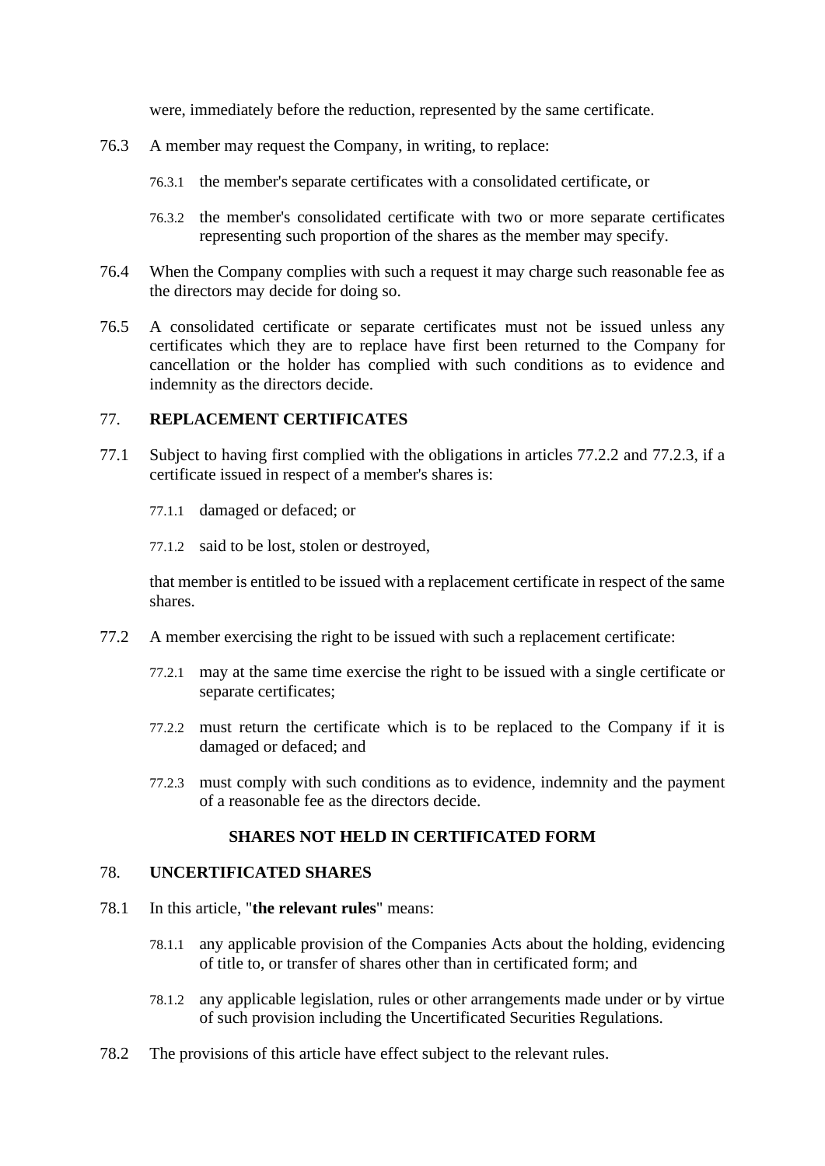were, immediately before the reduction, represented by the same certificate.

- 76.3 A member may request the Company, in writing, to replace:
	- 76.3.1 the member's separate certificates with a consolidated certificate, or
	- 76.3.2 the member's consolidated certificate with two or more separate certificates representing such proportion of the shares as the member may specify.
- 76.4 When the Company complies with such a request it may charge such reasonable fee as the directors may decide for doing so.
- 76.5 A consolidated certificate or separate certificates must not be issued unless any certificates which they are to replace have first been returned to the Company for cancellation or the holder has complied with such conditions as to evidence and indemnity as the directors decide.

# 77. **REPLACEMENT CERTIFICATES**

- 77.1 Subject to having first complied with the obligations in articles [77.2.2](#page-47-0) and [77.2.3,](#page-47-1) if a certificate issued in respect of a member's shares is:
	- 77.1.1 damaged or defaced; or
	- 77.1.2 said to be lost, stolen or destroyed,

that member is entitled to be issued with a replacement certificate in respect of the same shares.

- <span id="page-47-0"></span>77.2 A member exercising the right to be issued with such a replacement certificate:
	- 77.2.1 may at the same time exercise the right to be issued with a single certificate or separate certificates:
	- 77.2.2 must return the certificate which is to be replaced to the Company if it is damaged or defaced; and
	- 77.2.3 must comply with such conditions as to evidence, indemnity and the payment of a reasonable fee as the directors decide.

### **SHARES NOT HELD IN CERTIFICATED FORM**

#### <span id="page-47-1"></span>78. **UNCERTIFICATED SHARES**

- 78.1 In this article, "**the relevant rules**" means:
	- 78.1.1 any applicable provision of the Companies Acts about the holding, evidencing of title to, or transfer of shares other than in certificated form; and
	- 78.1.2 any applicable legislation, rules or other arrangements made under or by virtue of such provision including the Uncertificated Securities Regulations.
- 78.2 The provisions of this article have effect subject to the relevant rules.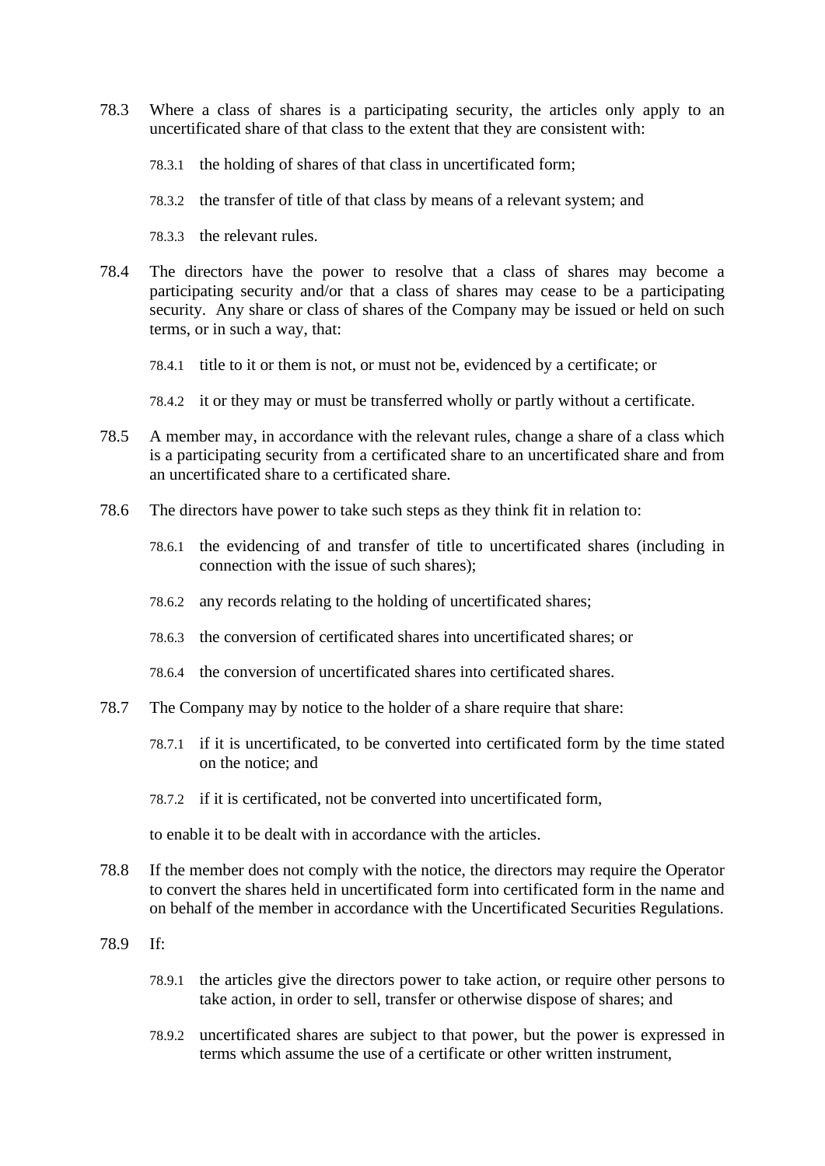- 78.3 Where a class of shares is a participating security, the articles only apply to an uncertificated share of that class to the extent that they are consistent with:
	- 78.3.1 the holding of shares of that class in uncertificated form;
	- 78.3.2 the transfer of title of that class by means of a relevant system; and
	- 78.3.3 the relevant rules.
- 78.4 The directors have the power to resolve that a class of shares may become a participating security and/or that a class of shares may cease to be a participating security. Any share or class of shares of the Company may be issued or held on such terms, or in such a way, that:
	- 78.4.1 title to it or them is not, or must not be, evidenced by a certificate; or
	- 78.4.2 it or they may or must be transferred wholly or partly without a certificate.
- 78.5 A member may, in accordance with the relevant rules, change a share of a class which is a participating security from a certificated share to an uncertificated share and from an uncertificated share to a certificated share.
- 78.6 The directors have power to take such steps as they think fit in relation to:
	- 78.6.1 the evidencing of and transfer of title to uncertificated shares (including in connection with the issue of such shares);
	- 78.6.2 any records relating to the holding of uncertificated shares;
	- 78.6.3 the conversion of certificated shares into uncertificated shares; or
	- 78.6.4 the conversion of uncertificated shares into certificated shares.
- 78.7 The Company may by notice to the holder of a share require that share:
	- 78.7.1 if it is uncertificated, to be converted into certificated form by the time stated on the notice; and
	- 78.7.2 if it is certificated, not be converted into uncertificated form,

to enable it to be dealt with in accordance with the articles.

- 78.8 If the member does not comply with the notice, the directors may require the Operator to convert the shares held in uncertificated form into certificated form in the name and on behalf of the member in accordance with the Uncertificated Securities Regulations.
- 78.9 If:
	- 78.9.1 the articles give the directors power to take action, or require other persons to take action, in order to sell, transfer or otherwise dispose of shares; and
	- 78.9.2 uncertificated shares are subject to that power, but the power is expressed in terms which assume the use of a certificate or other written instrument,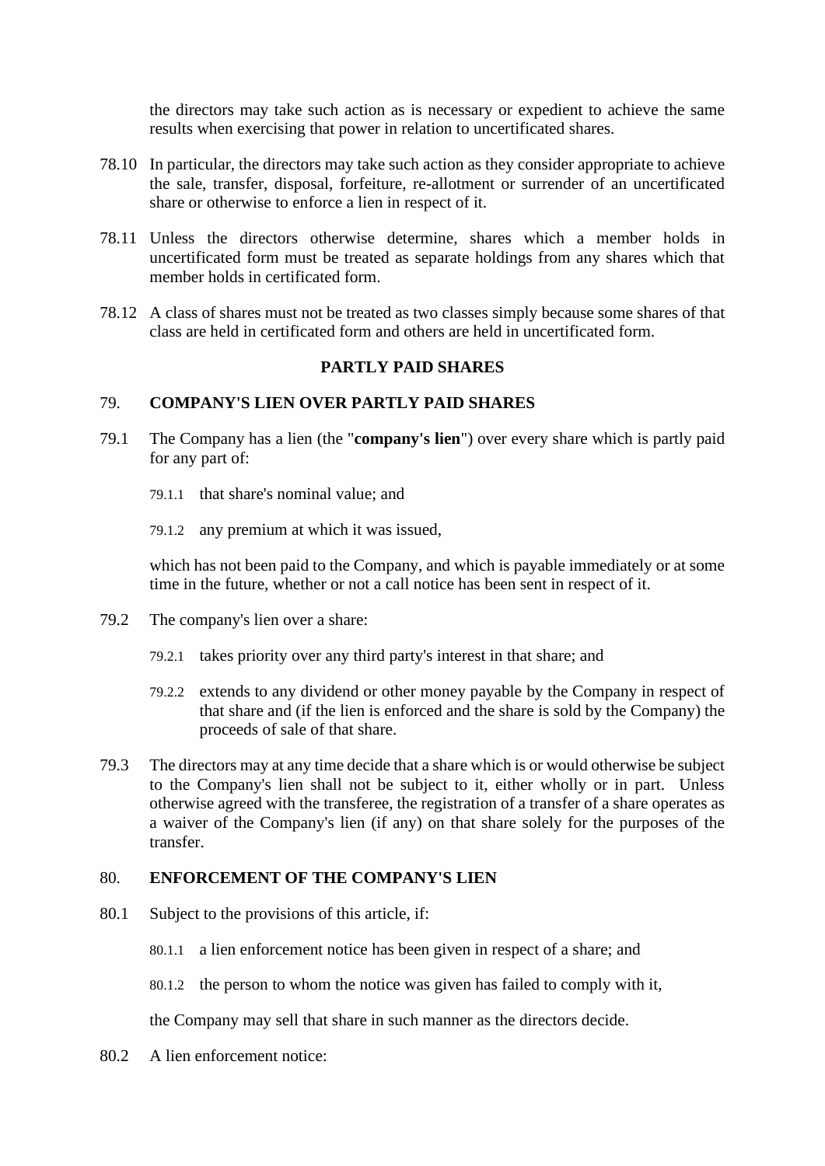the directors may take such action as is necessary or expedient to achieve the same results when exercising that power in relation to uncertificated shares.

- 78.10 In particular, the directors may take such action as they consider appropriate to achieve the sale, transfer, disposal, forfeiture, re-allotment or surrender of an uncertificated share or otherwise to enforce a lien in respect of it.
- 78.11 Unless the directors otherwise determine, shares which a member holds in uncertificated form must be treated as separate holdings from any shares which that member holds in certificated form.
- 78.12 A class of shares must not be treated as two classes simply because some shares of that class are held in certificated form and others are held in uncertificated form.

# **PARTLY PAID SHARES**

# 79. **COMPANY'S LIEN OVER PARTLY PAID SHARES**

- 79.1 The Company has a lien (the "**company's lien**") over every share which is partly paid for any part of:
	- 79.1.1 that share's nominal value; and
	- 79.1.2 any premium at which it was issued,

which has not been paid to the Company, and which is payable immediately or at some time in the future, whether or not a call notice has been sent in respect of it.

- 79.2 The company's lien over a share:
	- 79.2.1 takes priority over any third party's interest in that share; and
	- 79.2.2 extends to any dividend or other money payable by the Company in respect of that share and (if the lien is enforced and the share is sold by the Company) the proceeds of sale of that share.
- 79.3 The directors may at any time decide that a share which is or would otherwise be subject to the Company's lien shall not be subject to it, either wholly or in part. Unless otherwise agreed with the transferee, the registration of a transfer of a share operates as a waiver of the Company's lien (if any) on that share solely for the purposes of the transfer.

#### 80. **ENFORCEMENT OF THE COMPANY'S LIEN**

- 80.1 Subject to the provisions of this article, if:
	- 80.1.1 a lien enforcement notice has been given in respect of a share; and
	- 80.1.2 the person to whom the notice was given has failed to comply with it,

the Company may sell that share in such manner as the directors decide.

80.2 A lien enforcement notice: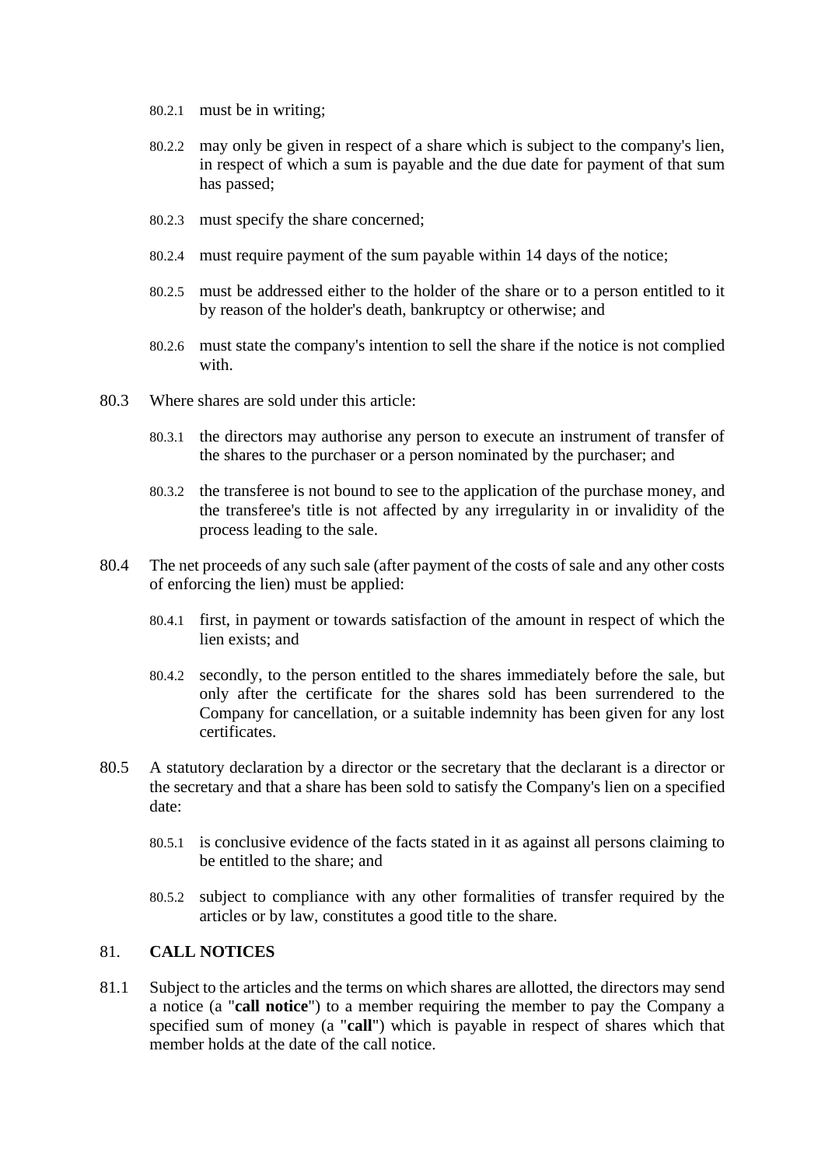- 80.2.1 must be in writing;
- 80.2.2 may only be given in respect of a share which is subject to the company's lien, in respect of which a sum is payable and the due date for payment of that sum has passed;
- 80.2.3 must specify the share concerned;
- 80.2.4 must require payment of the sum payable within 14 days of the notice;
- 80.2.5 must be addressed either to the holder of the share or to a person entitled to it by reason of the holder's death, bankruptcy or otherwise; and
- 80.2.6 must state the company's intention to sell the share if the notice is not complied with.
- 80.3 Where shares are sold under this article:
	- 80.3.1 the directors may authorise any person to execute an instrument of transfer of the shares to the purchaser or a person nominated by the purchaser; and
	- 80.3.2 the transferee is not bound to see to the application of the purchase money, and the transferee's title is not affected by any irregularity in or invalidity of the process leading to the sale.
- 80.4 The net proceeds of any such sale (after payment of the costs of sale and any other costs of enforcing the lien) must be applied:
	- 80.4.1 first, in payment or towards satisfaction of the amount in respect of which the lien exists; and
	- 80.4.2 secondly, to the person entitled to the shares immediately before the sale, but only after the certificate for the shares sold has been surrendered to the Company for cancellation, or a suitable indemnity has been given for any lost certificates.
- 80.5 A statutory declaration by a director or the secretary that the declarant is a director or the secretary and that a share has been sold to satisfy the Company's lien on a specified date:
	- 80.5.1 is conclusive evidence of the facts stated in it as against all persons claiming to be entitled to the share; and
	- 80.5.2 subject to compliance with any other formalities of transfer required by the articles or by law, constitutes a good title to the share.

# 81. **CALL NOTICES**

81.1 Subject to the articles and the terms on which shares are allotted, the directors may send a notice (a "**call notice**") to a member requiring the member to pay the Company a specified sum of money (a "**call**") which is payable in respect of shares which that member holds at the date of the call notice.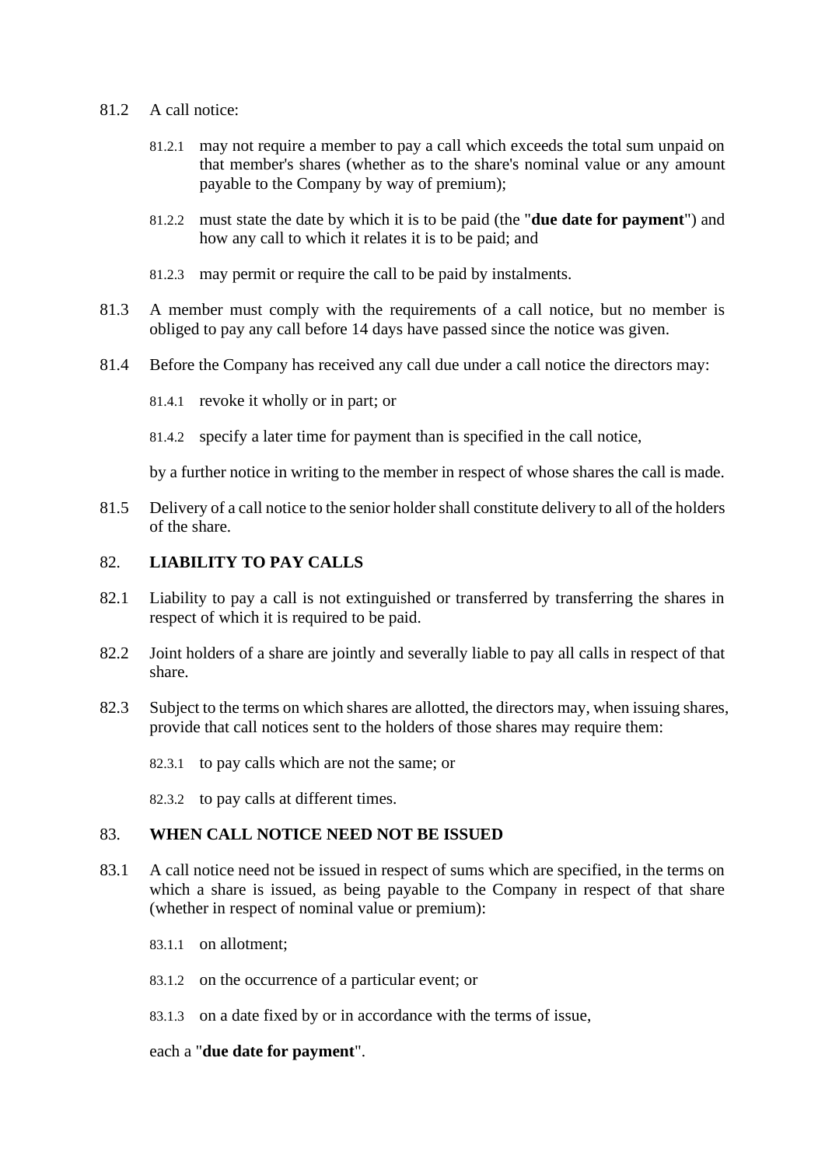- 81.2 A call notice:
	- 81.2.1 may not require a member to pay a call which exceeds the total sum unpaid on that member's shares (whether as to the share's nominal value or any amount payable to the Company by way of premium);
	- 81.2.2 must state the date by which it is to be paid (the "**due date for payment**") and how any call to which it relates it is to be paid; and
	- 81.2.3 may permit or require the call to be paid by instalments.
- 81.3 A member must comply with the requirements of a call notice, but no member is obliged to pay any call before 14 days have passed since the notice was given.
- 81.4 Before the Company has received any call due under a call notice the directors may:
	- 81.4.1 revoke it wholly or in part; or
	- 81.4.2 specify a later time for payment than is specified in the call notice,

by a further notice in writing to the member in respect of whose shares the call is made.

81.5 Delivery of a call notice to the senior holder shall constitute delivery to all of the holders of the share.

### 82. **LIABILITY TO PAY CALLS**

- 82.1 Liability to pay a call is not extinguished or transferred by transferring the shares in respect of which it is required to be paid.
- 82.2 Joint holders of a share are jointly and severally liable to pay all calls in respect of that share.
- 82.3 Subject to the terms on which shares are allotted, the directors may, when issuing shares, provide that call notices sent to the holders of those shares may require them:
	- 82.3.1 to pay calls which are not the same; or
	- 82.3.2 to pay calls at different times.

#### 83. **WHEN CALL NOTICE NEED NOT BE ISSUED**

- 83.1 A call notice need not be issued in respect of sums which are specified, in the terms on which a share is issued, as being payable to the Company in respect of that share (whether in respect of nominal value or premium):
	- 83.1.1 on allotment;
	- 83.1.2 on the occurrence of a particular event; or
	- 83.1.3 on a date fixed by or in accordance with the terms of issue,

### each a "**due date for payment**".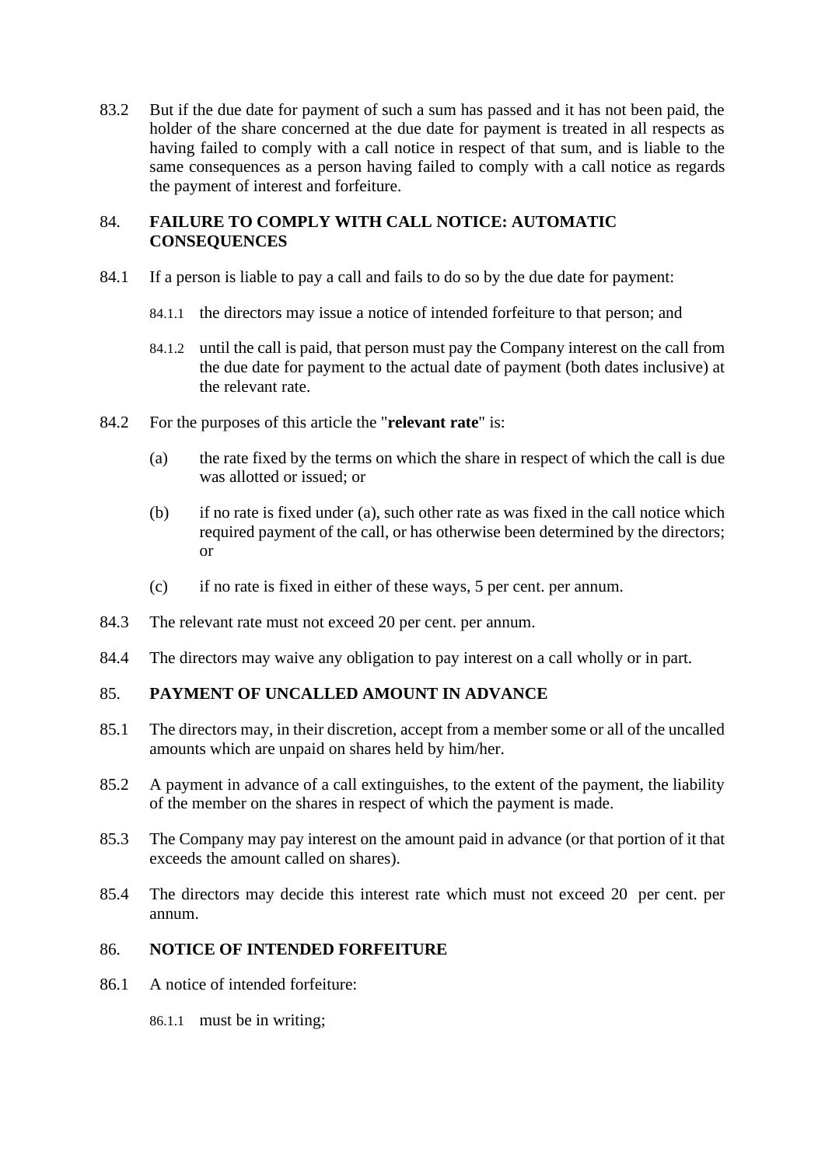83.2 But if the due date for payment of such a sum has passed and it has not been paid, the holder of the share concerned at the due date for payment is treated in all respects as having failed to comply with a call notice in respect of that sum, and is liable to the same consequences as a person having failed to comply with a call notice as regards the payment of interest and forfeiture.

# 84. **FAILURE TO COMPLY WITH CALL NOTICE: AUTOMATIC CONSEQUENCES**

- 84.1 If a person is liable to pay a call and fails to do so by the due date for payment:
	- 84.1.1 the directors may issue a notice of intended forfeiture to that person; and
	- 84.1.2 until the call is paid, that person must pay the Company interest on the call from the due date for payment to the actual date of payment (both dates inclusive) at the relevant rate.
- <span id="page-52-0"></span>84.2 For the purposes of this article the "**relevant rate**" is:
	- (a) the rate fixed by the terms on which the share in respect of which the call is due was allotted or issued; or
	- (b) if no rate is fixed under [\(a\),](#page-52-0) such other rate as was fixed in the call notice which required payment of the call, or has otherwise been determined by the directors; or
	- (c) if no rate is fixed in either of these ways, 5 per cent. per annum.
- 84.3 The relevant rate must not exceed 20 per cent. per annum.
- 84.4 The directors may waive any obligation to pay interest on a call wholly or in part.

### <span id="page-52-1"></span>85. **PAYMENT OF UNCALLED AMOUNT IN ADVANCE**

- 85.1 The directors may, in their discretion, accept from a member some or all of the uncalled amounts which are unpaid on shares held by him/her.
- 85.2 A payment in advance of a call extinguishes, to the extent of the payment, the liability of the member on the shares in respect of which the payment is made.
- 85.3 The Company may pay interest on the amount paid in advance (or that portion of it that exceeds the amount called on shares).
- 85.4 The directors may decide this interest rate which must not exceed 20 per cent. per annum.

# 86. **NOTICE OF INTENDED FORFEITURE**

86.1 A notice of intended forfeiture:

86.1.1 must be in writing;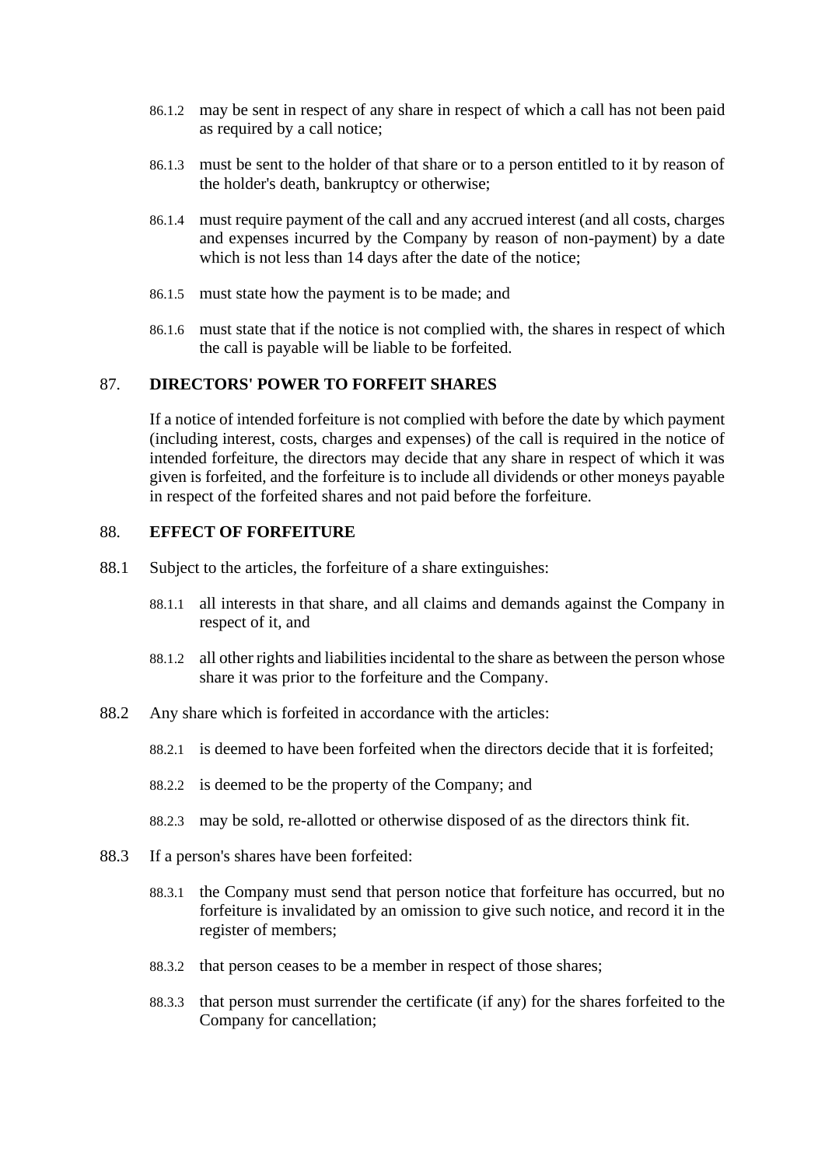- 86.1.2 may be sent in respect of any share in respect of which a call has not been paid as required by a call notice;
- 86.1.3 must be sent to the holder of that share or to a person entitled to it by reason of the holder's death, bankruptcy or otherwise;
- 86.1.4 must require payment of the call and any accrued interest (and all costs, charges and expenses incurred by the Company by reason of non-payment) by a date which is not less than 14 days after the date of the notice:
- 86.1.5 must state how the payment is to be made; and
- 86.1.6 must state that if the notice is not complied with, the shares in respect of which the call is payable will be liable to be forfeited.

### 87. **DIRECTORS' POWER TO FORFEIT SHARES**

If a notice of intended forfeiture is not complied with before the date by which payment (including interest, costs, charges and expenses) of the call is required in the notice of intended forfeiture, the directors may decide that any share in respect of which it was given is forfeited, and the forfeiture is to include all dividends or other moneys payable in respect of the forfeited shares and not paid before the forfeiture.

#### 88. **EFFECT OF FORFEITURE**

- 88.1 Subject to the articles, the forfeiture of a share extinguishes:
	- 88.1.1 all interests in that share, and all claims and demands against the Company in respect of it, and
	- 88.1.2 all other rights and liabilities incidental to the share as between the person whose share it was prior to the forfeiture and the Company.
- 88.2 Any share which is forfeited in accordance with the articles:
	- 88.2.1 is deemed to have been forfeited when the directors decide that it is forfeited;
	- 88.2.2 is deemed to be the property of the Company; and
	- 88.2.3 may be sold, re-allotted or otherwise disposed of as the directors think fit.
- 88.3 If a person's shares have been forfeited:
	- 88.3.1 the Company must send that person notice that forfeiture has occurred, but no forfeiture is invalidated by an omission to give such notice, and record it in the register of members;
	- 88.3.2 that person ceases to be a member in respect of those shares;
	- 88.3.3 that person must surrender the certificate (if any) for the shares forfeited to the Company for cancellation;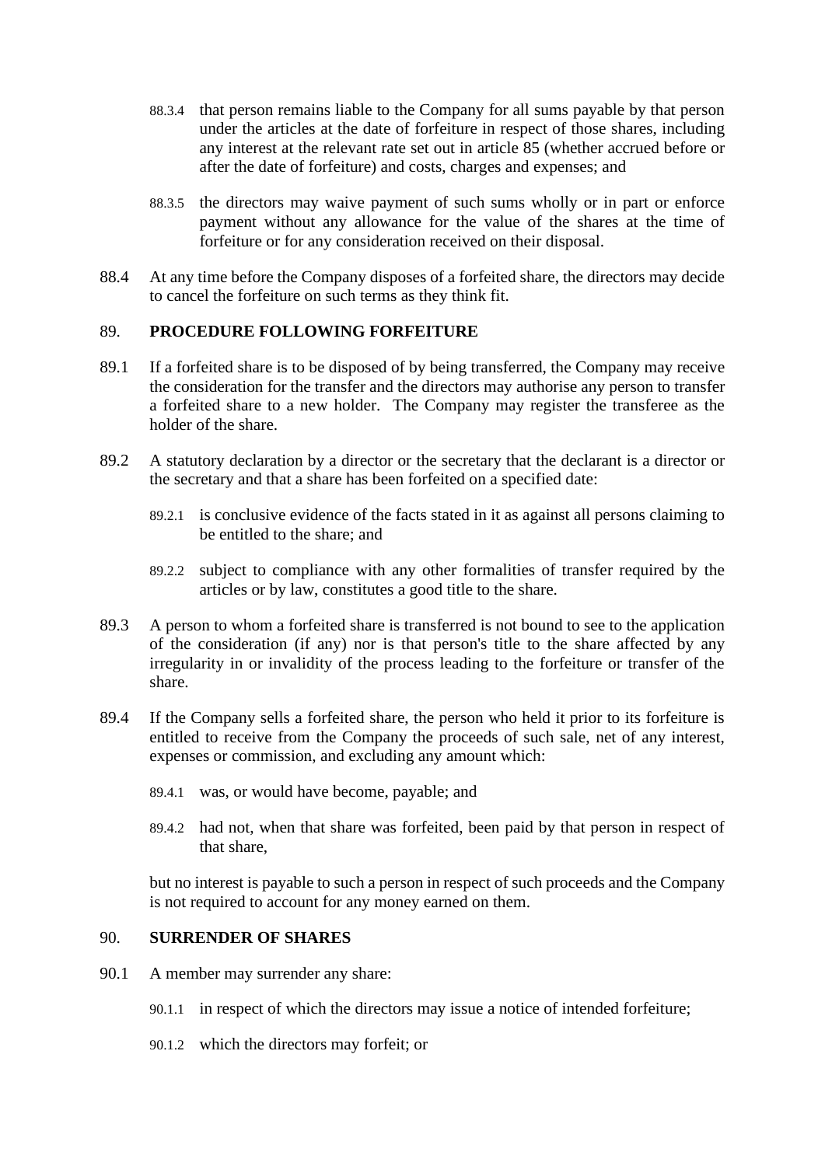- 88.3.4 that person remains liable to the Company for all sums payable by that person under the articles at the date of forfeiture in respect of those shares, including any interest at the relevant rate set out in article [85](#page-52-1) (whether accrued before or after the date of forfeiture) and costs, charges and expenses; and
- 88.3.5 the directors may waive payment of such sums wholly or in part or enforce payment without any allowance for the value of the shares at the time of forfeiture or for any consideration received on their disposal.
- 88.4 At any time before the Company disposes of a forfeited share, the directors may decide to cancel the forfeiture on such terms as they think fit.

### 89. **PROCEDURE FOLLOWING FORFEITURE**

- 89.1 If a forfeited share is to be disposed of by being transferred, the Company may receive the consideration for the transfer and the directors may authorise any person to transfer a forfeited share to a new holder. The Company may register the transferee as the holder of the share.
- 89.2 A statutory declaration by a director or the secretary that the declarant is a director or the secretary and that a share has been forfeited on a specified date:
	- 89.2.1 is conclusive evidence of the facts stated in it as against all persons claiming to be entitled to the share; and
	- 89.2.2 subject to compliance with any other formalities of transfer required by the articles or by law, constitutes a good title to the share.
- 89.3 A person to whom a forfeited share is transferred is not bound to see to the application of the consideration (if any) nor is that person's title to the share affected by any irregularity in or invalidity of the process leading to the forfeiture or transfer of the share.
- 89.4 If the Company sells a forfeited share, the person who held it prior to its forfeiture is entitled to receive from the Company the proceeds of such sale, net of any interest, expenses or commission, and excluding any amount which:
	- 89.4.1 was, or would have become, payable; and
	- 89.4.2 had not, when that share was forfeited, been paid by that person in respect of that share,

but no interest is payable to such a person in respect of such proceeds and the Company is not required to account for any money earned on them.

# 90. **SURRENDER OF SHARES**

- 90.1 A member may surrender any share:
	- 90.1.1 in respect of which the directors may issue a notice of intended forfeiture;
	- 90.1.2 which the directors may forfeit; or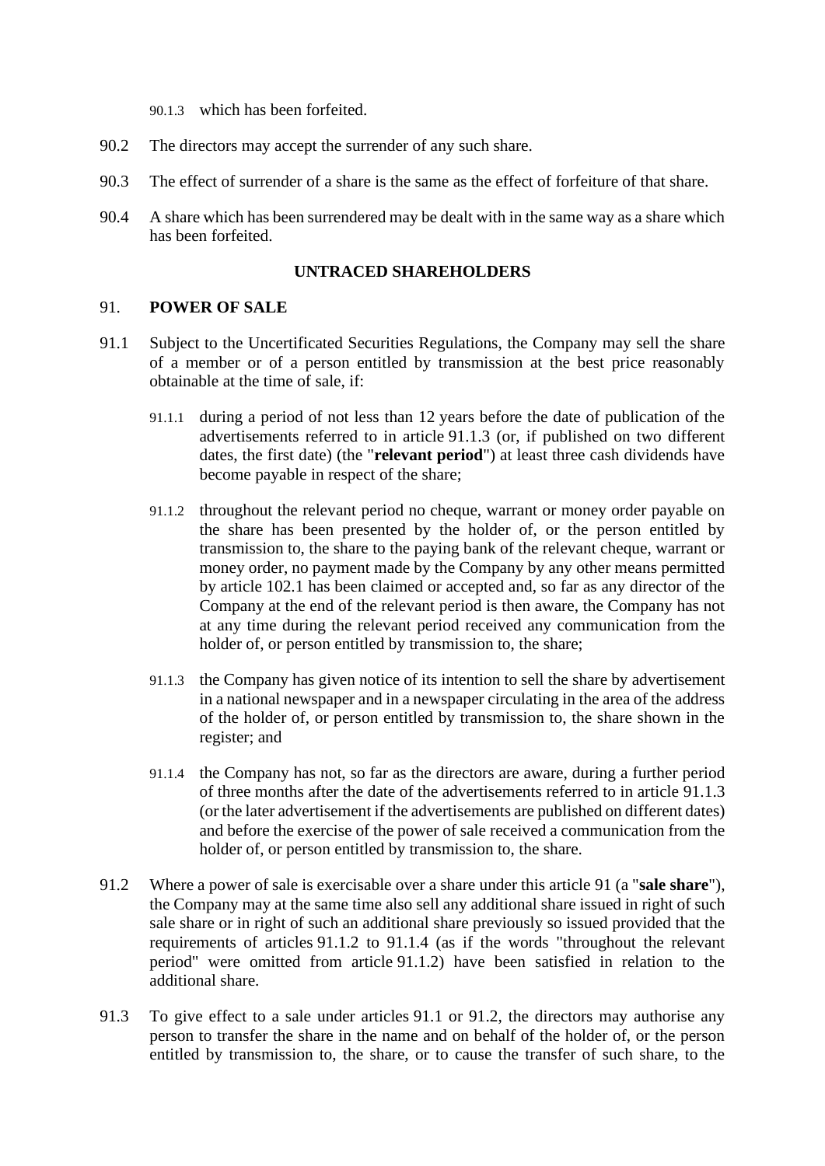90.1.3 which has been forfeited.

- 90.2 The directors may accept the surrender of any such share.
- 90.3 The effect of surrender of a share is the same as the effect of forfeiture of that share.
- 90.4 A share which has been surrendered may be dealt with in the same way as a share which has been forfeited.

### **UNTRACED SHAREHOLDERS**

### <span id="page-55-1"></span>91. **POWER OF SALE**

- <span id="page-55-4"></span><span id="page-55-2"></span>91.1 Subject to the Uncertificated Securities Regulations, the Company may sell the share of a member or of a person entitled by transmission at the best price reasonably obtainable at the time of sale, if:
	- 91.1.1 during a period of not less than 12 years before the date of publication of the advertisements referred to in article [91.1.3](#page-55-0) (or, if published on two different dates, the first date) (the "**relevant period**") at least three cash dividends have become payable in respect of the share;
	- 91.1.2 throughout the relevant period no cheque, warrant or money order payable on the share has been presented by the holder of, or the person entitled by transmission to, the share to the paying bank of the relevant cheque, warrant or money order, no payment made by the Company by any other means permitted by article [102.1](#page-62-0) has been claimed or accepted and, so far as any director of the Company at the end of the relevant period is then aware, the Company has not at any time during the relevant period received any communication from the holder of, or person entitled by transmission to, the share;
	- 91.1.3 the Company has given notice of its intention to sell the share by advertisement in a national newspaper and in a newspaper circulating in the area of the address of the holder of, or person entitled by transmission to, the share shown in the register; and
	- 91.1.4 the Company has not, so far as the directors are aware, during a further period of three months after the date of the advertisements referred to in article [91.1.3](#page-55-0) (or the later advertisement if the advertisements are published on different dates) and before the exercise of the power of sale received a communication from the holder of, or person entitled by transmission to, the share.
- <span id="page-55-5"></span><span id="page-55-3"></span><span id="page-55-0"></span>91.2 Where a power of sale is exercisable over a share under this article [91](#page-55-1) (a "**sale share**"), the Company may at the same time also sell any additional share issued in right of such sale share or in right of such an additional share previously so issued provided that the requirements of articles [91.1.2](#page-55-2) to [91.1.4](#page-55-3) (as if the words "throughout the relevant period" were omitted from article [91.1.2\)](#page-55-2) have been satisfied in relation to the additional share.
- 91.3 To give effect to a sale under articles [91.1](#page-55-4) or [91.2,](#page-55-5) the directors may authorise any person to transfer the share in the name and on behalf of the holder of, or the person entitled by transmission to, the share, or to cause the transfer of such share, to the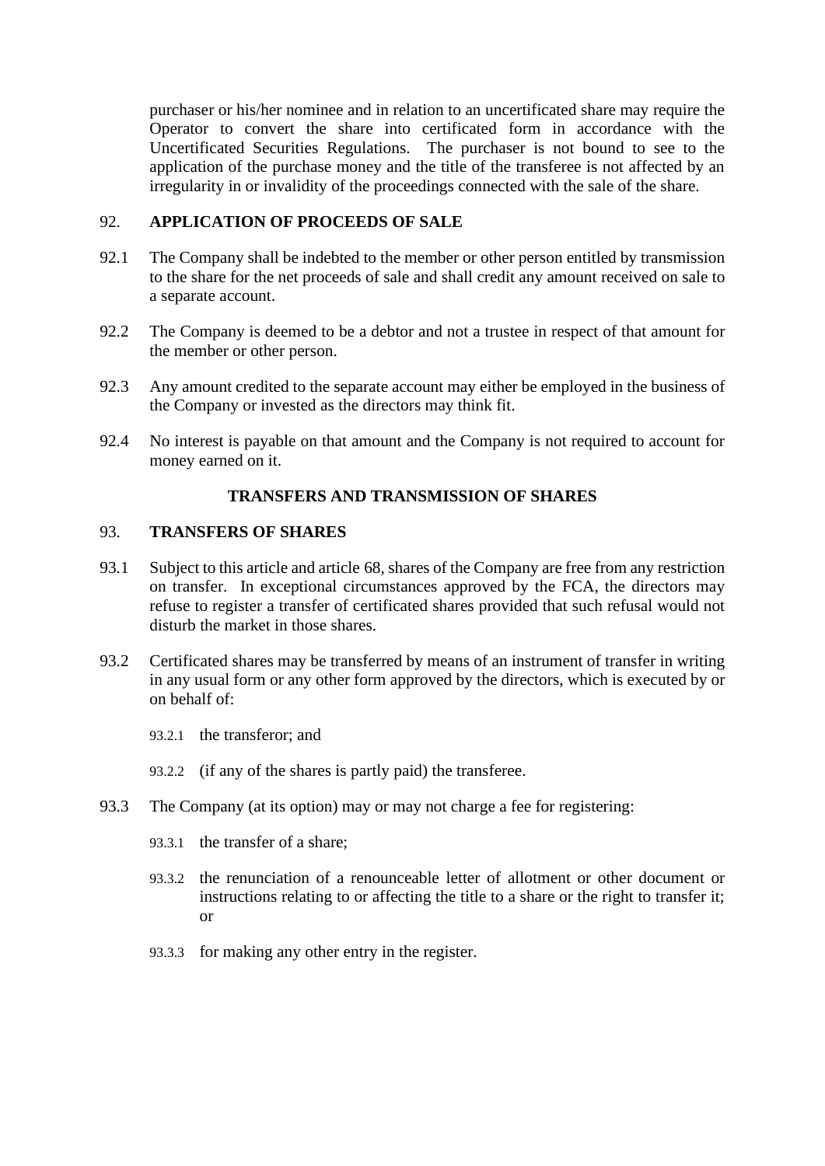purchaser or his/her nominee and in relation to an uncertificated share may require the Operator to convert the share into certificated form in accordance with the Uncertificated Securities Regulations. The purchaser is not bound to see to the application of the purchase money and the title of the transferee is not affected by an irregularity in or invalidity of the proceedings connected with the sale of the share.

# 92. **APPLICATION OF PROCEEDS OF SALE**

- 92.1 The Company shall be indebted to the member or other person entitled by transmission to the share for the net proceeds of sale and shall credit any amount received on sale to a separate account.
- 92.2 The Company is deemed to be a debtor and not a trustee in respect of that amount for the member or other person.
- 92.3 Any amount credited to the separate account may either be employed in the business of the Company or invested as the directors may think fit.
- 92.4 No interest is payable on that amount and the Company is not required to account for money earned on it.

# **TRANSFERS AND TRANSMISSION OF SHARES**

### 93. **TRANSFERS OF SHARES**

- 93.1 Subject to this article and article [68,](#page-42-2) shares of the Company are free from any restriction on transfer. In exceptional circumstances approved by the FCA, the directors may refuse to register a transfer of certificated shares provided that such refusal would not disturb the market in those shares.
- 93.2 Certificated shares may be transferred by means of an instrument of transfer in writing in any usual form or any other form approved by the directors, which is executed by or on behalf of:
	- 93.2.1 the transferor; and
	- 93.2.2 (if any of the shares is partly paid) the transferee.
- 93.3 The Company (at its option) may or may not charge a fee for registering:
	- 93.3.1 the transfer of a share;
	- 93.3.2 the renunciation of a renounceable letter of allotment or other document or instructions relating to or affecting the title to a share or the right to transfer it; or
	- 93.3.3 for making any other entry in the register.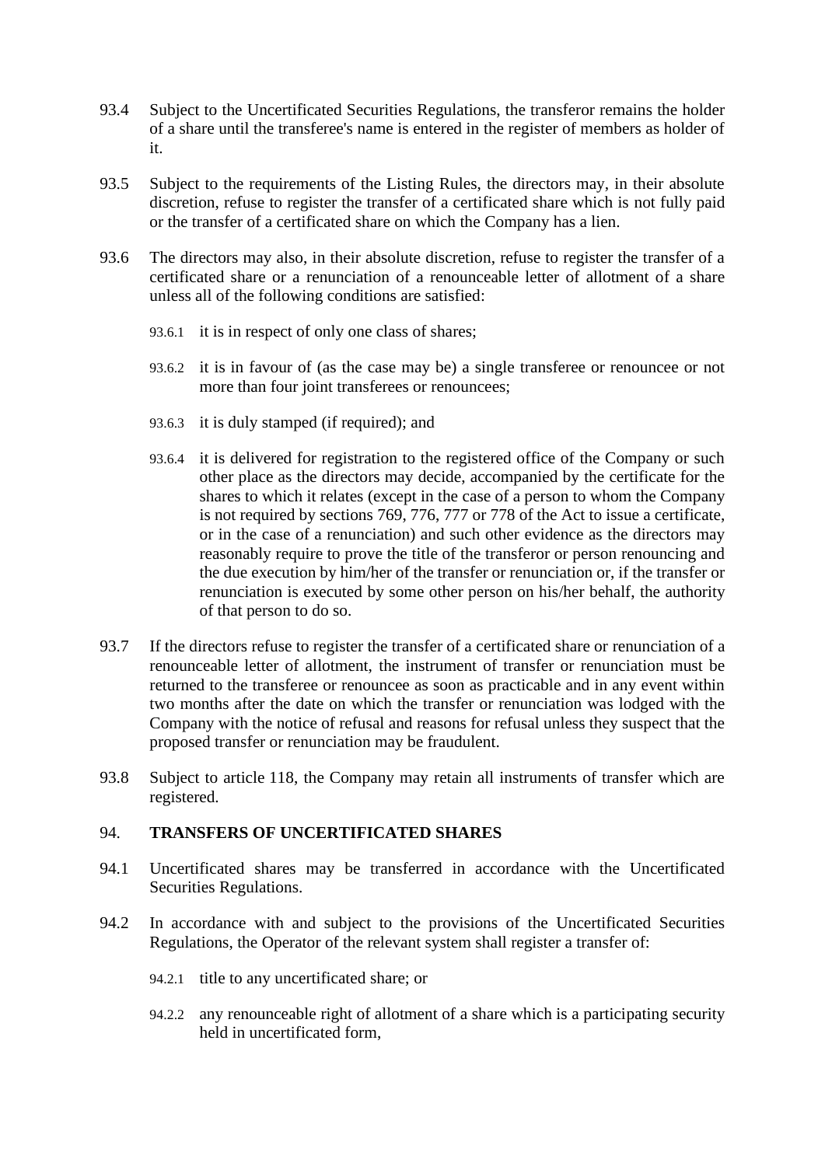- 93.4 Subject to the Uncertificated Securities Regulations, the transferor remains the holder of a share until the transferee's name is entered in the register of members as holder of it.
- 93.5 Subject to the requirements of the Listing Rules, the directors may, in their absolute discretion, refuse to register the transfer of a certificated share which is not fully paid or the transfer of a certificated share on which the Company has a lien.
- 93.6 The directors may also, in their absolute discretion, refuse to register the transfer of a certificated share or a renunciation of a renounceable letter of allotment of a share unless all of the following conditions are satisfied:
	- 93.6.1 it is in respect of only one class of shares;
	- 93.6.2 it is in favour of (as the case may be) a single transferee or renouncee or not more than four joint transferees or renouncees;
	- 93.6.3 it is duly stamped (if required); and
	- 93.6.4 it is delivered for registration to the registered office of the Company or such other place as the directors may decide, accompanied by the certificate for the shares to which it relates (except in the case of a person to whom the Company is not required by sections 769, 776, 777 or 778 of the Act to issue a certificate, or in the case of a renunciation) and such other evidence as the directors may reasonably require to prove the title of the transferor or person renouncing and the due execution by him/her of the transfer or renunciation or, if the transfer or renunciation is executed by some other person on his/her behalf, the authority of that person to do so.
- 93.7 If the directors refuse to register the transfer of a certificated share or renunciation of a renounceable letter of allotment, the instrument of transfer or renunciation must be returned to the transferee or renouncee as soon as practicable and in any event within two months after the date on which the transfer or renunciation was lodged with the Company with the notice of refusal and reasons for refusal unless they suspect that the proposed transfer or renunciation may be fraudulent.
- 93.8 Subject to article [118,](#page-72-0) the Company may retain all instruments of transfer which are registered.

### 94. **TRANSFERS OF UNCERTIFICATED SHARES**

- 94.1 Uncertificated shares may be transferred in accordance with the Uncertificated Securities Regulations.
- 94.2 In accordance with and subject to the provisions of the Uncertificated Securities Regulations, the Operator of the relevant system shall register a transfer of:
	- 94.2.1 title to any uncertificated share; or
	- 94.2.2 any renounceable right of allotment of a share which is a participating security held in uncertificated form,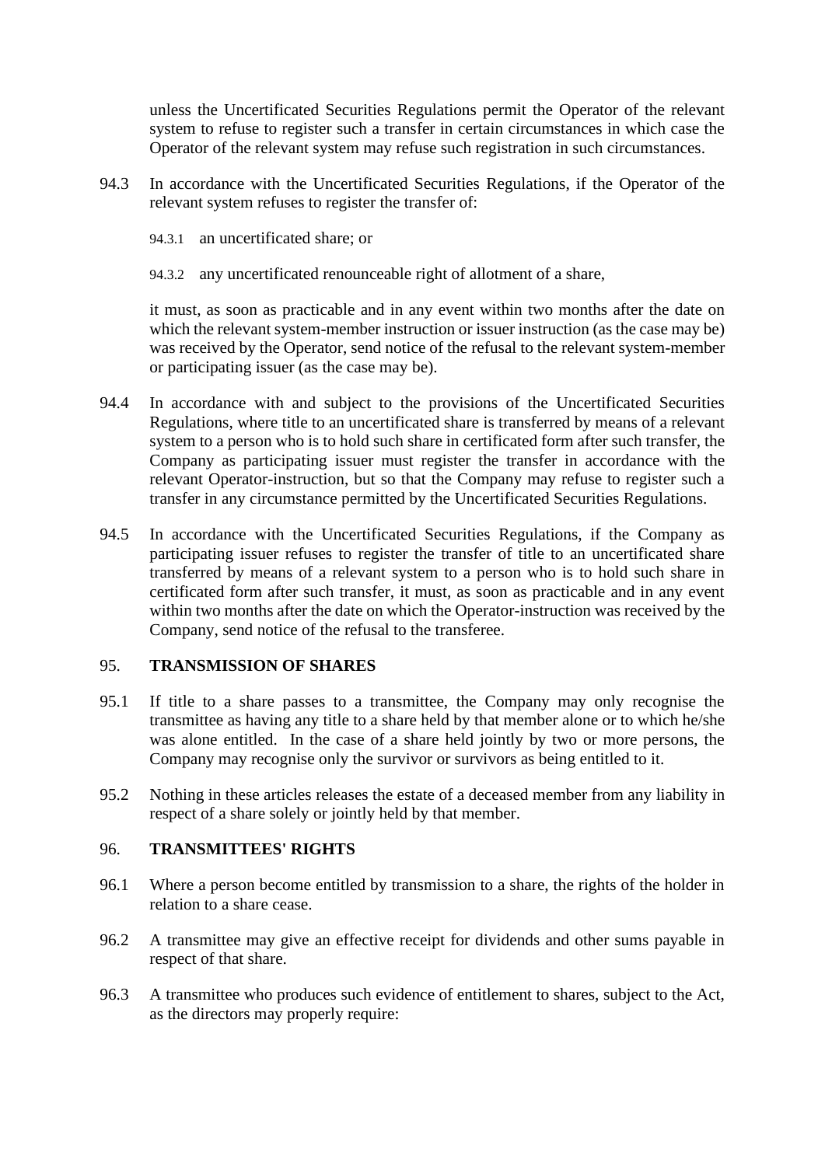unless the Uncertificated Securities Regulations permit the Operator of the relevant system to refuse to register such a transfer in certain circumstances in which case the Operator of the relevant system may refuse such registration in such circumstances.

- 94.3 In accordance with the Uncertificated Securities Regulations, if the Operator of the relevant system refuses to register the transfer of:
	- 94.3.1 an uncertificated share; or
	- 94.3.2 any uncertificated renounceable right of allotment of a share,

it must, as soon as practicable and in any event within two months after the date on which the relevant system-member instruction or issuer instruction (as the case may be) was received by the Operator, send notice of the refusal to the relevant system-member or participating issuer (as the case may be).

- 94.4 In accordance with and subject to the provisions of the Uncertificated Securities Regulations, where title to an uncertificated share is transferred by means of a relevant system to a person who is to hold such share in certificated form after such transfer, the Company as participating issuer must register the transfer in accordance with the relevant Operator-instruction, but so that the Company may refuse to register such a transfer in any circumstance permitted by the Uncertificated Securities Regulations.
- 94.5 In accordance with the Uncertificated Securities Regulations, if the Company as participating issuer refuses to register the transfer of title to an uncertificated share transferred by means of a relevant system to a person who is to hold such share in certificated form after such transfer, it must, as soon as practicable and in any event within two months after the date on which the Operator-instruction was received by the Company, send notice of the refusal to the transferee.

### 95. **TRANSMISSION OF SHARES**

- 95.1 If title to a share passes to a transmittee, the Company may only recognise the transmittee as having any title to a share held by that member alone or to which he/she was alone entitled. In the case of a share held jointly by two or more persons, the Company may recognise only the survivor or survivors as being entitled to it.
- 95.2 Nothing in these articles releases the estate of a deceased member from any liability in respect of a share solely or jointly held by that member.

### 96. **TRANSMITTEES' RIGHTS**

- 96.1 Where a person become entitled by transmission to a share, the rights of the holder in relation to a share cease.
- 96.2 A transmittee may give an effective receipt for dividends and other sums payable in respect of that share.
- 96.3 A transmittee who produces such evidence of entitlement to shares, subject to the Act, as the directors may properly require: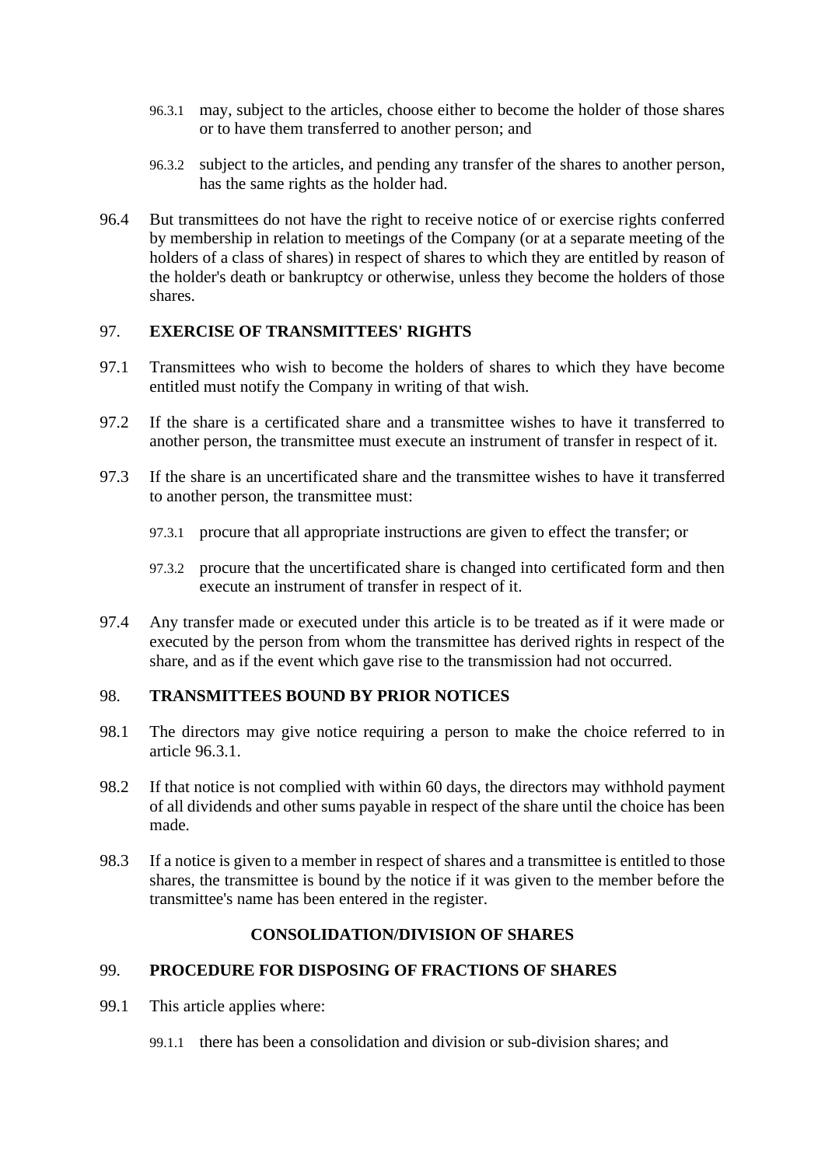- <span id="page-59-0"></span>96.3.1 may, subject to the articles, choose either to become the holder of those shares or to have them transferred to another person; and
- 96.3.2 subject to the articles, and pending any transfer of the shares to another person, has the same rights as the holder had.
- 96.4 But transmittees do not have the right to receive notice of or exercise rights conferred by membership in relation to meetings of the Company (or at a separate meeting of the holders of a class of shares) in respect of shares to which they are entitled by reason of the holder's death or bankruptcy or otherwise, unless they become the holders of those shares.

### 97. **EXERCISE OF TRANSMITTEES' RIGHTS**

- 97.1 Transmittees who wish to become the holders of shares to which they have become entitled must notify the Company in writing of that wish.
- 97.2 If the share is a certificated share and a transmittee wishes to have it transferred to another person, the transmittee must execute an instrument of transfer in respect of it.
- 97.3 If the share is an uncertificated share and the transmittee wishes to have it transferred to another person, the transmittee must:
	- 97.3.1 procure that all appropriate instructions are given to effect the transfer; or
	- 97.3.2 procure that the uncertificated share is changed into certificated form and then execute an instrument of transfer in respect of it.
- 97.4 Any transfer made or executed under this article is to be treated as if it were made or executed by the person from whom the transmittee has derived rights in respect of the share, and as if the event which gave rise to the transmission had not occurred.

### <span id="page-59-1"></span>98. **TRANSMITTEES BOUND BY PRIOR NOTICES**

- 98.1 The directors may give notice requiring a person to make the choice referred to in article [96.3.1.](#page-59-0)
- 98.2 If that notice is not complied with within 60 days, the directors may withhold payment of all dividends and other sums payable in respect of the share until the choice has been made.
- 98.3 If a notice is given to a member in respect of shares and a transmittee is entitled to those shares, the transmittee is bound by the notice if it was given to the member before the transmittee's name has been entered in the register.

## **CONSOLIDATION/DIVISION OF SHARES**

## 99. **PROCEDURE FOR DISPOSING OF FRACTIONS OF SHARES**

- 99.1 This article applies where:
	- 99.1.1 there has been a consolidation and division or sub-division shares; and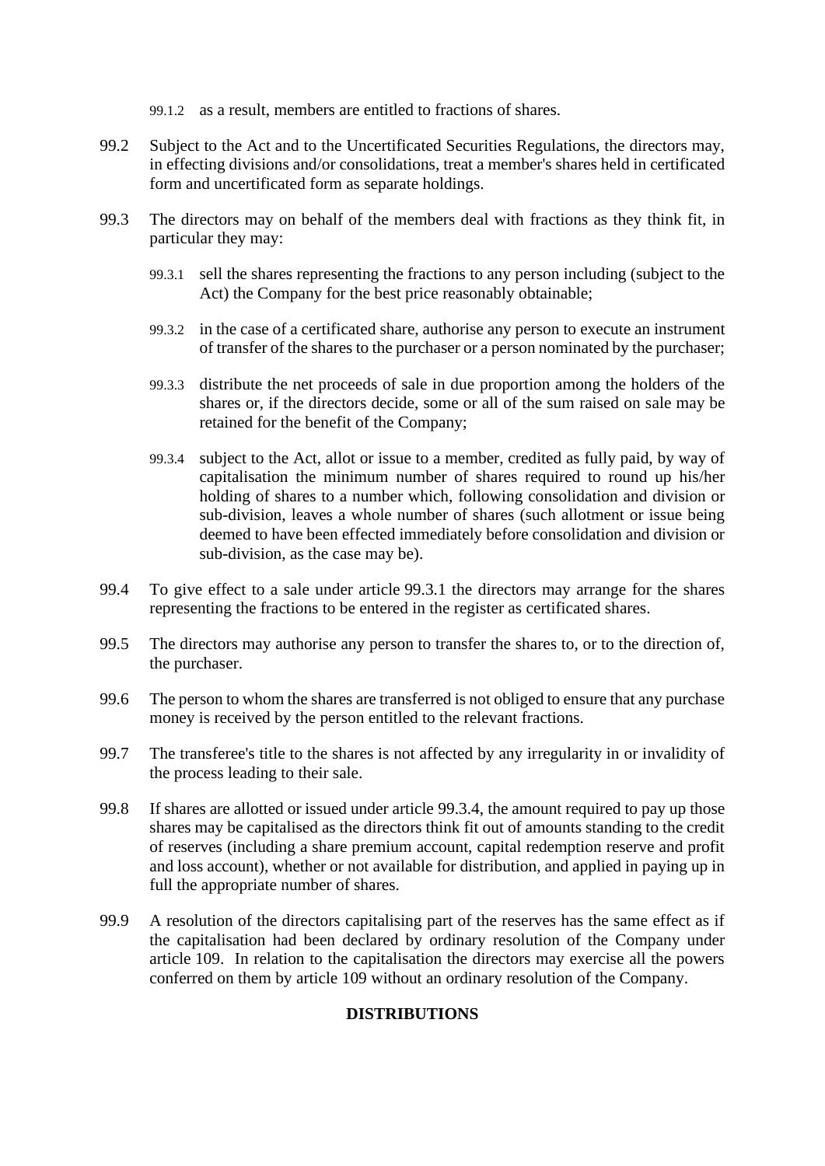99.1.2 as a result, members are entitled to fractions of shares.

- 99.2 Subject to the Act and to the Uncertificated Securities Regulations, the directors may, in effecting divisions and/or consolidations, treat a member's shares held in certificated form and uncertificated form as separate holdings.
- <span id="page-60-0"></span>99.3 The directors may on behalf of the members deal with fractions as they think fit, in particular they may:
	- 99.3.1 sell the shares representing the fractions to any person including (subject to the Act) the Company for the best price reasonably obtainable;
	- 99.3.2 in the case of a certificated share, authorise any person to execute an instrument of transfer of the shares to the purchaser or a person nominated by the purchaser;
	- 99.3.3 distribute the net proceeds of sale in due proportion among the holders of the shares or, if the directors decide, some or all of the sum raised on sale may be retained for the benefit of the Company;
	- 99.3.4 subject to the Act, allot or issue to a member, credited as fully paid, by way of capitalisation the minimum number of shares required to round up his/her holding of shares to a number which, following consolidation and division or sub-division, leaves a whole number of shares (such allotment or issue being deemed to have been effected immediately before consolidation and division or sub-division, as the case may be).
- <span id="page-60-1"></span>99.4 To give effect to a sale under article [99.3.1](#page-60-0) the directors may arrange for the shares representing the fractions to be entered in the register as certificated shares.
- 99.5 The directors may authorise any person to transfer the shares to, or to the direction of, the purchaser.
- 99.6 The person to whom the shares are transferred is not obliged to ensure that any purchase money is received by the person entitled to the relevant fractions.
- 99.7 The transferee's title to the shares is not affected by any irregularity in or invalidity of the process leading to their sale.
- 99.8 If shares are allotted or issued under article [99.3.4,](#page-60-1) the amount required to pay up those shares may be capitalised as the directors think fit out of amounts standing to the credit of reserves (including a share premium account, capital redemption reserve and profit and loss account), whether or not available for distribution, and applied in paying up in full the appropriate number of shares.
- 99.9 A resolution of the directors capitalising part of the reserves has the same effect as if the capitalisation had been declared by ordinary resolution of the Company under article [109.](#page-67-0) In relation to the capitalisation the directors may exercise all the powers conferred on them by article [109](#page-67-0) without an ordinary resolution of the Company.

# **DISTRIBUTIONS**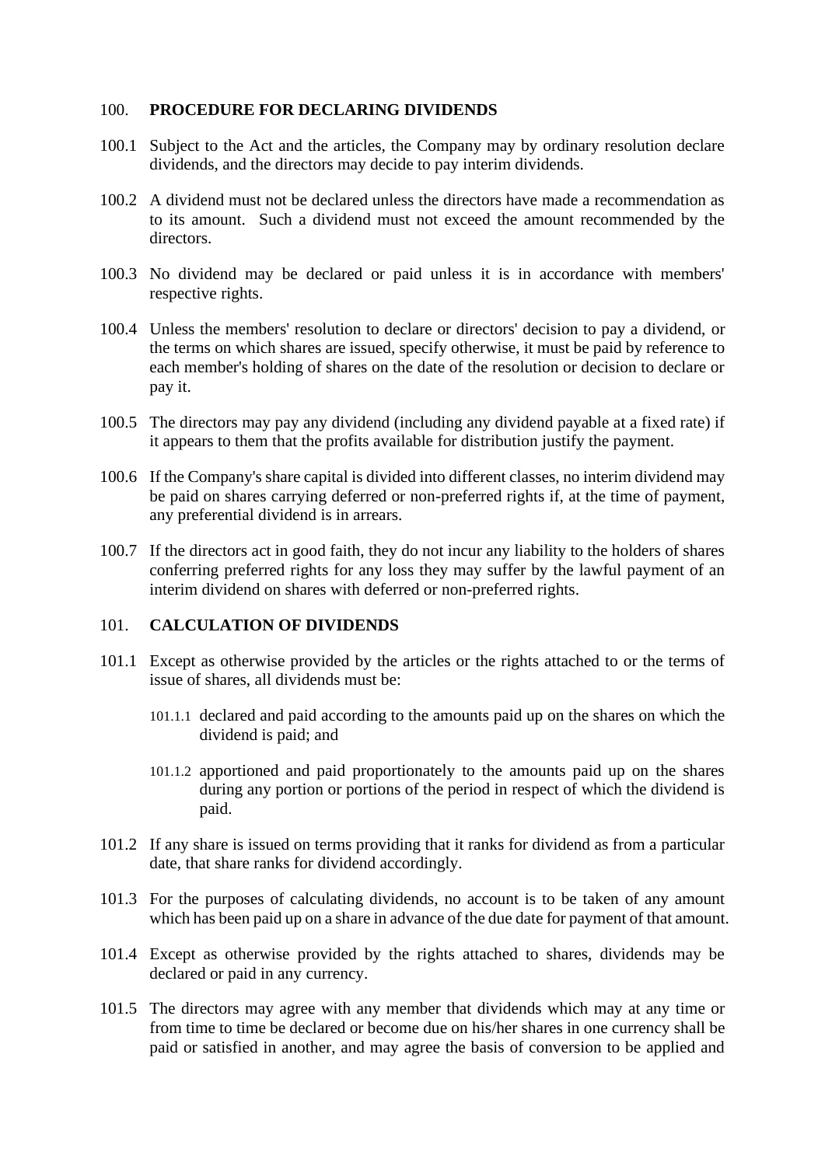#### 100. **PROCEDURE FOR DECLARING DIVIDENDS**

- 100.1 Subject to the Act and the articles, the Company may by ordinary resolution declare dividends, and the directors may decide to pay interim dividends.
- 100.2 A dividend must not be declared unless the directors have made a recommendation as to its amount. Such a dividend must not exceed the amount recommended by the directors.
- 100.3 No dividend may be declared or paid unless it is in accordance with members' respective rights.
- 100.4 Unless the members' resolution to declare or directors' decision to pay a dividend, or the terms on which shares are issued, specify otherwise, it must be paid by reference to each member's holding of shares on the date of the resolution or decision to declare or pay it.
- 100.5 The directors may pay any dividend (including any dividend payable at a fixed rate) if it appears to them that the profits available for distribution justify the payment.
- 100.6 If the Company's share capital is divided into different classes, no interim dividend may be paid on shares carrying deferred or non-preferred rights if, at the time of payment, any preferential dividend is in arrears.
- 100.7 If the directors act in good faith, they do not incur any liability to the holders of shares conferring preferred rights for any loss they may suffer by the lawful payment of an interim dividend on shares with deferred or non-preferred rights.

#### 101. **CALCULATION OF DIVIDENDS**

- 101.1 Except as otherwise provided by the articles or the rights attached to or the terms of issue of shares, all dividends must be:
	- 101.1.1 declared and paid according to the amounts paid up on the shares on which the dividend is paid; and
	- 101.1.2 apportioned and paid proportionately to the amounts paid up on the shares during any portion or portions of the period in respect of which the dividend is paid.
- 101.2 If any share is issued on terms providing that it ranks for dividend as from a particular date, that share ranks for dividend accordingly.
- 101.3 For the purposes of calculating dividends, no account is to be taken of any amount which has been paid up on a share in advance of the due date for payment of that amount.
- 101.4 Except as otherwise provided by the rights attached to shares, dividends may be declared or paid in any currency.
- 101.5 The directors may agree with any member that dividends which may at any time or from time to time be declared or become due on his/her shares in one currency shall be paid or satisfied in another, and may agree the basis of conversion to be applied and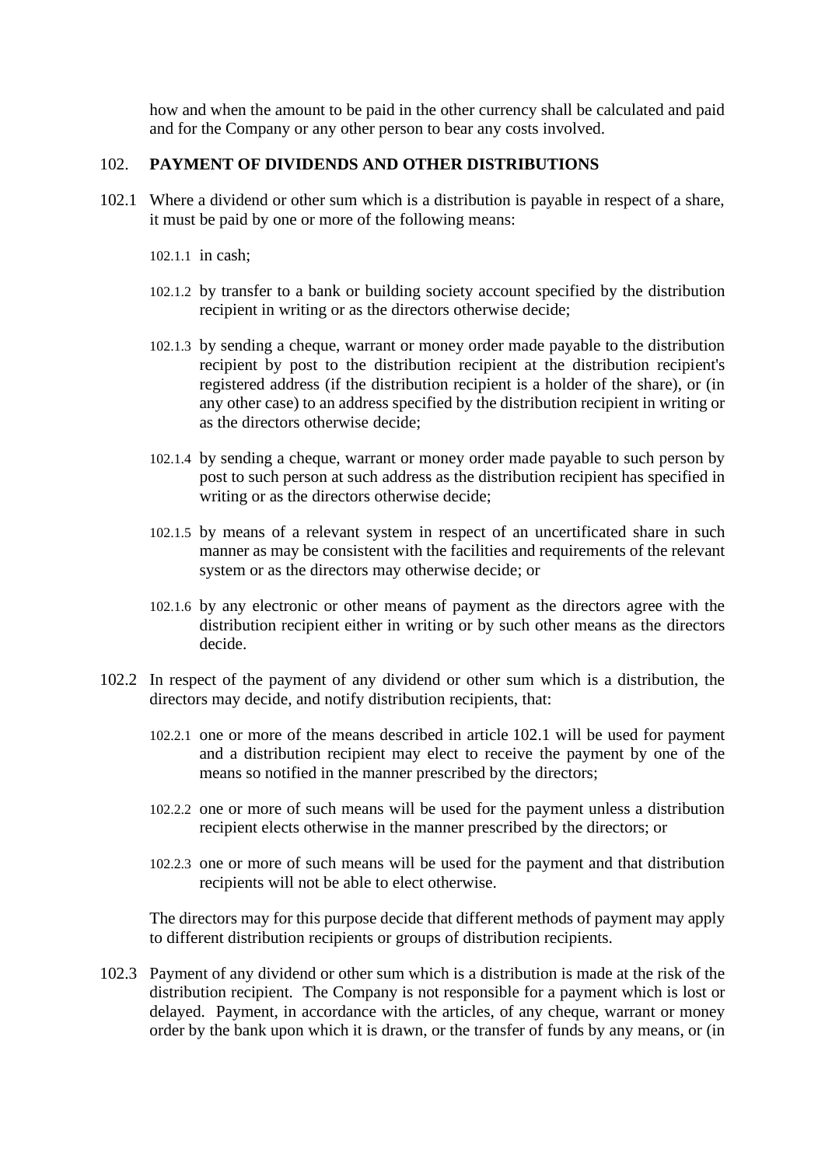how and when the amount to be paid in the other currency shall be calculated and paid and for the Company or any other person to bear any costs involved.

# 102. **PAYMENT OF DIVIDENDS AND OTHER DISTRIBUTIONS**

- <span id="page-62-0"></span>102.1 Where a dividend or other sum which is a distribution is payable in respect of a share, it must be paid by one or more of the following means:
	- 102.1.1 in cash;
	- 102.1.2 by transfer to a bank or building society account specified by the distribution recipient in writing or as the directors otherwise decide;
	- 102.1.3 by sending a cheque, warrant or money order made payable to the distribution recipient by post to the distribution recipient at the distribution recipient's registered address (if the distribution recipient is a holder of the share), or (in any other case) to an address specified by the distribution recipient in writing or as the directors otherwise decide;
	- 102.1.4 by sending a cheque, warrant or money order made payable to such person by post to such person at such address as the distribution recipient has specified in writing or as the directors otherwise decide;
	- 102.1.5 by means of a relevant system in respect of an uncertificated share in such manner as may be consistent with the facilities and requirements of the relevant system or as the directors may otherwise decide; or
	- 102.1.6 by any electronic or other means of payment as the directors agree with the distribution recipient either in writing or by such other means as the directors decide.
- 102.2 In respect of the payment of any dividend or other sum which is a distribution, the directors may decide, and notify distribution recipients, that:
	- 102.2.1 one or more of the means described in article [102.1](#page-62-0) will be used for payment and a distribution recipient may elect to receive the payment by one of the means so notified in the manner prescribed by the directors;
	- 102.2.2 one or more of such means will be used for the payment unless a distribution recipient elects otherwise in the manner prescribed by the directors; or
	- 102.2.3 one or more of such means will be used for the payment and that distribution recipients will not be able to elect otherwise.

The directors may for this purpose decide that different methods of payment may apply to different distribution recipients or groups of distribution recipients.

102.3 Payment of any dividend or other sum which is a distribution is made at the risk of the distribution recipient. The Company is not responsible for a payment which is lost or delayed. Payment, in accordance with the articles, of any cheque, warrant or money order by the bank upon which it is drawn, or the transfer of funds by any means, or (in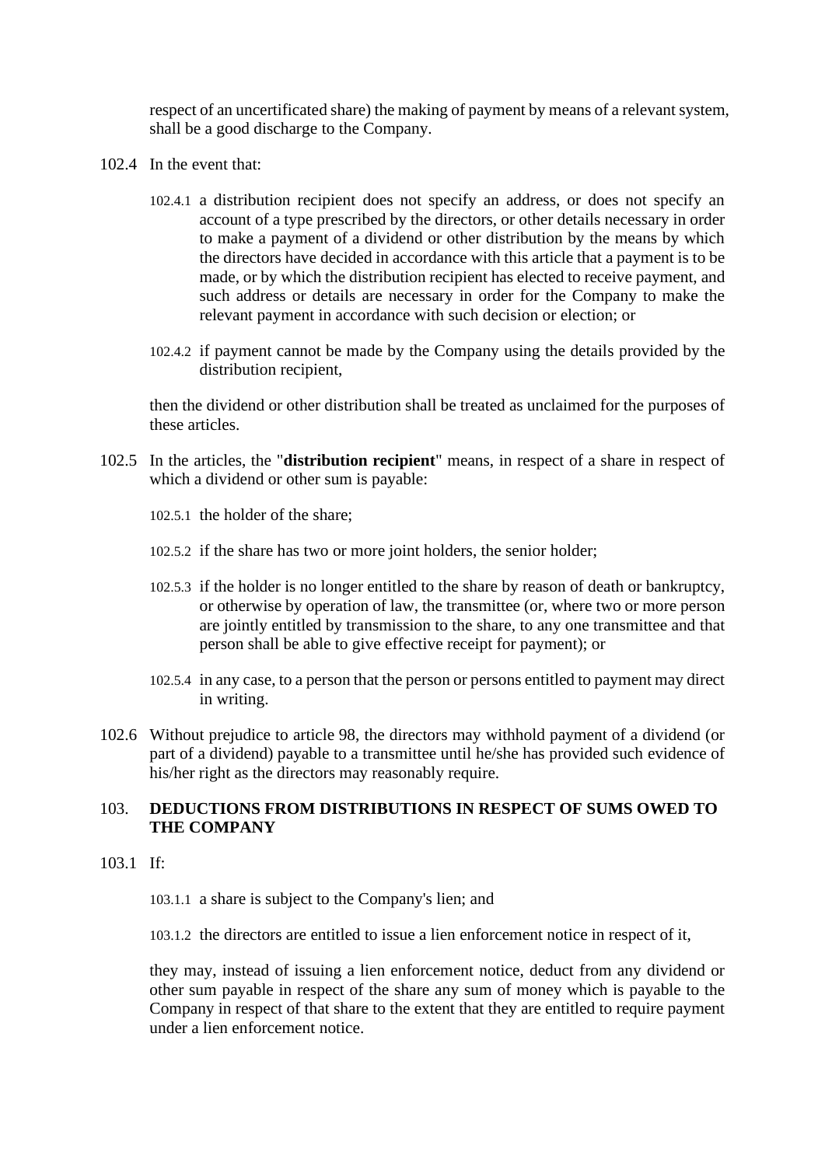respect of an uncertificated share) the making of payment by means of a relevant system, shall be a good discharge to the Company.

- 102.4 In the event that:
	- 102.4.1 a distribution recipient does not specify an address, or does not specify an account of a type prescribed by the directors, or other details necessary in order to make a payment of a dividend or other distribution by the means by which the directors have decided in accordance with this article that a payment is to be made, or by which the distribution recipient has elected to receive payment, and such address or details are necessary in order for the Company to make the relevant payment in accordance with such decision or election; or
	- 102.4.2 if payment cannot be made by the Company using the details provided by the distribution recipient,

then the dividend or other distribution shall be treated as unclaimed for the purposes of these articles.

- 102.5 In the articles, the "**distribution recipient**" means, in respect of a share in respect of which a dividend or other sum is payable:
	- 102.5.1 the holder of the share;
	- 102.5.2 if the share has two or more joint holders, the senior holder;
	- 102.5.3 if the holder is no longer entitled to the share by reason of death or bankruptcy, or otherwise by operation of law, the transmittee (or, where two or more person are jointly entitled by transmission to the share, to any one transmittee and that person shall be able to give effective receipt for payment); or
	- 102.5.4 in any case, to a person that the person or persons entitled to payment may direct in writing.
- 102.6 Without prejudice to article [98,](#page-59-1) the directors may withhold payment of a dividend (or part of a dividend) payable to a transmittee until he/she has provided such evidence of his/her right as the directors may reasonably require.

# 103. **DEDUCTIONS FROM DISTRIBUTIONS IN RESPECT OF SUMS OWED TO THE COMPANY**

103.1 If:

103.1.1 a share is subject to the Company's lien; and

103.1.2 the directors are entitled to issue a lien enforcement notice in respect of it,

they may, instead of issuing a lien enforcement notice, deduct from any dividend or other sum payable in respect of the share any sum of money which is payable to the Company in respect of that share to the extent that they are entitled to require payment under a lien enforcement notice.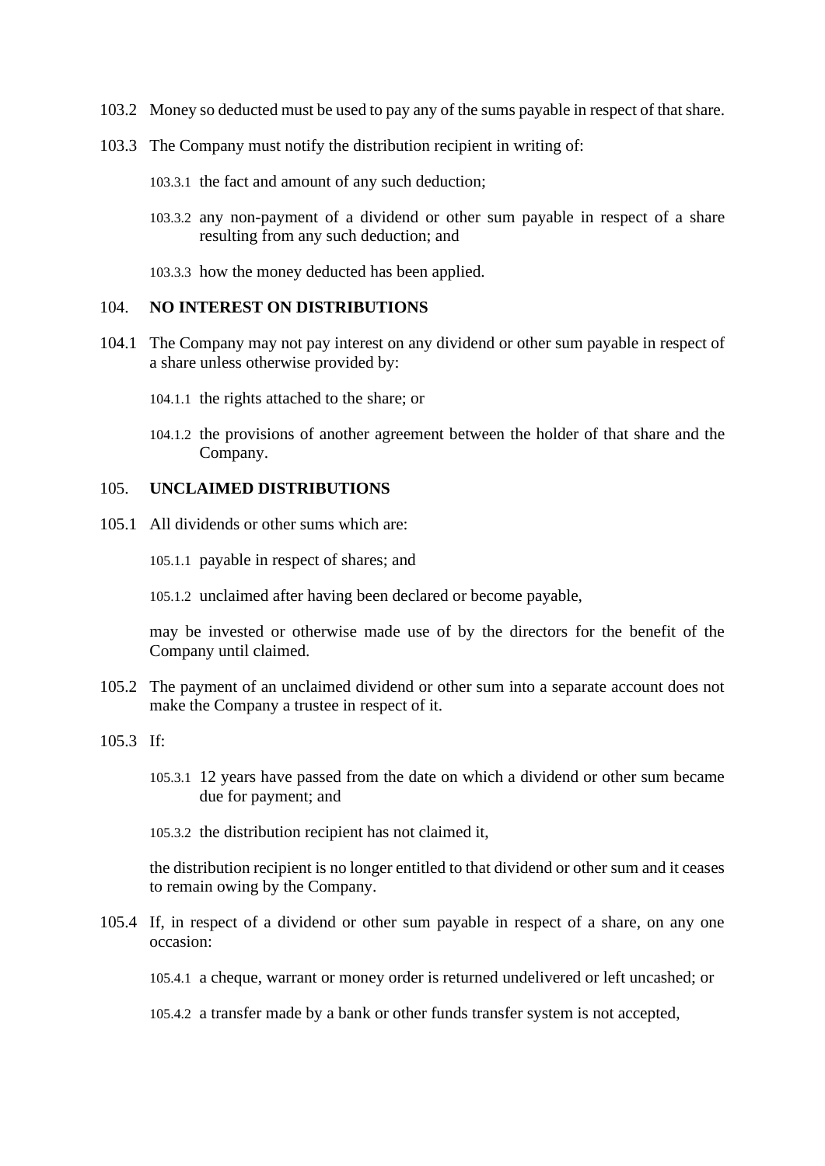- 103.2 Money so deducted must be used to pay any of the sums payable in respect of that share.
- 103.3 The Company must notify the distribution recipient in writing of:

103.3.1 the fact and amount of any such deduction;

- 103.3.2 any non-payment of a dividend or other sum payable in respect of a share resulting from any such deduction; and
- 103.3.3 how the money deducted has been applied.

#### 104. **NO INTEREST ON DISTRIBUTIONS**

- 104.1 The Company may not pay interest on any dividend or other sum payable in respect of a share unless otherwise provided by:
	- 104.1.1 the rights attached to the share; or
	- 104.1.2 the provisions of another agreement between the holder of that share and the Company.

# 105. **UNCLAIMED DISTRIBUTIONS**

- 105.1 All dividends or other sums which are:
	- 105.1.1 payable in respect of shares; and
	- 105.1.2 unclaimed after having been declared or become payable,

may be invested or otherwise made use of by the directors for the benefit of the Company until claimed.

- 105.2 The payment of an unclaimed dividend or other sum into a separate account does not make the Company a trustee in respect of it.
- $105.3$  If
	- 105.3.1 12 years have passed from the date on which a dividend or other sum became due for payment; and
	- 105.3.2 the distribution recipient has not claimed it,

the distribution recipient is no longer entitled to that dividend or other sum and it ceases to remain owing by the Company.

105.4 If, in respect of a dividend or other sum payable in respect of a share, on any one occasion:

105.4.1 a cheque, warrant or money order is returned undelivered or left uncashed; or

105.4.2 a transfer made by a bank or other funds transfer system is not accepted,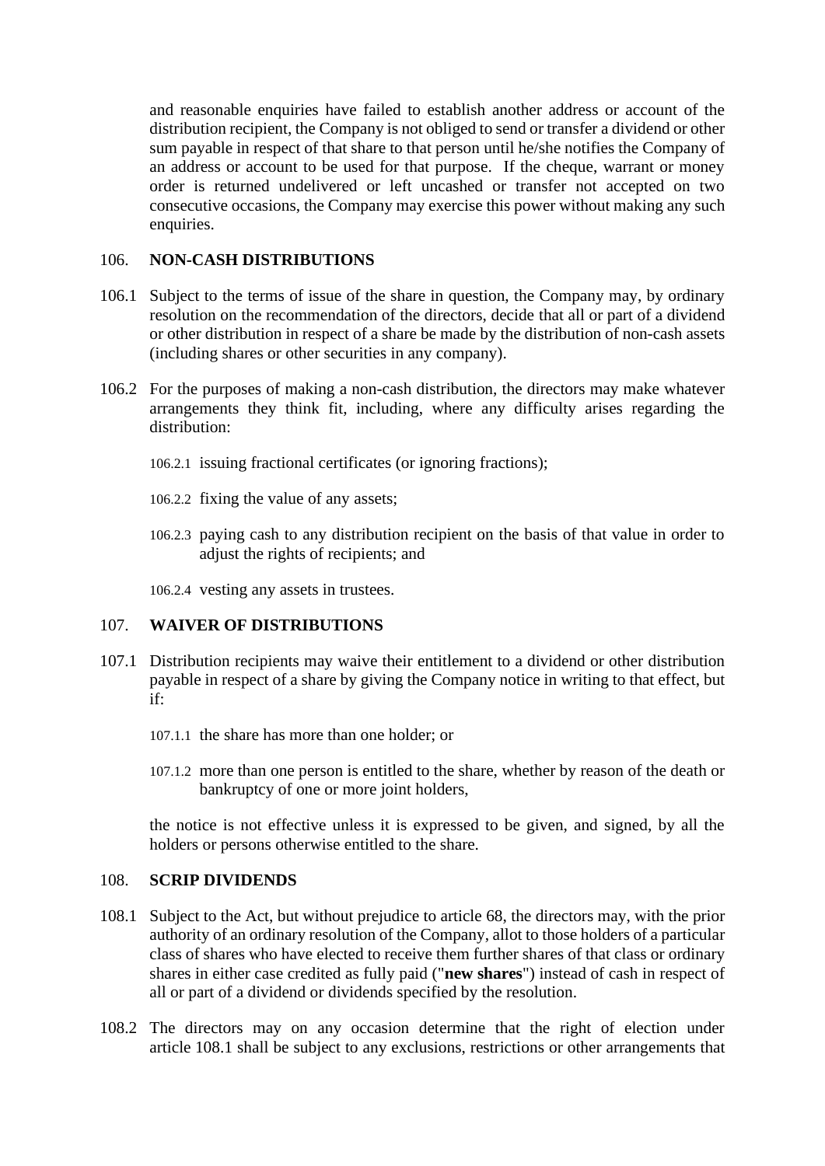and reasonable enquiries have failed to establish another address or account of the distribution recipient, the Company is not obliged to send or transfer a dividend or other sum payable in respect of that share to that person until he/she notifies the Company of an address or account to be used for that purpose. If the cheque, warrant or money order is returned undelivered or left uncashed or transfer not accepted on two consecutive occasions, the Company may exercise this power without making any such enquiries.

# 106. **NON-CASH DISTRIBUTIONS**

- 106.1 Subject to the terms of issue of the share in question, the Company may, by ordinary resolution on the recommendation of the directors, decide that all or part of a dividend or other distribution in respect of a share be made by the distribution of non-cash assets (including shares or other securities in any company).
- 106.2 For the purposes of making a non-cash distribution, the directors may make whatever arrangements they think fit, including, where any difficulty arises regarding the distribution:
	- 106.2.1 issuing fractional certificates (or ignoring fractions);
	- 106.2.2 fixing the value of any assets;
	- 106.2.3 paying cash to any distribution recipient on the basis of that value in order to adjust the rights of recipients; and

106.2.4 vesting any assets in trustees.

# 107. **WAIVER OF DISTRIBUTIONS**

- 107.1 Distribution recipients may waive their entitlement to a dividend or other distribution payable in respect of a share by giving the Company notice in writing to that effect, but if:
	- 107.1.1 the share has more than one holder; or
	- 107.1.2 more than one person is entitled to the share, whether by reason of the death or bankruptcy of one or more joint holders,

the notice is not effective unless it is expressed to be given, and signed, by all the holders or persons otherwise entitled to the share.

### <span id="page-65-0"></span>108. **SCRIP DIVIDENDS**

- <span id="page-65-1"></span>108.1 Subject to the Act, but without prejudice to article [68,](#page-42-2) the directors may, with the prior authority of an ordinary resolution of the Company, allot to those holders of a particular class of shares who have elected to receive them further shares of that class or ordinary shares in either case credited as fully paid ("**new shares**") instead of cash in respect of all or part of a dividend or dividends specified by the resolution.
- 108.2 The directors may on any occasion determine that the right of election under article [108.1](#page-65-1) shall be subject to any exclusions, restrictions or other arrangements that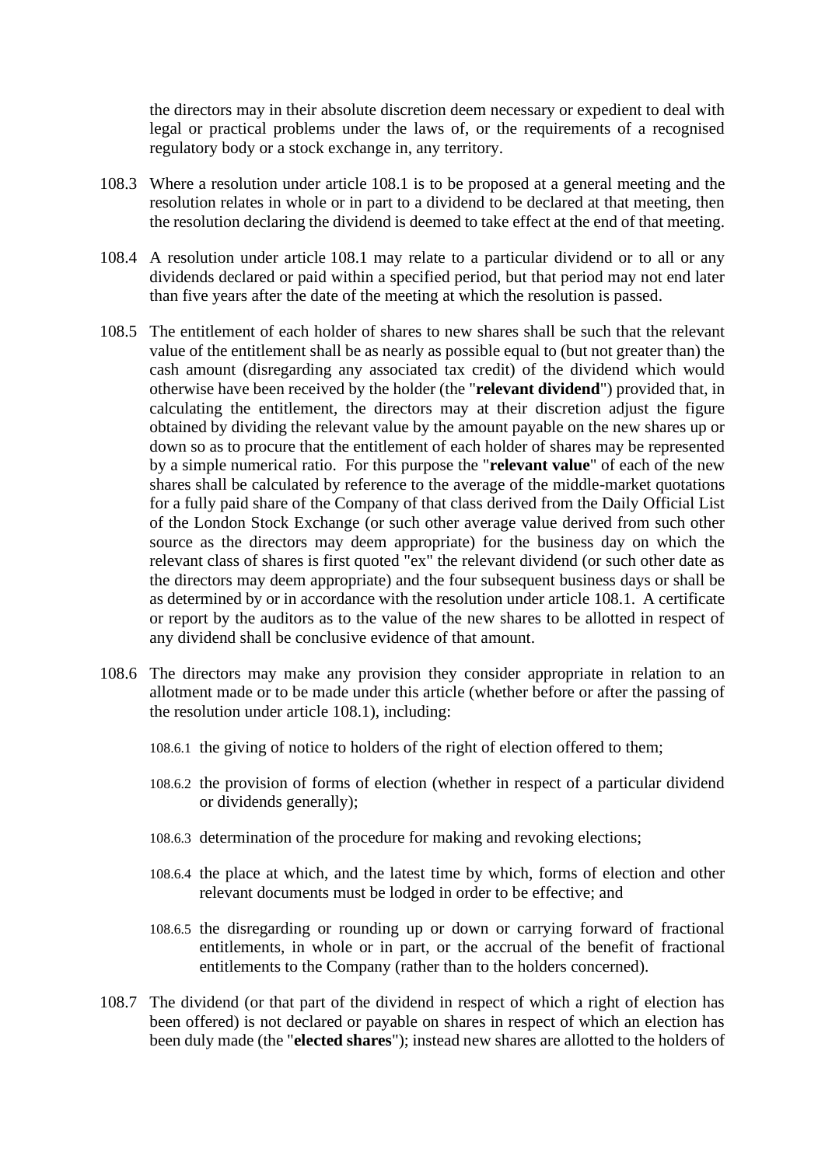the directors may in their absolute discretion deem necessary or expedient to deal with legal or practical problems under the laws of, or the requirements of a recognised regulatory body or a stock exchange in, any territory.

- 108.3 Where a resolution under article [108.1](#page-65-1) is to be proposed at a general meeting and the resolution relates in whole or in part to a dividend to be declared at that meeting, then the resolution declaring the dividend is deemed to take effect at the end of that meeting.
- 108.4 A resolution under article [108.1](#page-65-1) may relate to a particular dividend or to all or any dividends declared or paid within a specified period, but that period may not end later than five years after the date of the meeting at which the resolution is passed.
- <span id="page-66-0"></span>108.5 The entitlement of each holder of shares to new shares shall be such that the relevant value of the entitlement shall be as nearly as possible equal to (but not greater than) the cash amount (disregarding any associated tax credit) of the dividend which would otherwise have been received by the holder (the "**relevant dividend**") provided that, in calculating the entitlement, the directors may at their discretion adjust the figure obtained by dividing the relevant value by the amount payable on the new shares up or down so as to procure that the entitlement of each holder of shares may be represented by a simple numerical ratio. For this purpose the "**relevant value**" of each of the new shares shall be calculated by reference to the average of the middle-market quotations for a fully paid share of the Company of that class derived from the Daily Official List of the London Stock Exchange (or such other average value derived from such other source as the directors may deem appropriate) for the business day on which the relevant class of shares is first quoted "ex" the relevant dividend (or such other date as the directors may deem appropriate) and the four subsequent business days or shall be as determined by or in accordance with the resolution under article [108.1.](#page-65-1) A certificate or report by the auditors as to the value of the new shares to be allotted in respect of any dividend shall be conclusive evidence of that amount.
- 108.6 The directors may make any provision they consider appropriate in relation to an allotment made or to be made under this article (whether before or after the passing of the resolution under article [108.1\)](#page-65-1), including:
	- 108.6.1 the giving of notice to holders of the right of election offered to them;
	- 108.6.2 the provision of forms of election (whether in respect of a particular dividend or dividends generally);
	- 108.6.3 determination of the procedure for making and revoking elections;
	- 108.6.4 the place at which, and the latest time by which, forms of election and other relevant documents must be lodged in order to be effective; and
	- 108.6.5 the disregarding or rounding up or down or carrying forward of fractional entitlements, in whole or in part, or the accrual of the benefit of fractional entitlements to the Company (rather than to the holders concerned).
- 108.7 The dividend (or that part of the dividend in respect of which a right of election has been offered) is not declared or payable on shares in respect of which an election has been duly made (the "**elected shares**"); instead new shares are allotted to the holders of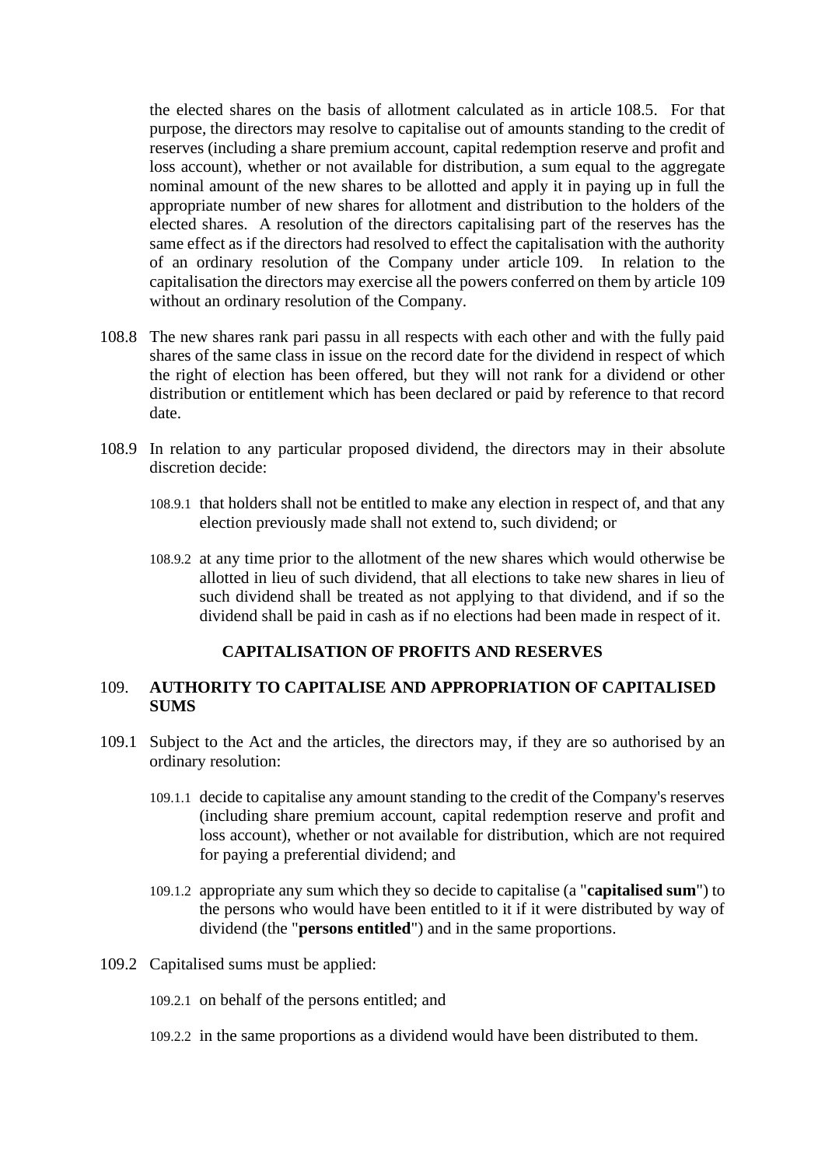the elected shares on the basis of allotment calculated as in article [108.5.](#page-66-0) For that purpose, the directors may resolve to capitalise out of amounts standing to the credit of reserves (including a share premium account, capital redemption reserve and profit and loss account), whether or not available for distribution, a sum equal to the aggregate nominal amount of the new shares to be allotted and apply it in paying up in full the appropriate number of new shares for allotment and distribution to the holders of the elected shares. A resolution of the directors capitalising part of the reserves has the same effect as if the directors had resolved to effect the capitalisation with the authority of an ordinary resolution of the Company under article [109.](#page-67-0) In relation to the capitalisation the directors may exercise all the powers conferred on them by article [109](#page-67-0) without an ordinary resolution of the Company.

- 108.8 The new shares rank pari passu in all respects with each other and with the fully paid shares of the same class in issue on the record date for the dividend in respect of which the right of election has been offered, but they will not rank for a dividend or other distribution or entitlement which has been declared or paid by reference to that record date.
- 108.9 In relation to any particular proposed dividend, the directors may in their absolute discretion decide:
	- 108.9.1 that holders shall not be entitled to make any election in respect of, and that any election previously made shall not extend to, such dividend; or
	- 108.9.2 at any time prior to the allotment of the new shares which would otherwise be allotted in lieu of such dividend, that all elections to take new shares in lieu of such dividend shall be treated as not applying to that dividend, and if so the dividend shall be paid in cash as if no elections had been made in respect of it.

### **CAPITALISATION OF PROFITS AND RESERVES**

### <span id="page-67-0"></span>109. **AUTHORITY TO CAPITALISE AND APPROPRIATION OF CAPITALISED SUMS**

- 109.1 Subject to the Act and the articles, the directors may, if they are so authorised by an ordinary resolution:
	- 109.1.1 decide to capitalise any amount standing to the credit of the Company's reserves (including share premium account, capital redemption reserve and profit and loss account), whether or not available for distribution, which are not required for paying a preferential dividend; and
	- 109.1.2 appropriate any sum which they so decide to capitalise (a "**capitalised sum**") to the persons who would have been entitled to it if it were distributed by way of dividend (the "**persons entitled**") and in the same proportions.
- 109.2 Capitalised sums must be applied:
	- 109.2.1 on behalf of the persons entitled; and
	- 109.2.2 in the same proportions as a dividend would have been distributed to them.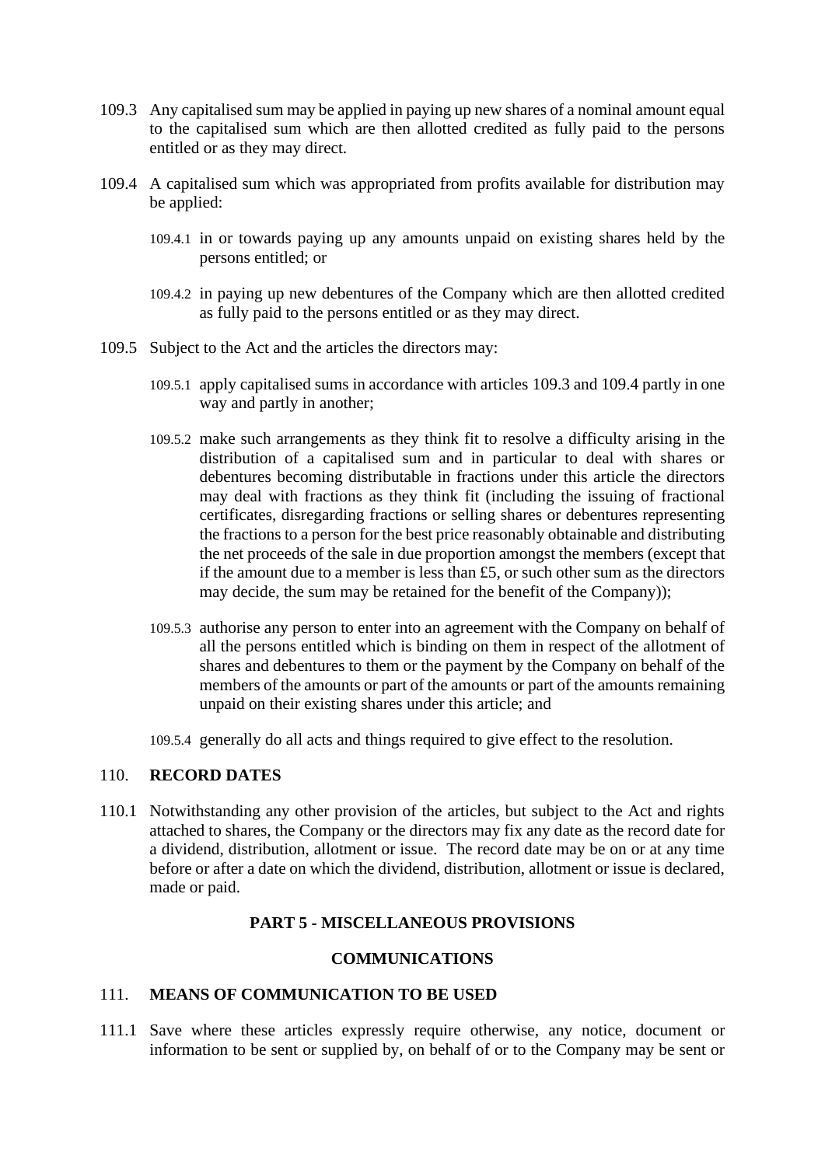- <span id="page-68-0"></span>109.3 Any capitalised sum may be applied in paying up new shares of a nominal amount equal to the capitalised sum which are then allotted credited as fully paid to the persons entitled or as they may direct.
- <span id="page-68-1"></span>109.4 A capitalised sum which was appropriated from profits available for distribution may be applied:
	- 109.4.1 in or towards paying up any amounts unpaid on existing shares held by the persons entitled; or
	- 109.4.2 in paying up new debentures of the Company which are then allotted credited as fully paid to the persons entitled or as they may direct.
- 109.5 Subject to the Act and the articles the directors may:
	- 109.5.1 apply capitalised sums in accordance with articles [109.3](#page-68-0) and [109.4](#page-68-1) partly in one way and partly in another;
	- 109.5.2 make such arrangements as they think fit to resolve a difficulty arising in the distribution of a capitalised sum and in particular to deal with shares or debentures becoming distributable in fractions under this article the directors may deal with fractions as they think fit (including the issuing of fractional certificates, disregarding fractions or selling shares or debentures representing the fractions to a person for the best price reasonably obtainable and distributing the net proceeds of the sale in due proportion amongst the members (except that if the amount due to a member is less than £5, or such other sum as the directors may decide, the sum may be retained for the benefit of the Company));
	- 109.5.3 authorise any person to enter into an agreement with the Company on behalf of all the persons entitled which is binding on them in respect of the allotment of shares and debentures to them or the payment by the Company on behalf of the members of the amounts or part of the amounts or part of the amounts remaining unpaid on their existing shares under this article; and
	- 109.5.4 generally do all acts and things required to give effect to the resolution.

# 110. **RECORD DATES**

110.1 Notwithstanding any other provision of the articles, but subject to the Act and rights attached to shares, the Company or the directors may fix any date as the record date for a dividend, distribution, allotment or issue. The record date may be on or at any time before or after a date on which the dividend, distribution, allotment or issue is declared, made or paid.

## **PART 5 - MISCELLANEOUS PROVISIONS**

#### **COMMUNICATIONS**

## <span id="page-68-2"></span>111. **MEANS OF COMMUNICATION TO BE USED**

111.1 Save where these articles expressly require otherwise, any notice, document or information to be sent or supplied by, on behalf of or to the Company may be sent or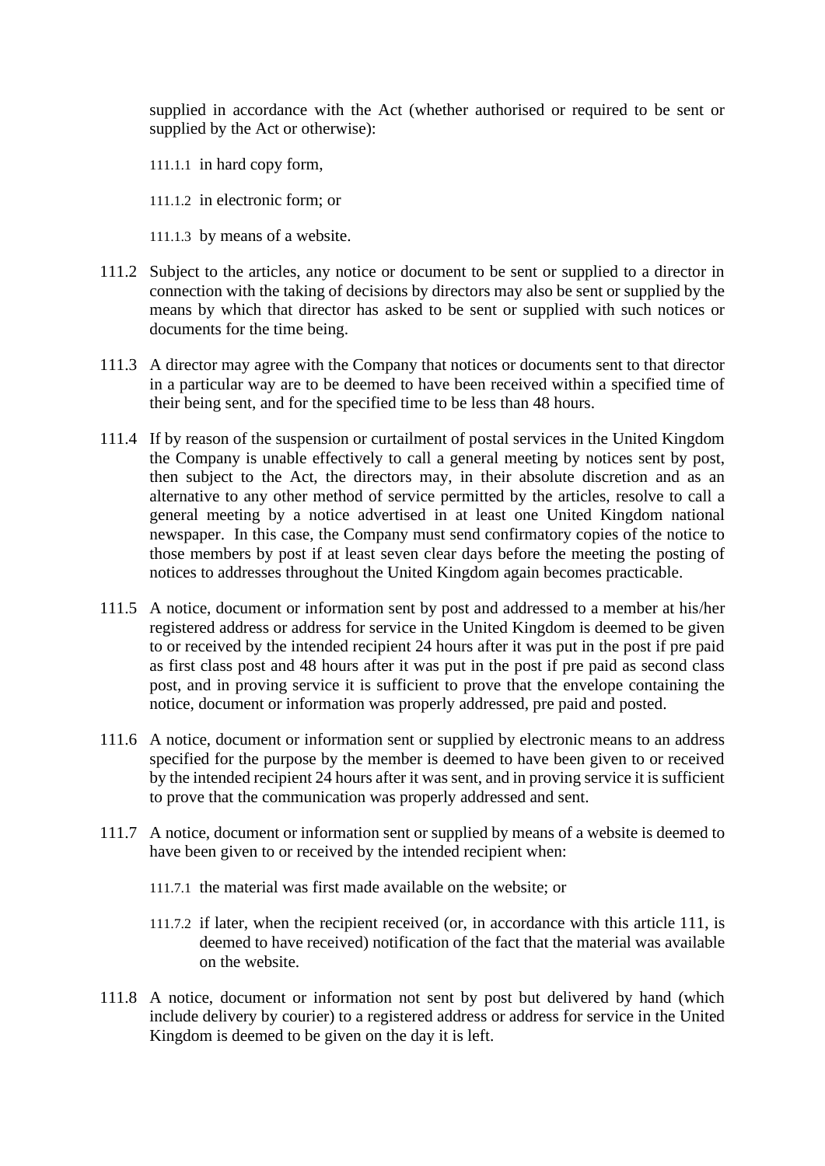supplied in accordance with the Act (whether authorised or required to be sent or supplied by the Act or otherwise):

- 111.1.1 in hard copy form,
- 111.1.2 in electronic form; or
- 111.1.3 by means of a website.
- 111.2 Subject to the articles, any notice or document to be sent or supplied to a director in connection with the taking of decisions by directors may also be sent or supplied by the means by which that director has asked to be sent or supplied with such notices or documents for the time being.
- 111.3 A director may agree with the Company that notices or documents sent to that director in a particular way are to be deemed to have been received within a specified time of their being sent, and for the specified time to be less than 48 hours.
- 111.4 If by reason of the suspension or curtailment of postal services in the United Kingdom the Company is unable effectively to call a general meeting by notices sent by post, then subject to the Act, the directors may, in their absolute discretion and as an alternative to any other method of service permitted by the articles, resolve to call a general meeting by a notice advertised in at least one United Kingdom national newspaper. In this case, the Company must send confirmatory copies of the notice to those members by post if at least seven clear days before the meeting the posting of notices to addresses throughout the United Kingdom again becomes practicable.
- 111.5 A notice, document or information sent by post and addressed to a member at his/her registered address or address for service in the United Kingdom is deemed to be given to or received by the intended recipient 24 hours after it was put in the post if pre paid as first class post and 48 hours after it was put in the post if pre paid as second class post, and in proving service it is sufficient to prove that the envelope containing the notice, document or information was properly addressed, pre paid and posted.
- 111.6 A notice, document or information sent or supplied by electronic means to an address specified for the purpose by the member is deemed to have been given to or received by the intended recipient 24 hours after it was sent, and in proving service it is sufficient to prove that the communication was properly addressed and sent.
- 111.7 A notice, document or information sent or supplied by means of a website is deemed to have been given to or received by the intended recipient when:
	- 111.7.1 the material was first made available on the website; or
	- 111.7.2 if later, when the recipient received (or, in accordance with this article [111,](#page-68-2) is deemed to have received) notification of the fact that the material was available on the website.
- 111.8 A notice, document or information not sent by post but delivered by hand (which include delivery by courier) to a registered address or address for service in the United Kingdom is deemed to be given on the day it is left.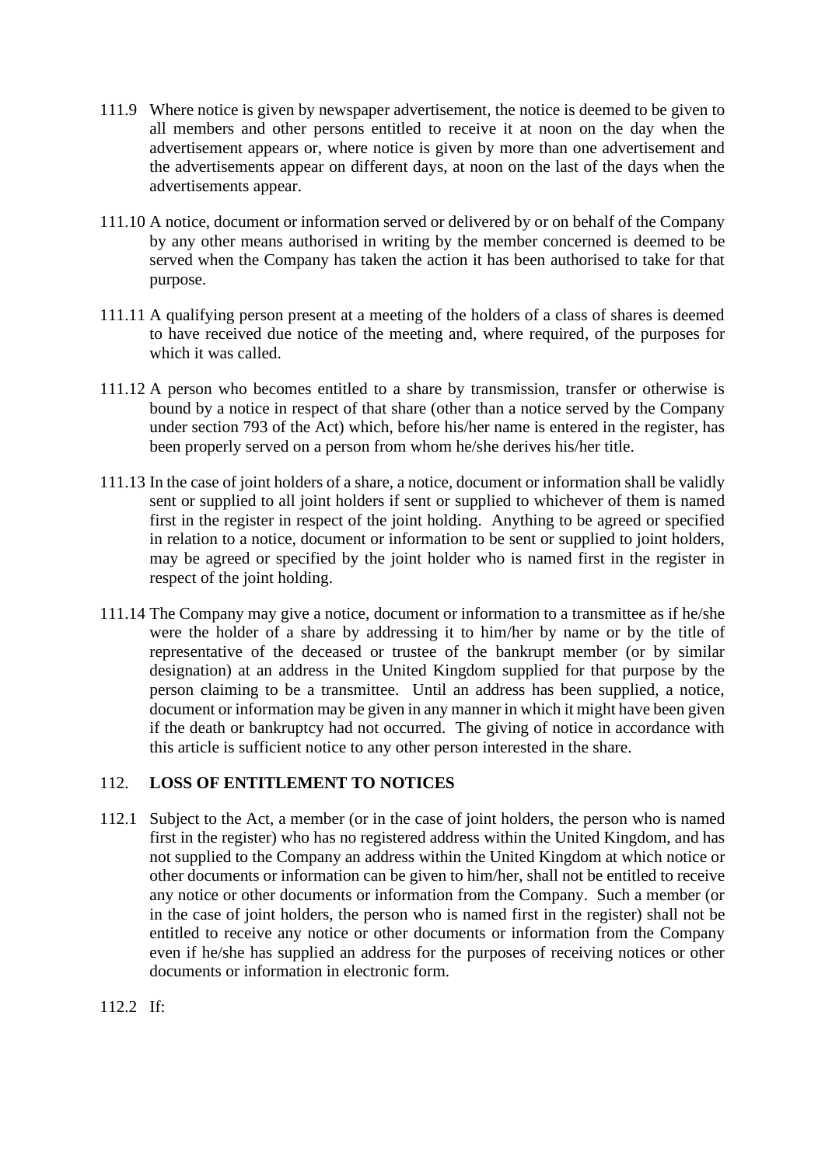- 111.9 Where notice is given by newspaper advertisement, the notice is deemed to be given to all members and other persons entitled to receive it at noon on the day when the advertisement appears or, where notice is given by more than one advertisement and the advertisements appear on different days, at noon on the last of the days when the advertisements appear.
- 111.10 A notice, document or information served or delivered by or on behalf of the Company by any other means authorised in writing by the member concerned is deemed to be served when the Company has taken the action it has been authorised to take for that purpose.
- 111.11 A qualifying person present at a meeting of the holders of a class of shares is deemed to have received due notice of the meeting and, where required, of the purposes for which it was called.
- 111.12 A person who becomes entitled to a share by transmission, transfer or otherwise is bound by a notice in respect of that share (other than a notice served by the Company under section 793 of the Act) which, before his/her name is entered in the register, has been properly served on a person from whom he/she derives his/her title.
- 111.13 In the case of joint holders of a share, a notice, document or information shall be validly sent or supplied to all joint holders if sent or supplied to whichever of them is named first in the register in respect of the joint holding. Anything to be agreed or specified in relation to a notice, document or information to be sent or supplied to joint holders, may be agreed or specified by the joint holder who is named first in the register in respect of the joint holding.
- 111.14 The Company may give a notice, document or information to a transmittee as if he/she were the holder of a share by addressing it to him/her by name or by the title of representative of the deceased or trustee of the bankrupt member (or by similar designation) at an address in the United Kingdom supplied for that purpose by the person claiming to be a transmittee. Until an address has been supplied, a notice, document or information may be given in any manner in which it might have been given if the death or bankruptcy had not occurred. The giving of notice in accordance with this article is sufficient notice to any other person interested in the share.

# 112. **LOSS OF ENTITLEMENT TO NOTICES**

112.1 Subject to the Act, a member (or in the case of joint holders, the person who is named first in the register) who has no registered address within the United Kingdom, and has not supplied to the Company an address within the United Kingdom at which notice or other documents or information can be given to him/her, shall not be entitled to receive any notice or other documents or information from the Company. Such a member (or in the case of joint holders, the person who is named first in the register) shall not be entitled to receive any notice or other documents or information from the Company even if he/she has supplied an address for the purposes of receiving notices or other documents or information in electronic form.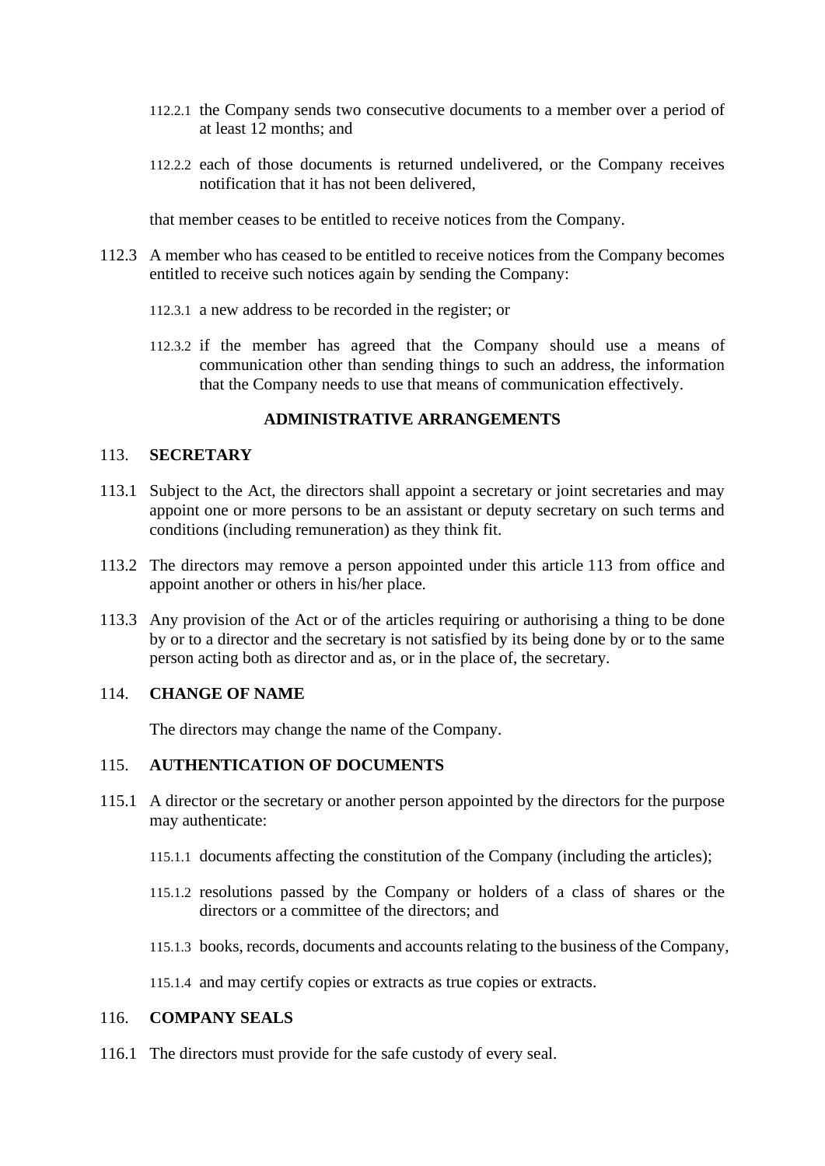- 112.2.1 the Company sends two consecutive documents to a member over a period of at least 12 months; and
- 112.2.2 each of those documents is returned undelivered, or the Company receives notification that it has not been delivered,

that member ceases to be entitled to receive notices from the Company.

- 112.3 A member who has ceased to be entitled to receive notices from the Company becomes entitled to receive such notices again by sending the Company:
	- 112.3.1 a new address to be recorded in the register; or
	- 112.3.2 if the member has agreed that the Company should use a means of communication other than sending things to such an address, the information that the Company needs to use that means of communication effectively.

# **ADMINISTRATIVE ARRANGEMENTS**

#### <span id="page-71-0"></span>113. **SECRETARY**

- 113.1 Subject to the Act, the directors shall appoint a secretary or joint secretaries and may appoint one or more persons to be an assistant or deputy secretary on such terms and conditions (including remuneration) as they think fit.
- 113.2 The directors may remove a person appointed under this article [113](#page-71-0) from office and appoint another or others in his/her place.
- 113.3 Any provision of the Act or of the articles requiring or authorising a thing to be done by or to a director and the secretary is not satisfied by its being done by or to the same person acting both as director and as, or in the place of, the secretary.

#### 114. **CHANGE OF NAME**

The directors may change the name of the Company.

# 115. **AUTHENTICATION OF DOCUMENTS**

- 115.1 A director or the secretary or another person appointed by the directors for the purpose may authenticate:
	- 115.1.1 documents affecting the constitution of the Company (including the articles);
	- 115.1.2 resolutions passed by the Company or holders of a class of shares or the directors or a committee of the directors; and
	- 115.1.3 books, records, documents and accounts relating to the business of the Company,
	- 115.1.4 and may certify copies or extracts as true copies or extracts.

#### 116. **COMPANY SEALS**

116.1 The directors must provide for the safe custody of every seal.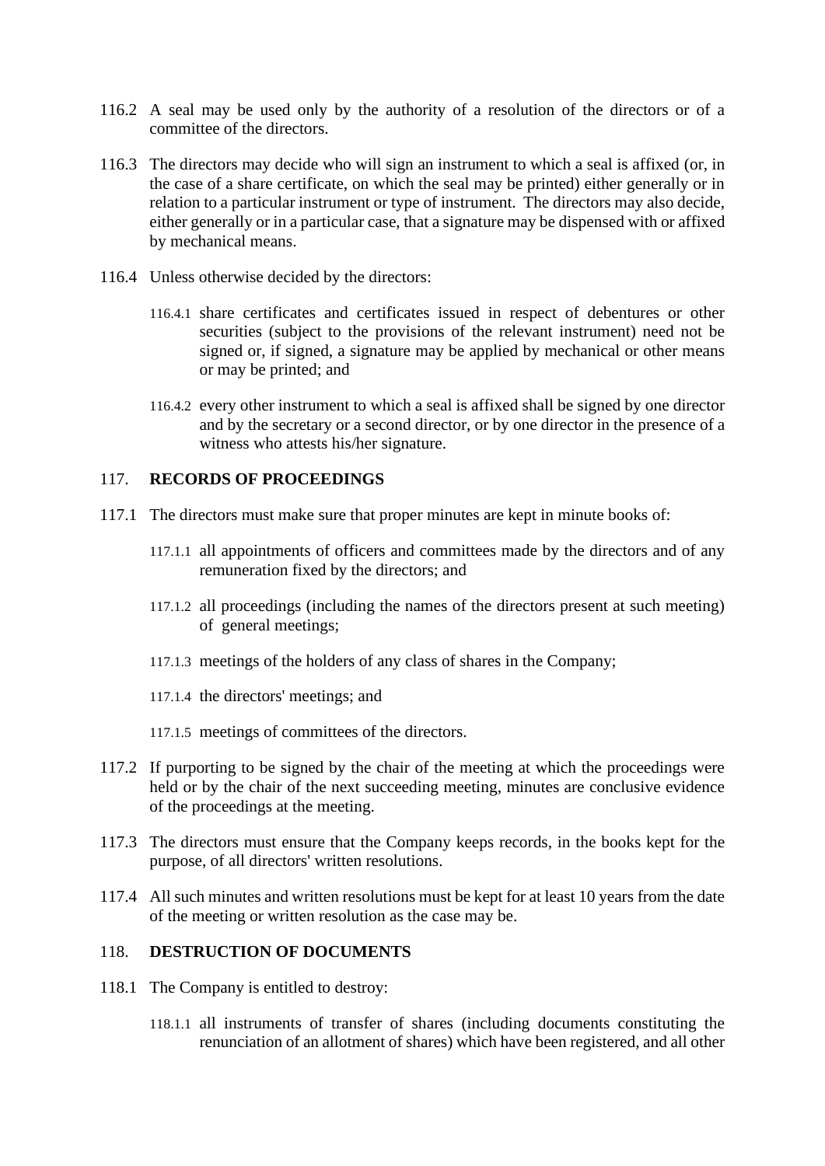- 116.2 A seal may be used only by the authority of a resolution of the directors or of a committee of the directors.
- 116.3 The directors may decide who will sign an instrument to which a seal is affixed (or, in the case of a share certificate, on which the seal may be printed) either generally or in relation to a particular instrument or type of instrument. The directors may also decide, either generally or in a particular case, that a signature may be dispensed with or affixed by mechanical means.
- 116.4 Unless otherwise decided by the directors:
	- 116.4.1 share certificates and certificates issued in respect of debentures or other securities (subject to the provisions of the relevant instrument) need not be signed or, if signed, a signature may be applied by mechanical or other means or may be printed; and
	- 116.4.2 every other instrument to which a seal is affixed shall be signed by one director and by the secretary or a second director, or by one director in the presence of a witness who attests his/her signature.

#### 117. **RECORDS OF PROCEEDINGS**

- 117.1 The directors must make sure that proper minutes are kept in minute books of:
	- 117.1.1 all appointments of officers and committees made by the directors and of any remuneration fixed by the directors; and
	- 117.1.2 all proceedings (including the names of the directors present at such meeting) of general meetings;
	- 117.1.3 meetings of the holders of any class of shares in the Company;
	- 117.1.4 the directors' meetings; and
	- 117.1.5 meetings of committees of the directors.
- 117.2 If purporting to be signed by the chair of the meeting at which the proceedings were held or by the chair of the next succeeding meeting, minutes are conclusive evidence of the proceedings at the meeting.
- 117.3 The directors must ensure that the Company keeps records, in the books kept for the purpose, of all directors' written resolutions.
- 117.4 All such minutes and written resolutions must be kept for at least 10 years from the date of the meeting or written resolution as the case may be.

### 118. **DESTRUCTION OF DOCUMENTS**

- 118.1 The Company is entitled to destroy:
	- 118.1.1 all instruments of transfer of shares (including documents constituting the renunciation of an allotment of shares) which have been registered, and all other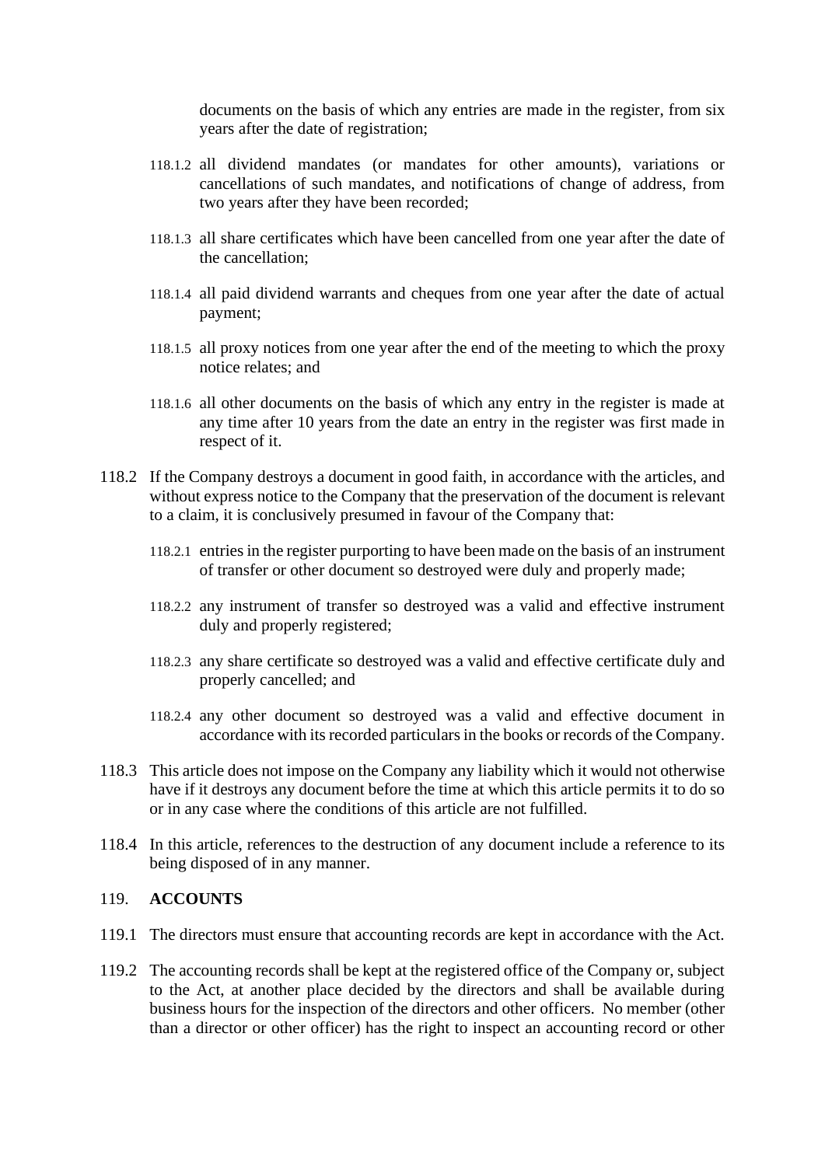documents on the basis of which any entries are made in the register, from six years after the date of registration;

- 118.1.2 all dividend mandates (or mandates for other amounts), variations or cancellations of such mandates, and notifications of change of address, from two years after they have been recorded;
- 118.1.3 all share certificates which have been cancelled from one year after the date of the cancellation;
- 118.1.4 all paid dividend warrants and cheques from one year after the date of actual payment;
- 118.1.5 all proxy notices from one year after the end of the meeting to which the proxy notice relates; and
- 118.1.6 all other documents on the basis of which any entry in the register is made at any time after 10 years from the date an entry in the register was first made in respect of it.
- 118.2 If the Company destroys a document in good faith, in accordance with the articles, and without express notice to the Company that the preservation of the document is relevant to a claim, it is conclusively presumed in favour of the Company that:
	- 118.2.1 entries in the register purporting to have been made on the basis of an instrument of transfer or other document so destroyed were duly and properly made;
	- 118.2.2 any instrument of transfer so destroyed was a valid and effective instrument duly and properly registered;
	- 118.2.3 any share certificate so destroyed was a valid and effective certificate duly and properly cancelled; and
	- 118.2.4 any other document so destroyed was a valid and effective document in accordance with its recorded particulars in the books or records of the Company.
- 118.3 This article does not impose on the Company any liability which it would not otherwise have if it destroys any document before the time at which this article permits it to do so or in any case where the conditions of this article are not fulfilled.
- 118.4 In this article, references to the destruction of any document include a reference to its being disposed of in any manner.

#### 119. **ACCOUNTS**

- 119.1 The directors must ensure that accounting records are kept in accordance with the Act.
- 119.2 The accounting records shall be kept at the registered office of the Company or, subject to the Act, at another place decided by the directors and shall be available during business hours for the inspection of the directors and other officers. No member (other than a director or other officer) has the right to inspect an accounting record or other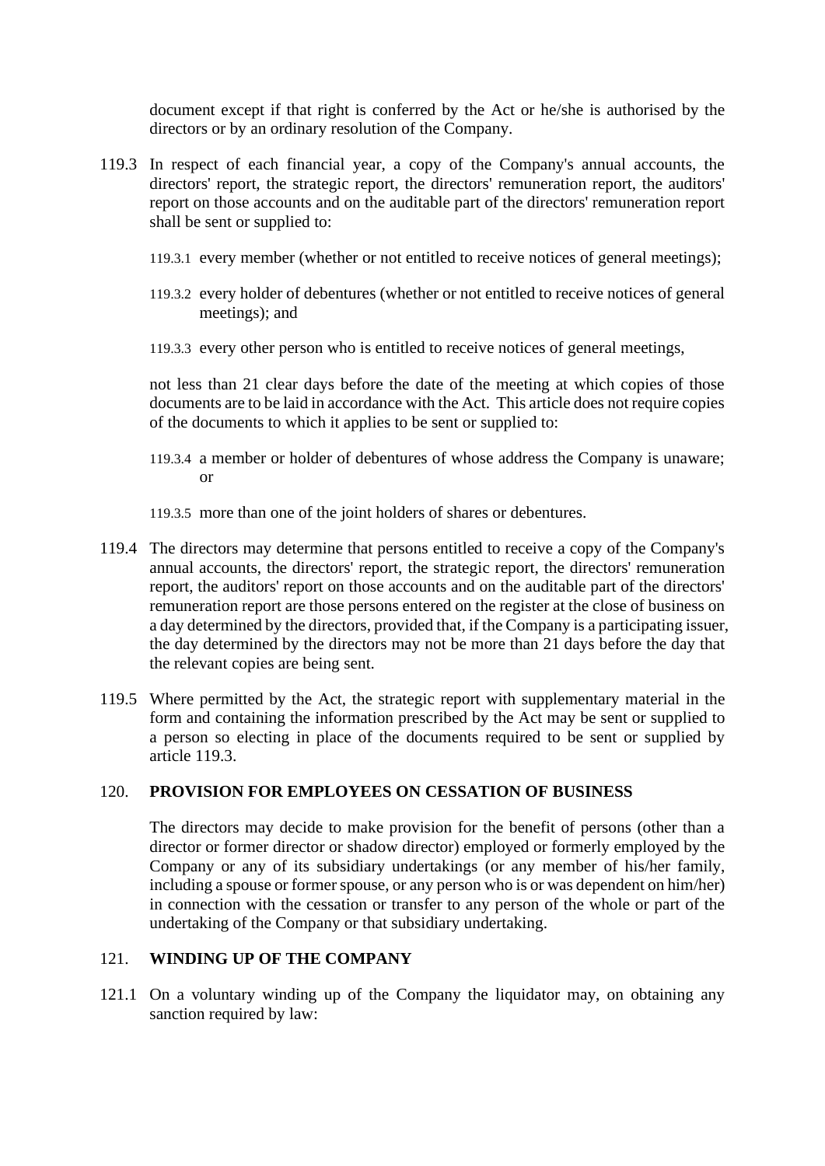document except if that right is conferred by the Act or he/she is authorised by the directors or by an ordinary resolution of the Company.

- <span id="page-74-0"></span>119.3 In respect of each financial year, a copy of the Company's annual accounts, the directors' report, the strategic report, the directors' remuneration report, the auditors' report on those accounts and on the auditable part of the directors' remuneration report shall be sent or supplied to:
	- 119.3.1 every member (whether or not entitled to receive notices of general meetings);
	- 119.3.2 every holder of debentures (whether or not entitled to receive notices of general meetings); and
	- 119.3.3 every other person who is entitled to receive notices of general meetings,

not less than 21 clear days before the date of the meeting at which copies of those documents are to be laid in accordance with the Act. This article does not require copies of the documents to which it applies to be sent or supplied to:

- 119.3.4 a member or holder of debentures of whose address the Company is unaware; or
- 119.3.5 more than one of the joint holders of shares or debentures.
- 119.4 The directors may determine that persons entitled to receive a copy of the Company's annual accounts, the directors' report, the strategic report, the directors' remuneration report, the auditors' report on those accounts and on the auditable part of the directors' remuneration report are those persons entered on the register at the close of business on a day determined by the directors, provided that, if the Company is a participating issuer, the day determined by the directors may not be more than 21 days before the day that the relevant copies are being sent.
- 119.5 Where permitted by the Act, the strategic report with supplementary material in the form and containing the information prescribed by the Act may be sent or supplied to a person so electing in place of the documents required to be sent or supplied by article [119.3.](#page-74-0)

#### 120. **PROVISION FOR EMPLOYEES ON CESSATION OF BUSINESS**

The directors may decide to make provision for the benefit of persons (other than a director or former director or shadow director) employed or formerly employed by the Company or any of its subsidiary undertakings (or any member of his/her family, including a spouse or former spouse, or any person who is or was dependent on him/her) in connection with the cessation or transfer to any person of the whole or part of the undertaking of the Company or that subsidiary undertaking.

## 121. **WINDING UP OF THE COMPANY**

121.1 On a voluntary winding up of the Company the liquidator may, on obtaining any sanction required by law: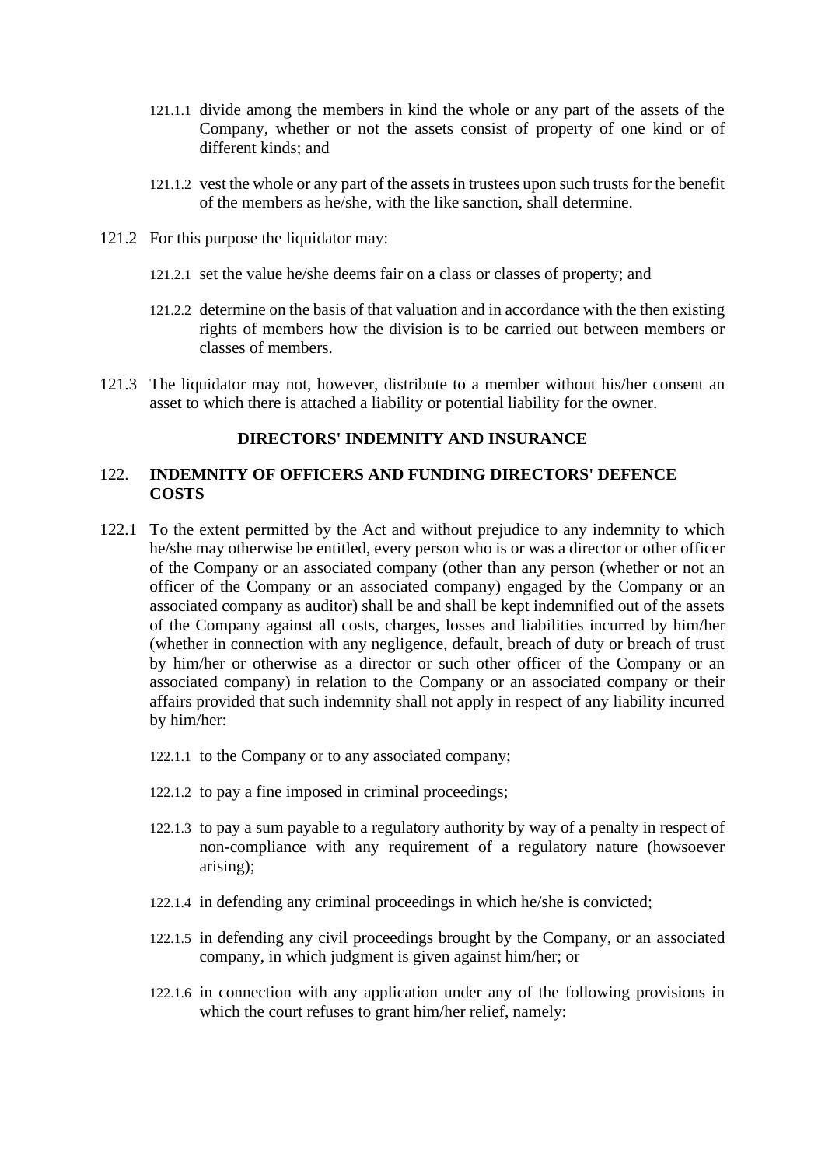- 121.1.1 divide among the members in kind the whole or any part of the assets of the Company, whether or not the assets consist of property of one kind or of different kinds; and
- 121.1.2 vest the whole or any part of the assets in trustees upon such trusts for the benefit of the members as he/she, with the like sanction, shall determine.
- 121.2 For this purpose the liquidator may:
	- 121.2.1 set the value he/she deems fair on a class or classes of property; and
	- 121.2.2 determine on the basis of that valuation and in accordance with the then existing rights of members how the division is to be carried out between members or classes of members.
- 121.3 The liquidator may not, however, distribute to a member without his/her consent an asset to which there is attached a liability or potential liability for the owner.

# **DIRECTORS' INDEMNITY AND INSURANCE**

## 122. **INDEMNITY OF OFFICERS AND FUNDING DIRECTORS' DEFENCE COSTS**

- <span id="page-75-3"></span><span id="page-75-2"></span><span id="page-75-1"></span><span id="page-75-0"></span>122.1 To the extent permitted by the Act and without prejudice to any indemnity to which he/she may otherwise be entitled, every person who is or was a director or other officer of the Company or an associated company (other than any person (whether or not an officer of the Company or an associated company) engaged by the Company or an associated company as auditor) shall be and shall be kept indemnified out of the assets of the Company against all costs, charges, losses and liabilities incurred by him/her (whether in connection with any negligence, default, breach of duty or breach of trust by him/her or otherwise as a director or such other officer of the Company or an associated company) in relation to the Company or an associated company or their affairs provided that such indemnity shall not apply in respect of any liability incurred by him/her:
	- 122.1.1 to the Company or to any associated company;
	- 122.1.2 to pay a fine imposed in criminal proceedings;
	- 122.1.3 to pay a sum payable to a regulatory authority by way of a penalty in respect of non-compliance with any requirement of a regulatory nature (howsoever arising);
	- 122.1.4 in defending any criminal proceedings in which he/she is convicted;
	- 122.1.5 in defending any civil proceedings brought by the Company, or an associated company, in which judgment is given against him/her; or
	- 122.1.6 in connection with any application under any of the following provisions in which the court refuses to grant him/her relief, namely: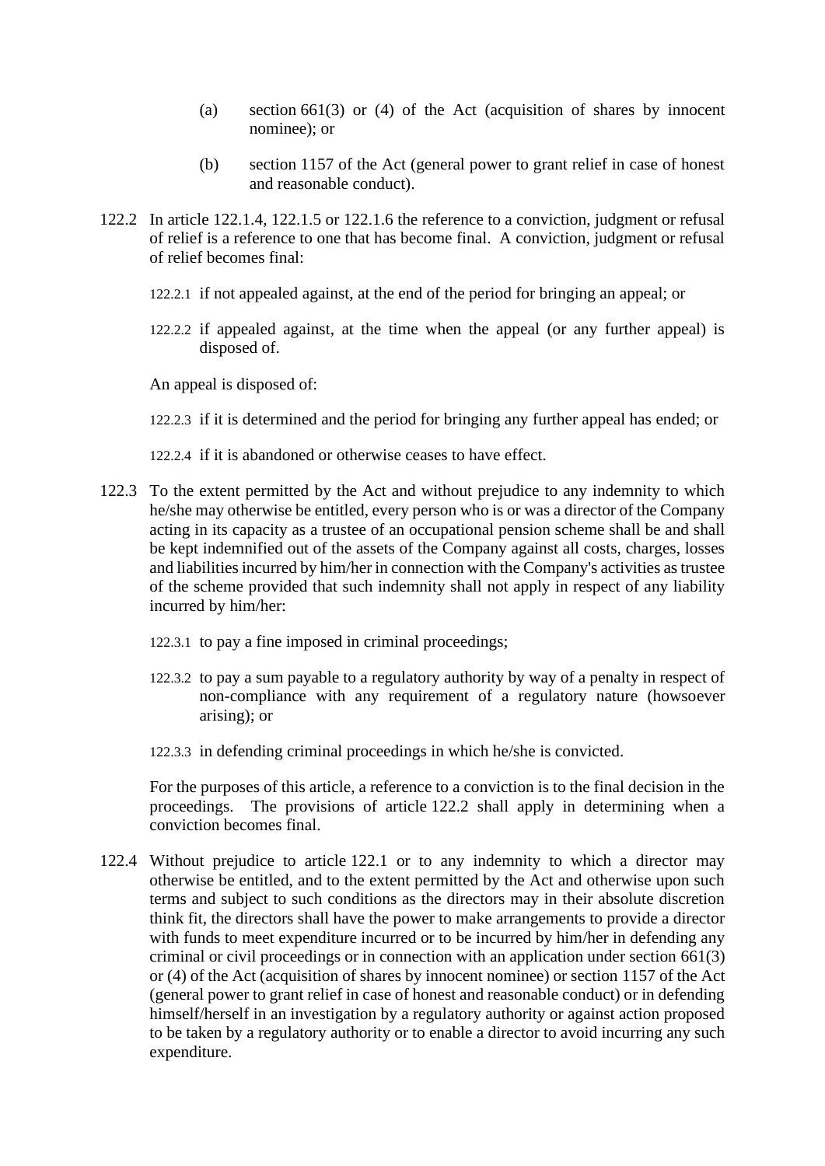- (a) section 661(3) or (4) of the Act (acquisition of shares by innocent nominee); or
- (b) section 1157 of the Act (general power to grant relief in case of honest and reasonable conduct).
- <span id="page-76-0"></span>122.2 In article [122.1.4,](#page-75-0) [122.1.5](#page-75-1) or [122.1.6](#page-75-2) the reference to a conviction, judgment or refusal of relief is a reference to one that has become final. A conviction, judgment or refusal of relief becomes final:
	- 122.2.1 if not appealed against, at the end of the period for bringing an appeal; or
	- 122.2.2 if appealed against, at the time when the appeal (or any further appeal) is disposed of.

An appeal is disposed of:

- 122.2.3 if it is determined and the period for bringing any further appeal has ended; or
- 122.2.4 if it is abandoned or otherwise ceases to have effect.
- 122.3 To the extent permitted by the Act and without prejudice to any indemnity to which he/she may otherwise be entitled, every person who is or was a director of the Company acting in its capacity as a trustee of an occupational pension scheme shall be and shall be kept indemnified out of the assets of the Company against all costs, charges, losses and liabilities incurred by him/her in connection with the Company's activities as trustee of the scheme provided that such indemnity shall not apply in respect of any liability incurred by him/her:
	- 122.3.1 to pay a fine imposed in criminal proceedings;
	- 122.3.2 to pay a sum payable to a regulatory authority by way of a penalty in respect of non-compliance with any requirement of a regulatory nature (howsoever arising); or
	- 122.3.3 in defending criminal proceedings in which he/she is convicted.

For the purposes of this article, a reference to a conviction is to the final decision in the proceedings. The provisions of article [122.2](#page-76-0) shall apply in determining when a conviction becomes final.

<span id="page-76-1"></span>122.4 Without prejudice to article [122.1](#page-75-3) or to any indemnity to which a director may otherwise be entitled, and to the extent permitted by the Act and otherwise upon such terms and subject to such conditions as the directors may in their absolute discretion think fit, the directors shall have the power to make arrangements to provide a director with funds to meet expenditure incurred or to be incurred by him/her in defending any criminal or civil proceedings or in connection with an application under section 661(3) or (4) of the Act (acquisition of shares by innocent nominee) or section 1157 of the Act (general power to grant relief in case of honest and reasonable conduct) or in defending himself/herself in an investigation by a regulatory authority or against action proposed to be taken by a regulatory authority or to enable a director to avoid incurring any such expenditure.